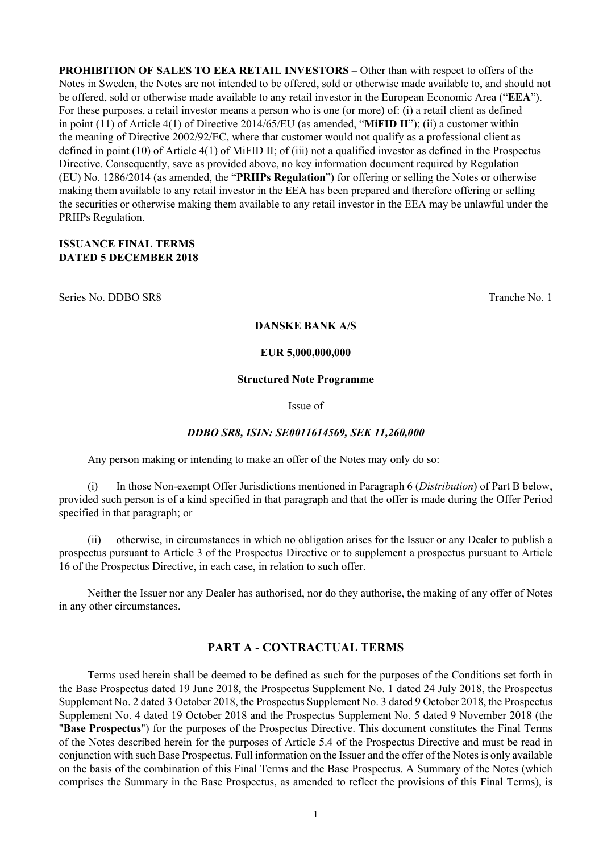**PROHIBITION OF SALES TO EEA RETAIL INVESTORS** – Other than with respect to offers of the Notes in Sweden, the Notes are not intended to be offered, sold or otherwise made available to, and should not be offered, sold or otherwise made available to any retail investor in the European Economic Area ("**EEA**"). For these purposes, a retail investor means a person who is one (or more) of: (i) a retail client as defined in point (11) of Article 4(1) of Directive 2014/65/EU (as amended, "**MiFID II**"); (ii) a customer within the meaning of Directive 2002/92/EC, where that customer would not qualify as a professional client as defined in point (10) of Article 4(1) of MiFID II; of (iii) not a qualified investor as defined in the Prospectus Directive. Consequently, save as provided above, no key information document required by Regulation (EU) No. 1286/2014 (as amended, the "**PRIIPs Regulation**") for offering or selling the Notes or otherwise making them available to any retail investor in the EEA has been prepared and therefore offering or selling the securities or otherwise making them available to any retail investor in the EEA may be unlawful under the PRIIPs Regulation.

#### **ISSUANCE FINAL TERMS DATED 5 DECEMBER 2018**

Series No. DDBO SR8 Tranche No. 1

#### **DANSKE BANK A/S**

#### **EUR 5,000,000,000**

#### **Structured Note Programme**

Issue of

#### *DDBO SR8, ISIN: SE0011614569, SEK 11,260,000*

Any person making or intending to make an offer of the Notes may only do so:

(i) In those Non-exempt Offer Jurisdictions mentioned in Paragraph 6 (*Distribution*) of Part B below, provided such person is of a kind specified in that paragraph and that the offer is made during the Offer Period specified in that paragraph; or

(ii) otherwise, in circumstances in which no obligation arises for the Issuer or any Dealer to publish a prospectus pursuant to Article 3 of the Prospectus Directive or to supplement a prospectus pursuant to Article 16 of the Prospectus Directive, in each case, in relation to such offer.

Neither the Issuer nor any Dealer has authorised, nor do they authorise, the making of any offer of Notes in any other circumstances.

# **PART A - CONTRACTUAL TERMS**

Terms used herein shall be deemed to be defined as such for the purposes of the Conditions set forth in the Base Prospectus dated 19 June 2018, the Prospectus Supplement No. 1 dated 24 July 2018, the Prospectus Supplement No. 2 dated 3 October 2018, the Prospectus Supplement No. 3 dated 9 October 2018, the Prospectus Supplement No. 4 dated 19 October 2018 and the Prospectus Supplement No. 5 dated 9 November 2018 (the "**Base Prospectus**") for the purposes of the Prospectus Directive. This document constitutes the Final Terms of the Notes described herein for the purposes of Article 5.4 of the Prospectus Directive and must be read in conjunction with such Base Prospectus. Full information on the Issuer and the offer of the Notes is only available on the basis of the combination of this Final Terms and the Base Prospectus. A Summary of the Notes (which comprises the Summary in the Base Prospectus, as amended to reflect the provisions of this Final Terms), is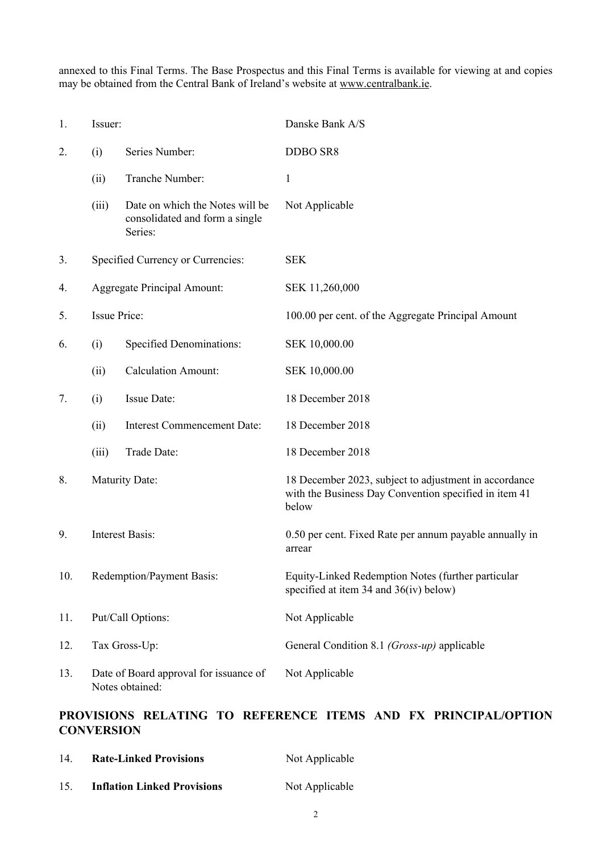annexed to this Final Terms. The Base Prospectus and this Final Terms is available for viewing at and copies may be obtained from the Central Bank of Ireland's website at www.centralbank.ie.

| 1.  | Issuer:                   |                                                                              | Danske Bank A/S                                                                                                         |  |
|-----|---------------------------|------------------------------------------------------------------------------|-------------------------------------------------------------------------------------------------------------------------|--|
| 2.  | (i)                       | Series Number:                                                               | <b>DDBO SR8</b>                                                                                                         |  |
|     | (ii)                      | Tranche Number:                                                              | $\mathbf{1}$                                                                                                            |  |
|     | (iii)                     | Date on which the Notes will be<br>consolidated and form a single<br>Series: | Not Applicable                                                                                                          |  |
| 3.  |                           | Specified Currency or Currencies:                                            | <b>SEK</b>                                                                                                              |  |
| 4.  |                           | <b>Aggregate Principal Amount:</b>                                           | SEK 11,260,000                                                                                                          |  |
| 5.  | <b>Issue Price:</b>       |                                                                              | 100.00 per cent. of the Aggregate Principal Amount                                                                      |  |
| 6.  | (i)                       | <b>Specified Denominations:</b>                                              | SEK 10,000.00                                                                                                           |  |
|     | (ii)                      | <b>Calculation Amount:</b>                                                   | SEK 10,000.00                                                                                                           |  |
| 7.  | (i)                       | Issue Date:                                                                  | 18 December 2018                                                                                                        |  |
|     | (ii)                      | <b>Interest Commencement Date:</b>                                           | 18 December 2018                                                                                                        |  |
|     | (iii)                     | Trade Date:                                                                  | 18 December 2018                                                                                                        |  |
| 8.  |                           | <b>Maturity Date:</b>                                                        | 18 December 2023, subject to adjustment in accordance<br>with the Business Day Convention specified in item 41<br>below |  |
| 9.  |                           | <b>Interest Basis:</b>                                                       | 0.50 per cent. Fixed Rate per annum payable annually in<br>arrear                                                       |  |
| 10. | Redemption/Payment Basis: |                                                                              | Equity-Linked Redemption Notes (further particular<br>specified at item 34 and 36(iv) below)                            |  |
| 11. |                           | Put/Call Options:                                                            | Not Applicable                                                                                                          |  |
| 12. |                           | Tax Gross-Up:                                                                | General Condition 8.1 (Gross-up) applicable                                                                             |  |
| 13. |                           | Date of Board approval for issuance of<br>Notes obtained:                    | Not Applicable                                                                                                          |  |

# **PROVISIONS RELATING TO REFERENCE ITEMS AND FX PRINCIPAL/OPTION CONVERSION**

| 14 | <b>Rate-Linked Provisions</b>      | Not Applicable |
|----|------------------------------------|----------------|
| 15 | <b>Inflation Linked Provisions</b> | Not Applicable |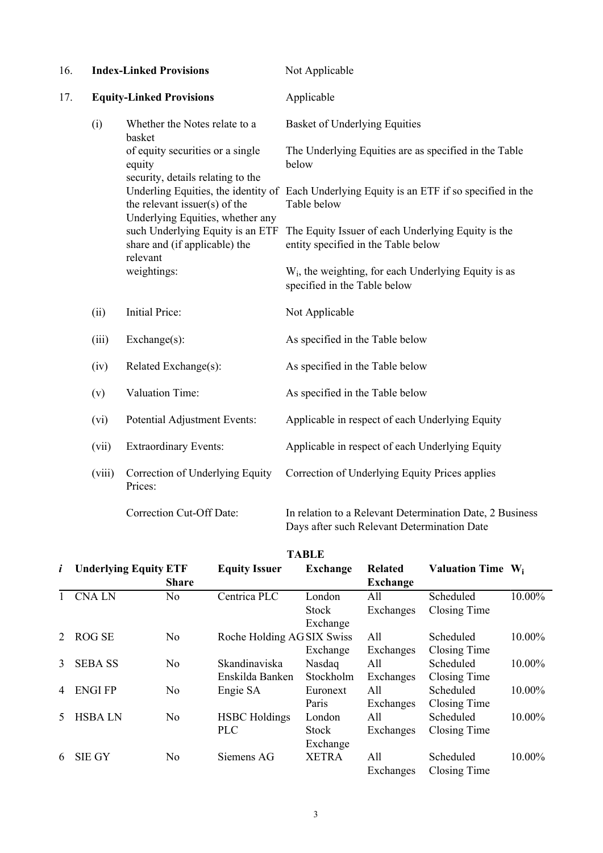| 16. |        | <b>Index-Linked Provisions</b>                                                  | Not Applicable                                                                                             |  |  |
|-----|--------|---------------------------------------------------------------------------------|------------------------------------------------------------------------------------------------------------|--|--|
| 17. |        | <b>Equity-Linked Provisions</b>                                                 | Applicable                                                                                                 |  |  |
|     | (i)    | Whether the Notes relate to a<br>basket                                         | <b>Basket of Underlying Equities</b>                                                                       |  |  |
|     |        | of equity securities or a single<br>equity<br>security, details relating to the | The Underlying Equities are as specified in the Table<br>below                                             |  |  |
|     |        | the relevant issuer(s) of the<br>Underlying Equities, whether any               | Underling Equities, the identity of Each Underlying Equity is an ETF if so specified in the<br>Table below |  |  |
|     |        | such Underlying Equity is an ETF<br>share and (if applicable) the<br>relevant   | The Equity Issuer of each Underlying Equity is the<br>entity specified in the Table below                  |  |  |
|     |        | weightings:                                                                     | $W_i$ , the weighting, for each Underlying Equity is as<br>specified in the Table below                    |  |  |
|     | (ii)   | Initial Price:                                                                  | Not Applicable                                                                                             |  |  |
|     | (iii)  | Exchange(s):                                                                    | As specified in the Table below                                                                            |  |  |
|     | (iv)   | Related Exchange(s):                                                            | As specified in the Table below                                                                            |  |  |
|     | (v)    | Valuation Time:                                                                 | As specified in the Table below                                                                            |  |  |
|     | (vi)   | Potential Adjustment Events:                                                    | Applicable in respect of each Underlying Equity                                                            |  |  |
|     | (vii)  | <b>Extraordinary Events:</b>                                                    | Applicable in respect of each Underlying Equity                                                            |  |  |
|     | (viii) | Correction of Underlying Equity<br>Prices:                                      | Correction of Underlying Equity Prices applies                                                             |  |  |
|     |        | Correction Cut-Off Date:                                                        | In relation to a Relevant Determination Date, 2 Business<br>Days after such Relevant Determination Date    |  |  |

|              | TADLE                        |                |                                    |                                    |                                   |                               |        |
|--------------|------------------------------|----------------|------------------------------------|------------------------------------|-----------------------------------|-------------------------------|--------|
| $\mathbf{i}$ | <b>Underlying Equity ETF</b> | <b>Share</b>   | <b>Equity Issuer</b>               | <b>Exchange</b>                    | <b>Related</b><br><b>Exchange</b> | Valuation Time W <sub>i</sub> |        |
|              | <b>CNALN</b>                 | No             | Centrica PLC                       | London<br><b>Stock</b><br>Exchange | All<br>Exchanges                  | Scheduled<br>Closing Time     | 10.00% |
| 2            | <b>ROG SE</b>                | No             | Roche Holding AG SIX Swiss         | Exchange                           | All<br>Exchanges                  | Scheduled<br>Closing Time     | 10.00% |
| 3            | <b>SEBA SS</b>               | No             | Skandinaviska<br>Enskilda Banken   | Nasdaq<br>Stockholm                | All<br>Exchanges                  | Scheduled<br>Closing Time     | 10.00% |
| 4            | <b>ENGIFP</b>                | No             | Engie SA                           | Euronext<br>Paris                  | All<br>Exchanges                  | Scheduled<br>Closing Time     | 10.00% |
| 5            | <b>HSBALN</b>                | N <sub>0</sub> | <b>HSBC</b> Holdings<br><b>PLC</b> | London<br><b>Stock</b><br>Exchange | All<br>Exchanges                  | Scheduled<br>Closing Time     | 10.00% |
| 6            | <b>SIE GY</b>                | No             | Siemens AG                         | <b>XETRA</b>                       | All<br>Exchanges                  | Scheduled<br>Closing Time     | 10.00% |

**TABLE**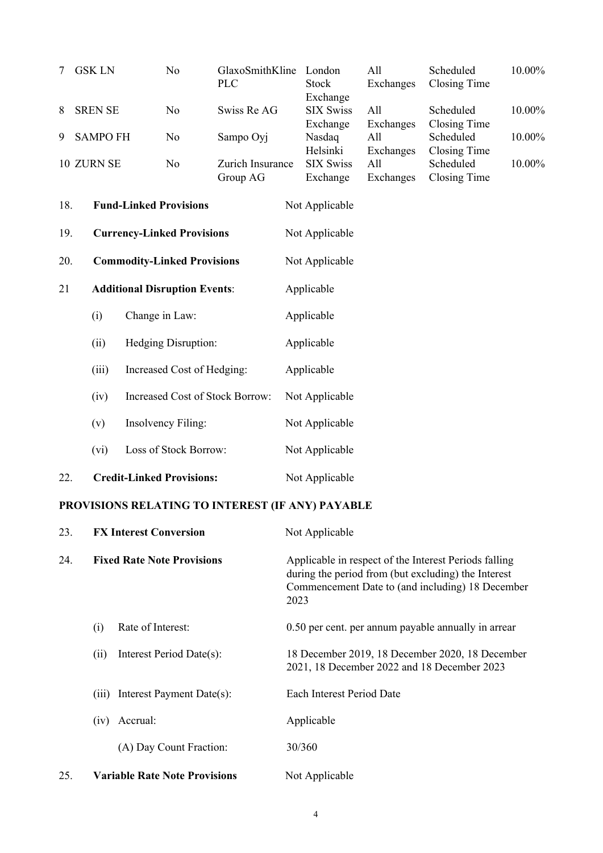| 7   | <b>GSK LN</b><br>N <sub>0</sub><br><b>PLC</b> |                                                  | GlaxoSmithKline              | London<br><b>Stock</b><br>Exchange                                                                                                                                       |                                          | All<br>Exchanges              | Scheduled<br><b>Closing Time</b>                                                                  | 10.00% |  |
|-----|-----------------------------------------------|--------------------------------------------------|------------------------------|--------------------------------------------------------------------------------------------------------------------------------------------------------------------------|------------------------------------------|-------------------------------|---------------------------------------------------------------------------------------------------|--------|--|
| 8   | <b>SREN SE</b>                                | N <sub>o</sub>                                   | Swiss Re AG                  |                                                                                                                                                                          | <b>SIX Swiss</b>                         | All                           | Scheduled<br>Closing Time<br>Scheduled<br><b>Closing Time</b><br>Scheduled<br><b>Closing Time</b> | 10.00% |  |
| 9   | <b>SAMPO FH</b>                               | N <sub>0</sub>                                   | Sampo Oyj                    |                                                                                                                                                                          | Exchange<br>Nasdaq                       | Exchanges<br>All              |                                                                                                   | 10.00% |  |
|     | 10 ZURN SE                                    | N <sub>0</sub>                                   | Zurich Insurance<br>Group AG |                                                                                                                                                                          | Helsinki<br><b>SIX Swiss</b><br>Exchange | Exchanges<br>All<br>Exchanges |                                                                                                   | 10.00% |  |
| 18. |                                               | <b>Fund-Linked Provisions</b>                    |                              |                                                                                                                                                                          | Not Applicable                           |                               |                                                                                                   |        |  |
| 19. |                                               | <b>Currency-Linked Provisions</b>                |                              |                                                                                                                                                                          | Not Applicable                           |                               |                                                                                                   |        |  |
| 20. |                                               | <b>Commodity-Linked Provisions</b>               |                              |                                                                                                                                                                          | Not Applicable                           |                               |                                                                                                   |        |  |
| 21  |                                               | <b>Additional Disruption Events:</b>             |                              |                                                                                                                                                                          | Applicable                               |                               |                                                                                                   |        |  |
|     | (i)                                           | Change in Law:                                   |                              |                                                                                                                                                                          | Applicable                               |                               |                                                                                                   |        |  |
|     | (ii)                                          | Hedging Disruption:                              |                              |                                                                                                                                                                          | Applicable                               |                               |                                                                                                   |        |  |
|     | (iii)                                         | Increased Cost of Hedging:                       |                              |                                                                                                                                                                          | Applicable                               |                               |                                                                                                   |        |  |
|     | (iv)                                          | <b>Increased Cost of Stock Borrow:</b>           |                              |                                                                                                                                                                          | Not Applicable                           |                               |                                                                                                   |        |  |
|     | (v)                                           | Insolvency Filing:                               |                              |                                                                                                                                                                          | Not Applicable                           |                               |                                                                                                   |        |  |
|     | (vi)                                          | Loss of Stock Borrow:                            |                              |                                                                                                                                                                          | Not Applicable                           |                               |                                                                                                   |        |  |
|     | <b>Credit-Linked Provisions:</b><br>22.       |                                                  |                              |                                                                                                                                                                          | Not Applicable                           |                               |                                                                                                   |        |  |
|     |                                               | PROVISIONS RELATING TO INTEREST (IF ANY) PAYABLE |                              |                                                                                                                                                                          |                                          |                               |                                                                                                   |        |  |
|     | <b>FX Interest Conversion</b><br>23.          |                                                  |                              |                                                                                                                                                                          | Not Applicable                           |                               |                                                                                                   |        |  |
| 24. | <b>Fixed Rate Note Provisions</b>             |                                                  |                              | Applicable in respect of the Interest Periods falling<br>during the period from (but excluding) the Interest<br>Commencement Date to (and including) 18 December<br>2023 |                                          |                               |                                                                                                   |        |  |
|     | (i)                                           | Rate of Interest:                                |                              |                                                                                                                                                                          |                                          |                               | 0.50 per cent. per annum payable annually in arrear                                               |        |  |
|     | (ii)                                          | Interest Period Date(s):                         |                              |                                                                                                                                                                          |                                          |                               | 18 December 2019, 18 December 2020, 18 December<br>2021, 18 December 2022 and 18 December 2023    |        |  |
|     | (iii)                                         | Interest Payment Date(s):                        |                              |                                                                                                                                                                          | Each Interest Period Date                |                               |                                                                                                   |        |  |
|     | (iv)                                          | Accrual:                                         |                              |                                                                                                                                                                          | Applicable                               |                               |                                                                                                   |        |  |
|     |                                               | (A) Day Count Fraction:                          |                              |                                                                                                                                                                          | 30/360                                   |                               |                                                                                                   |        |  |
| 25. |                                               | <b>Variable Rate Note Provisions</b>             |                              |                                                                                                                                                                          | Not Applicable                           |                               |                                                                                                   |        |  |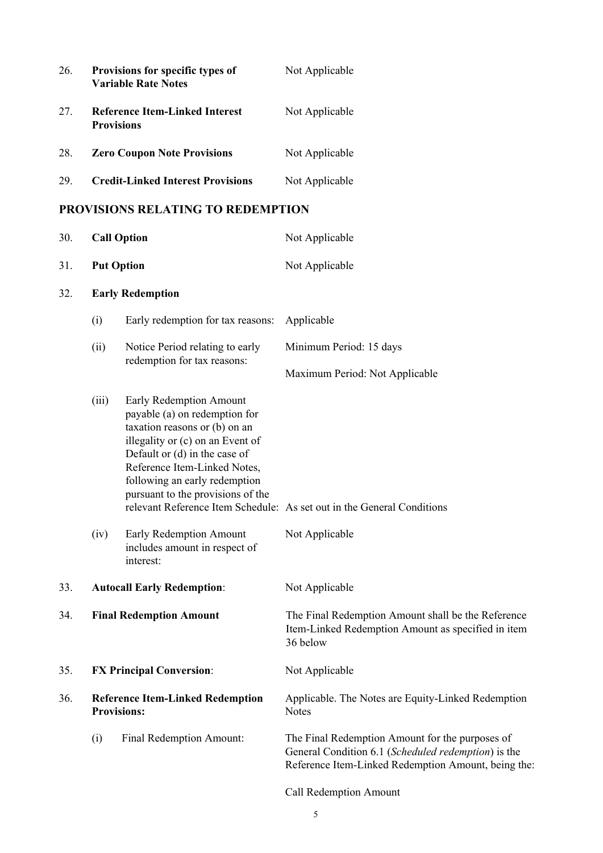| 26.<br>Provisions for specific types of<br>Not Applicable<br><b>Variable Rate Notes</b><br>27.<br><b>Reference Item-Linked Interest</b><br>Not Applicable<br><b>Provisions</b><br>28.<br><b>Zero Coupon Note Provisions</b><br>Not Applicable<br><b>Credit-Linked Interest Provisions</b><br>29.<br>Not Applicable<br><b>PROVISIONS RELATING TO REDEMPTION</b><br><b>Call Option</b><br>30.<br>Not Applicable<br>31.<br><b>Put Option</b><br>Not Applicable<br>32.<br><b>Early Redemption</b> |  |
|-----------------------------------------------------------------------------------------------------------------------------------------------------------------------------------------------------------------------------------------------------------------------------------------------------------------------------------------------------------------------------------------------------------------------------------------------------------------------------------------------|--|
|                                                                                                                                                                                                                                                                                                                                                                                                                                                                                               |  |
|                                                                                                                                                                                                                                                                                                                                                                                                                                                                                               |  |
|                                                                                                                                                                                                                                                                                                                                                                                                                                                                                               |  |
|                                                                                                                                                                                                                                                                                                                                                                                                                                                                                               |  |
|                                                                                                                                                                                                                                                                                                                                                                                                                                                                                               |  |
|                                                                                                                                                                                                                                                                                                                                                                                                                                                                                               |  |
|                                                                                                                                                                                                                                                                                                                                                                                                                                                                                               |  |
|                                                                                                                                                                                                                                                                                                                                                                                                                                                                                               |  |
| Early redemption for tax reasons:<br>Applicable<br>(i)                                                                                                                                                                                                                                                                                                                                                                                                                                        |  |
| Notice Period relating to early<br>(ii)<br>Minimum Period: 15 days<br>redemption for tax reasons:                                                                                                                                                                                                                                                                                                                                                                                             |  |
| Maximum Period: Not Applicable                                                                                                                                                                                                                                                                                                                                                                                                                                                                |  |
| (iii)<br>Early Redemption Amount<br>payable (a) on redemption for<br>taxation reasons or (b) on an<br>illegality or (c) on an Event of<br>Default or (d) in the case of<br>Reference Item-Linked Notes,<br>following an early redemption<br>pursuant to the provisions of the<br>relevant Reference Item Schedule: As set out in the General Conditions                                                                                                                                       |  |
| (iv)<br>Early Redemption Amount<br>Not Applicable<br>includes amount in respect of<br>interest:                                                                                                                                                                                                                                                                                                                                                                                               |  |
| 33.<br><b>Autocall Early Redemption:</b><br>Not Applicable                                                                                                                                                                                                                                                                                                                                                                                                                                    |  |
| 34.<br><b>Final Redemption Amount</b><br>The Final Redemption Amount shall be the Reference<br>Item-Linked Redemption Amount as specified in item<br>36 below                                                                                                                                                                                                                                                                                                                                 |  |
| <b>FX Principal Conversion:</b><br>35.<br>Not Applicable                                                                                                                                                                                                                                                                                                                                                                                                                                      |  |
| 36.<br><b>Reference Item-Linked Redemption</b><br>Applicable. The Notes are Equity-Linked Redemption<br><b>Provisions:</b><br><b>Notes</b>                                                                                                                                                                                                                                                                                                                                                    |  |
| Final Redemption Amount:<br>The Final Redemption Amount for the purposes of<br>(i)<br>General Condition 6.1 (Scheduled redemption) is the<br>Reference Item-Linked Redemption Amount, being the:                                                                                                                                                                                                                                                                                              |  |

Call Redemption Amount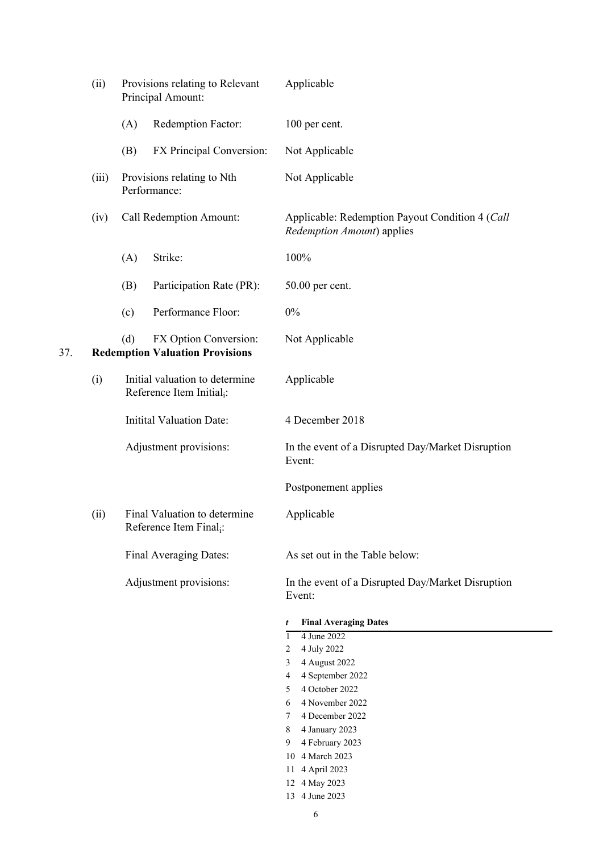|     | (ii)  |     | Provisions relating to Relevant<br>Principal Amount:                    | Applicable                                                                    |
|-----|-------|-----|-------------------------------------------------------------------------|-------------------------------------------------------------------------------|
|     |       | (A) | Redemption Factor:                                                      | 100 per cent.                                                                 |
|     |       | (B) | FX Principal Conversion:                                                | Not Applicable                                                                |
|     | (iii) |     | Provisions relating to Nth<br>Performance:                              | Not Applicable                                                                |
|     | (iv)  |     | Call Redemption Amount:                                                 | Applicable: Redemption Payout Condition 4 (Call<br>Redemption Amount) applies |
|     |       | (A) | Strike:                                                                 | 100%                                                                          |
|     |       | (B) | Participation Rate (PR):                                                | 50.00 per cent.                                                               |
|     |       | (c) | Performance Floor:                                                      | $0\%$                                                                         |
| 37. |       | (d) | FX Option Conversion:<br><b>Redemption Valuation Provisions</b>         | Not Applicable                                                                |
|     | (i)   |     | Initial valuation to determine<br>Reference Item Initial <sub>i</sub> : | Applicable                                                                    |
|     |       |     | <b>Initital Valuation Date:</b>                                         | 4 December 2018                                                               |
|     |       |     | Adjustment provisions:                                                  | In the event of a Disrupted Day/Market Disruption<br>Event:                   |
|     |       |     |                                                                         | Postponement applies                                                          |
|     | (ii)  |     | Final Valuation to determine<br>Reference Item Final <sub>i</sub> :     | Applicable                                                                    |
|     |       |     | Final Averaging Dates:                                                  | As set out in the Table below:                                                |
|     |       |     | Adjustment provisions:                                                  | In the event of a Disrupted Day/Market Disruption<br>Event:                   |
|     |       |     |                                                                         | <b>Final Averaging Dates</b><br>t                                             |
|     |       |     |                                                                         | 4 June 2022<br>$\mathbf{1}$                                                   |
|     |       |     |                                                                         | 4 July 2022<br>$\overline{2}$<br>4 August 2022                                |
|     |       |     |                                                                         | 3<br>4 September 2022<br>4                                                    |
|     |       |     |                                                                         | 4 October 2022<br>5                                                           |
|     |       |     |                                                                         | 4 November 2022<br>6                                                          |
|     |       |     |                                                                         | 4 December 2022<br>7                                                          |
|     |       |     |                                                                         | 4 January 2023<br>8                                                           |
|     |       |     |                                                                         | 4 February 2023<br>9                                                          |
|     |       |     |                                                                         | 10 4 March 2023                                                               |
|     |       |     |                                                                         | 4 April 2023<br>11                                                            |
|     |       |     |                                                                         | 12 4 May 2023                                                                 |
|     |       |     |                                                                         | 13 4 June 2023                                                                |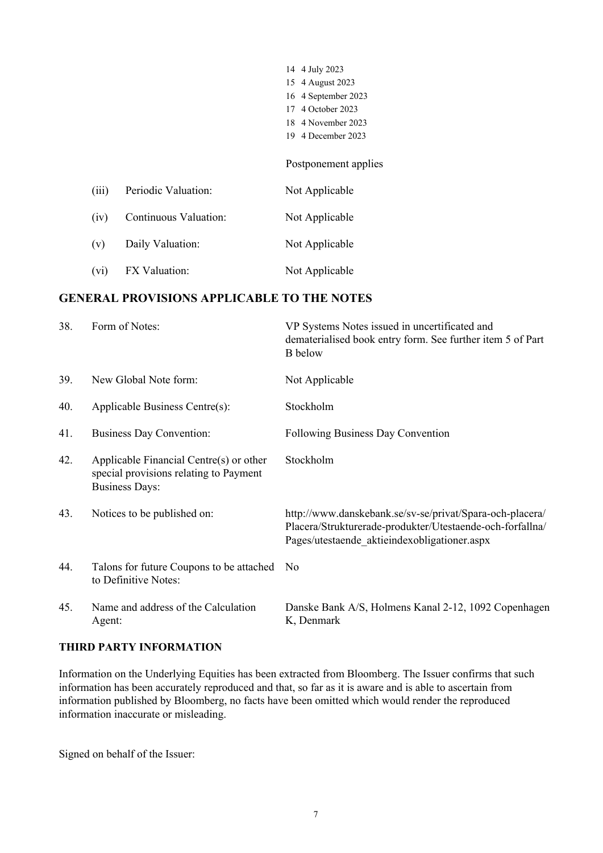|       |                       | 14 4 July 2023<br>15 4 August 2023<br>16 4 September 2023<br>4 October 2023<br>17<br>18 4 November 2023<br>4 December 2023<br>19 |
|-------|-----------------------|----------------------------------------------------------------------------------------------------------------------------------|
|       |                       | Postponement applies                                                                                                             |
| (iii) | Periodic Valuation:   | Not Applicable                                                                                                                   |
| (iv)  | Continuous Valuation: | Not Applicable                                                                                                                   |
| (v)   | Daily Valuation:      | Not Applicable                                                                                                                   |
| (vi)  | FX Valuation:         | Not Applicable                                                                                                                   |

## **GENERAL PROVISIONS APPLICABLE TO THE NOTES**

| 38. | Form of Notes:                                                                                             | VP Systems Notes issued in uncertificated and<br>dematerialised book entry form. See further item 5 of Part<br><b>B</b> below                                         |
|-----|------------------------------------------------------------------------------------------------------------|-----------------------------------------------------------------------------------------------------------------------------------------------------------------------|
| 39. | New Global Note form:                                                                                      | Not Applicable                                                                                                                                                        |
| 40. | Applicable Business Centre(s):                                                                             | Stockholm                                                                                                                                                             |
| 41. | <b>Business Day Convention:</b>                                                                            | Following Business Day Convention                                                                                                                                     |
| 42. | Applicable Financial Centre(s) or other<br>special provisions relating to Payment<br><b>Business Days:</b> | Stockholm                                                                                                                                                             |
| 43. | Notices to be published on:                                                                                | http://www.danskebank.se/sv-se/privat/Spara-och-placera/<br>Placera/Strukturerade-produkter/Utestaende-och-forfallna/<br>Pages/utestaende aktieindexobligationer.aspx |
| 44. | Talons for future Coupons to be attached<br>to Definitive Notes:                                           | N <sub>0</sub>                                                                                                                                                        |
| 45. | Name and address of the Calculation<br>Agent:                                                              | Danske Bank A/S, Holmens Kanal 2-12, 1092 Copenhagen<br>K, Denmark                                                                                                    |

### **THIRD PARTY INFORMATION**

Information on the Underlying Equities has been extracted from Bloomberg. The Issuer confirms that such information has been accurately reproduced and that, so far as it is aware and is able to ascertain from information published by Bloomberg, no facts have been omitted which would render the reproduced information inaccurate or misleading.

Signed on behalf of the Issuer: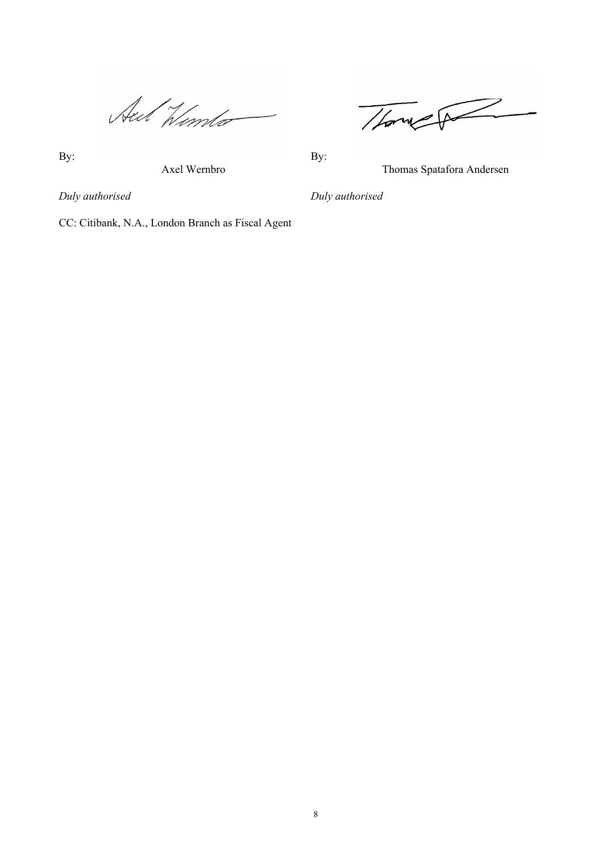Aut Winter

Thomas P

By: By:

Axel Wernbro Thomas Spatafora Andersen

*Duly authorised Duly authorised*

CC: Citibank, N.A., London Branch as Fiscal Agent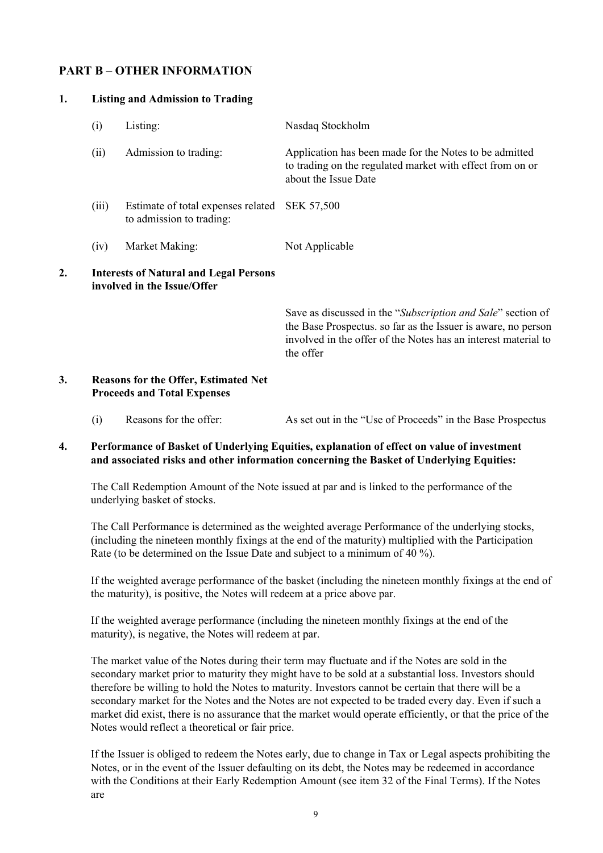# **PART B – OTHER INFORMATION**

| 1. |       | <b>Listing and Admission to Trading</b>                                      |                                                                                                                                                                                                             |  |  |  |  |
|----|-------|------------------------------------------------------------------------------|-------------------------------------------------------------------------------------------------------------------------------------------------------------------------------------------------------------|--|--|--|--|
|    | (i)   | Listing:                                                                     | Nasdaq Stockholm                                                                                                                                                                                            |  |  |  |  |
|    | (ii)  | Admission to trading:                                                        | Application has been made for the Notes to be admitted<br>to trading on the regulated market with effect from on or<br>about the Issue Date                                                                 |  |  |  |  |
|    | (iii) | Estimate of total expenses related<br>to admission to trading:               | <b>SEK 57,500</b>                                                                                                                                                                                           |  |  |  |  |
|    | (iv)  | Market Making:                                                               | Not Applicable                                                                                                                                                                                              |  |  |  |  |
| 2. |       | <b>Interests of Natural and Legal Persons</b><br>involved in the Issue/Offer |                                                                                                                                                                                                             |  |  |  |  |
|    |       |                                                                              | Save as discussed in the "Subscription and Sale" section of<br>the Base Prospectus. so far as the Issuer is aware, no person<br>involved in the offer of the Notes has an interest material to<br>the offer |  |  |  |  |
| 3  |       | Reasons for the Offer Estimated Net                                          |                                                                                                                                                                                                             |  |  |  |  |

#### **3. Reasons for the Offer, Estimated Net Proceeds and Total Expenses**

(i) Reasons for the offer: As set out in the "Use of Proceeds" in the Base Prospectus

## **4. Performance of Basket of Underlying Equities, explanation of effect on value of investment and associated risks and other information concerning the Basket of Underlying Equities:**

The Call Redemption Amount of the Note issued at par and is linked to the performance of the underlying basket of stocks.

The Call Performance is determined as the weighted average Performance of the underlying stocks, (including the nineteen monthly fixings at the end of the maturity) multiplied with the Participation Rate (to be determined on the Issue Date and subject to a minimum of 40 %).

If the weighted average performance of the basket (including the nineteen monthly fixings at the end of the maturity), is positive, the Notes will redeem at a price above par.

If the weighted average performance (including the nineteen monthly fixings at the end of the maturity), is negative, the Notes will redeem at par.

The market value of the Notes during their term may fluctuate and if the Notes are sold in the secondary market prior to maturity they might have to be sold at a substantial loss. Investors should therefore be willing to hold the Notes to maturity. Investors cannot be certain that there will be a secondary market for the Notes and the Notes are not expected to be traded every day. Even if such a market did exist, there is no assurance that the market would operate efficiently, or that the price of the Notes would reflect a theoretical or fair price.

If the Issuer is obliged to redeem the Notes early, due to change in Tax or Legal aspects prohibiting the Notes, or in the event of the Issuer defaulting on its debt, the Notes may be redeemed in accordance with the Conditions at their Early Redemption Amount (see item 32 of the Final Terms). If the Notes are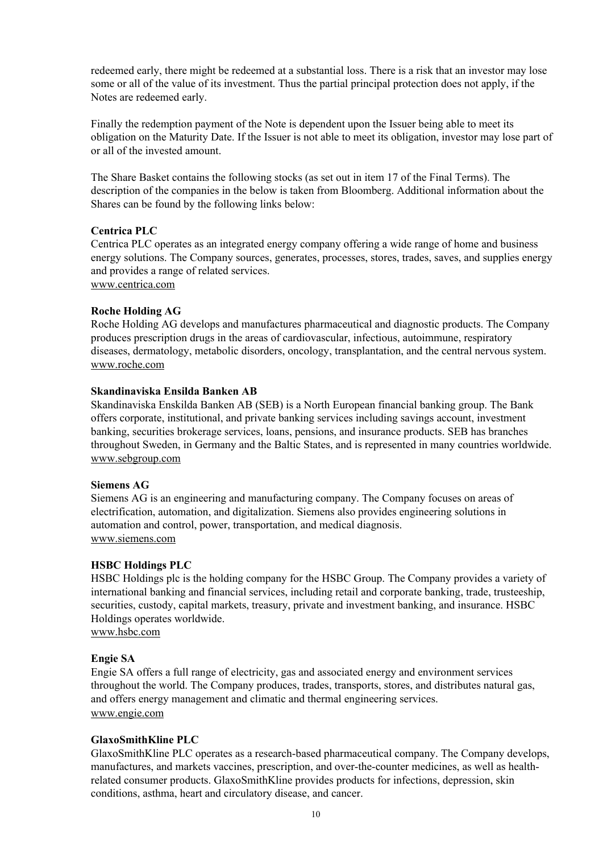redeemed early, there might be redeemed at a substantial loss. There is a risk that an investor may lose some or all of the value of its investment. Thus the partial principal protection does not apply, if the Notes are redeemed early.

Finally the redemption payment of the Note is dependent upon the Issuer being able to meet its obligation on the Maturity Date. If the Issuer is not able to meet its obligation, investor may lose part of or all of the invested amount.

The Share Basket contains the following stocks (as set out in item 17 of the Final Terms). The description of the companies in the below is taken from Bloomberg. Additional information about the Shares can be found by the following links below:

### **Centrica PLC**

Centrica PLC operates as an integrated energy company offering a wide range of home and business energy solutions. The Company sources, generates, processes, stores, trades, saves, and supplies energy and provides a range of related services. www.centrica.com

### **Roche Holding AG**

Roche Holding AG develops and manufactures pharmaceutical and diagnostic products. The Company produces prescription drugs in the areas of cardiovascular, infectious, autoimmune, respiratory diseases, dermatology, metabolic disorders, oncology, transplantation, and the central nervous system. www.roche.com

### **Skandinaviska Ensilda Banken AB**

Skandinaviska Enskilda Banken AB (SEB) is a North European financial banking group. The Bank offers corporate, institutional, and private banking services including savings account, investment banking, securities brokerage services, loans, pensions, and insurance products. SEB has branches throughout Sweden, in Germany and the Baltic States, and is represented in many countries worldwide. www.sebgroup.com

# **Siemens AG**

Siemens AG is an engineering and manufacturing company. The Company focuses on areas of electrification, automation, and digitalization. Siemens also provides engineering solutions in automation and control, power, transportation, and medical diagnosis. www.siemens.com

# **HSBC Holdings PLC**

HSBC Holdings plc is the holding company for the HSBC Group. The Company provides a variety of international banking and financial services, including retail and corporate banking, trade, trusteeship, securities, custody, capital markets, treasury, private and investment banking, and insurance. HSBC Holdings operates worldwide.

www.hsbc.com

### **Engie SA**

Engie SA offers a full range of electricity, gas and associated energy and environment services throughout the world. The Company produces, trades, transports, stores, and distributes natural gas, and offers energy management and climatic and thermal engineering services. www.engie.com

# **GlaxoSmithKline PLC**

GlaxoSmithKline PLC operates as a research-based pharmaceutical company. The Company develops, manufactures, and markets vaccines, prescription, and over-the-counter medicines, as well as healthrelated consumer products. GlaxoSmithKline provides products for infections, depression, skin conditions, asthma, heart and circulatory disease, and cancer.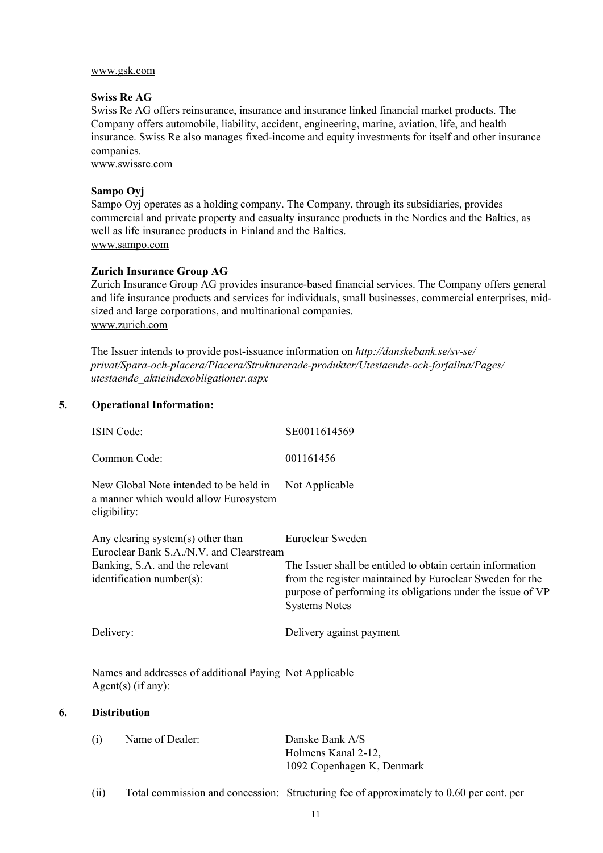#### www.gsk.com

### **Swiss Re AG**

Swiss Re AG offers reinsurance, insurance and insurance linked financial market products. The Company offers automobile, liability, accident, engineering, marine, aviation, life, and health insurance. Swiss Re also manages fixed-income and equity investments for itself and other insurance companies.

www.swissre.com

### **Sampo Oyj**

Sampo Oyj operates as a holding company. The Company, through its subsidiaries, provides commercial and private property and casualty insurance products in the Nordics and the Baltics, as well as life insurance products in Finland and the Baltics. www.sampo.com

### **Zurich Insurance Group AG**

Zurich Insurance Group AG provides insurance-based financial services. The Company offers general and life insurance products and services for individuals, small businesses, commercial enterprises, midsized and large corporations, and multinational companies. www.zurich.com

The Issuer intends to provide post-issuance information on *http://danskebank.se/sv-se/ privat/Spara-och-placera/Placera/Strukturerade-produkter/Utestaende-och-forfallna/Pages/ utestaende\_aktieindexobligationer.aspx*

## **5. Operational Information:**

| The Issuer shall be entitled to obtain certain information<br>from the register maintained by Euroclear Sweden for the<br>purpose of performing its obligations under the issue of VP |
|---------------------------------------------------------------------------------------------------------------------------------------------------------------------------------------|
|                                                                                                                                                                                       |
|                                                                                                                                                                                       |
|                                                                                                                                                                                       |
|                                                                                                                                                                                       |
| Total commission and concession: Structuring fee of approximately to 0.60 per cent. per                                                                                               |
|                                                                                                                                                                                       |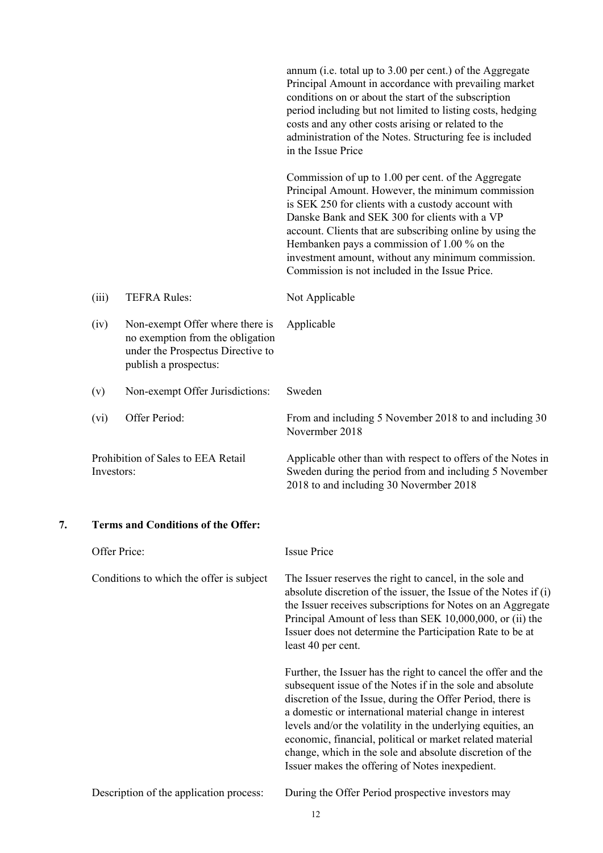|    |            |                                                                                                                                   | annum (i.e. total up to 3.00 per cent.) of the Aggregate<br>Principal Amount in accordance with prevailing market<br>conditions on or about the start of the subscription<br>period including but not limited to listing costs, hedging<br>costs and any other costs arising or related to the<br>administration of the Notes. Structuring fee is included<br>in the Issue Price                                                                                                               |  |  |  |
|----|------------|-----------------------------------------------------------------------------------------------------------------------------------|------------------------------------------------------------------------------------------------------------------------------------------------------------------------------------------------------------------------------------------------------------------------------------------------------------------------------------------------------------------------------------------------------------------------------------------------------------------------------------------------|--|--|--|
|    |            |                                                                                                                                   | Commission of up to 1.00 per cent. of the Aggregate<br>Principal Amount. However, the minimum commission<br>is SEK 250 for clients with a custody account with<br>Danske Bank and SEK 300 for clients with a VP<br>account. Clients that are subscribing online by using the<br>Hembanken pays a commission of 1.00 % on the<br>investment amount, without any minimum commission.<br>Commission is not included in the Issue Price.                                                           |  |  |  |
|    | (iii)      | <b>TEFRA Rules:</b>                                                                                                               | Not Applicable                                                                                                                                                                                                                                                                                                                                                                                                                                                                                 |  |  |  |
|    | (iv)       | Non-exempt Offer where there is<br>no exemption from the obligation<br>under the Prospectus Directive to<br>publish a prospectus: | Applicable                                                                                                                                                                                                                                                                                                                                                                                                                                                                                     |  |  |  |
|    | (v)        | Non-exempt Offer Jurisdictions:                                                                                                   | Sweden                                                                                                                                                                                                                                                                                                                                                                                                                                                                                         |  |  |  |
|    | (vi)       | Offer Period:                                                                                                                     | From and including 5 November 2018 to and including 30<br>Novermber 2018                                                                                                                                                                                                                                                                                                                                                                                                                       |  |  |  |
|    | Investors: | Prohibition of Sales to EEA Retail                                                                                                | Applicable other than with respect to offers of the Notes in<br>Sweden during the period from and including 5 November<br>2018 to and including 30 Novermber 2018                                                                                                                                                                                                                                                                                                                              |  |  |  |
| 7. |            | <b>Terms and Conditions of the Offer:</b>                                                                                         |                                                                                                                                                                                                                                                                                                                                                                                                                                                                                                |  |  |  |
|    |            | Offer Price:                                                                                                                      | <b>Issue Price</b>                                                                                                                                                                                                                                                                                                                                                                                                                                                                             |  |  |  |
|    |            | Conditions to which the offer is subject                                                                                          | The Issuer reserves the right to cancel, in the sole and<br>absolute discretion of the issuer, the Issue of the Notes if (i)<br>the Issuer receives subscriptions for Notes on an Aggregate<br>Principal Amount of less than SEK 10,000,000, or (ii) the<br>Issuer does not determine the Participation Rate to be at<br>least 40 per cent.                                                                                                                                                    |  |  |  |
|    |            |                                                                                                                                   | Further, the Issuer has the right to cancel the offer and the<br>subsequent issue of the Notes if in the sole and absolute<br>discretion of the Issue, during the Offer Period, there is<br>a domestic or international material change in interest<br>levels and/or the volatility in the underlying equities, an<br>economic, financial, political or market related material<br>change, which in the sole and absolute discretion of the<br>Issuer makes the offering of Notes inexpedient. |  |  |  |
|    |            | Description of the application process:                                                                                           | During the Offer Period prospective investors may                                                                                                                                                                                                                                                                                                                                                                                                                                              |  |  |  |
|    |            |                                                                                                                                   |                                                                                                                                                                                                                                                                                                                                                                                                                                                                                                |  |  |  |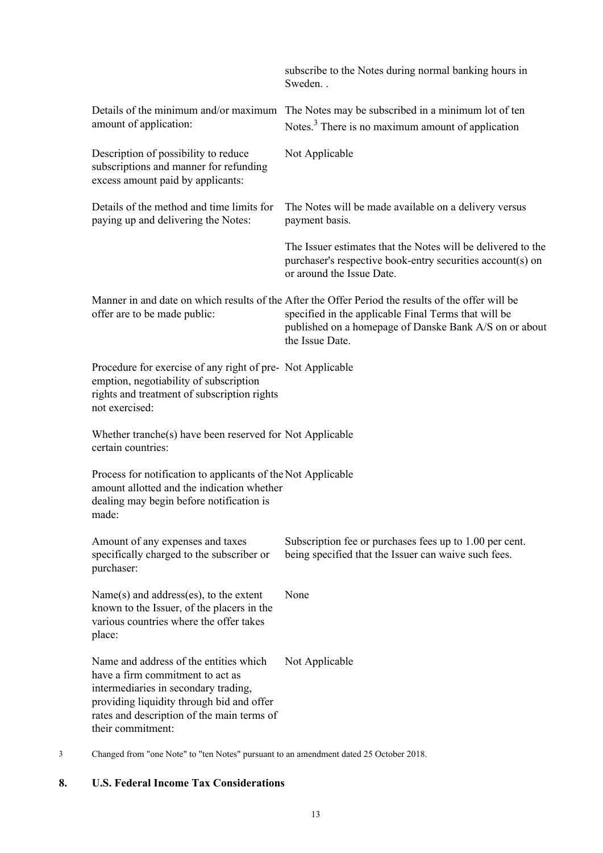|                                                                                                                                                                                                                                    | subscribe to the Notes during normal banking hours in<br>Sweden                                                                                                                                                                         |
|------------------------------------------------------------------------------------------------------------------------------------------------------------------------------------------------------------------------------------|-----------------------------------------------------------------------------------------------------------------------------------------------------------------------------------------------------------------------------------------|
| Details of the minimum and/or maximum<br>amount of application:                                                                                                                                                                    | The Notes may be subscribed in a minimum lot of ten<br>Notes. <sup>3</sup> There is no maximum amount of application                                                                                                                    |
| Description of possibility to reduce<br>subscriptions and manner for refunding<br>excess amount paid by applicants:                                                                                                                | Not Applicable                                                                                                                                                                                                                          |
| Details of the method and time limits for<br>paying up and delivering the Notes:                                                                                                                                                   | The Notes will be made available on a delivery versus<br>payment basis.                                                                                                                                                                 |
|                                                                                                                                                                                                                                    | The Issuer estimates that the Notes will be delivered to the<br>purchaser's respective book-entry securities account(s) on<br>or around the Issue Date.                                                                                 |
| offer are to be made public:                                                                                                                                                                                                       | Manner in and date on which results of the After the Offer Period the results of the offer will be<br>specified in the applicable Final Terms that will be<br>published on a homepage of Danske Bank A/S on or about<br>the Issue Date. |
| Procedure for exercise of any right of pre-Not Applicable<br>emption, negotiability of subscription<br>rights and treatment of subscription rights<br>not exercised:                                                               |                                                                                                                                                                                                                                         |
| Whether tranche(s) have been reserved for Not Applicable<br>certain countries:                                                                                                                                                     |                                                                                                                                                                                                                                         |
| Process for notification to applicants of the Not Applicable<br>amount allotted and the indication whether<br>dealing may begin before notification is<br>made:                                                                    |                                                                                                                                                                                                                                         |
| Amount of any expenses and taxes<br>specifically charged to the subscriber or<br>purchaser:                                                                                                                                        | Subscription fee or purchases fees up to 1.00 per cent.<br>being specified that the Issuer can waive such fees.                                                                                                                         |
| Name(s) and address(es), to the extent<br>known to the Issuer, of the placers in the<br>various countries where the offer takes<br>place:                                                                                          | None                                                                                                                                                                                                                                    |
| Name and address of the entities which<br>have a firm commitment to act as<br>intermediaries in secondary trading,<br>providing liquidity through bid and offer<br>rates and description of the main terms of<br>their commitment: | Not Applicable                                                                                                                                                                                                                          |

3 Changed from "one Note" to "ten Notes" pursuant to an amendment dated 25 October 2018.

# **8. U.S. Federal Income Tax Considerations**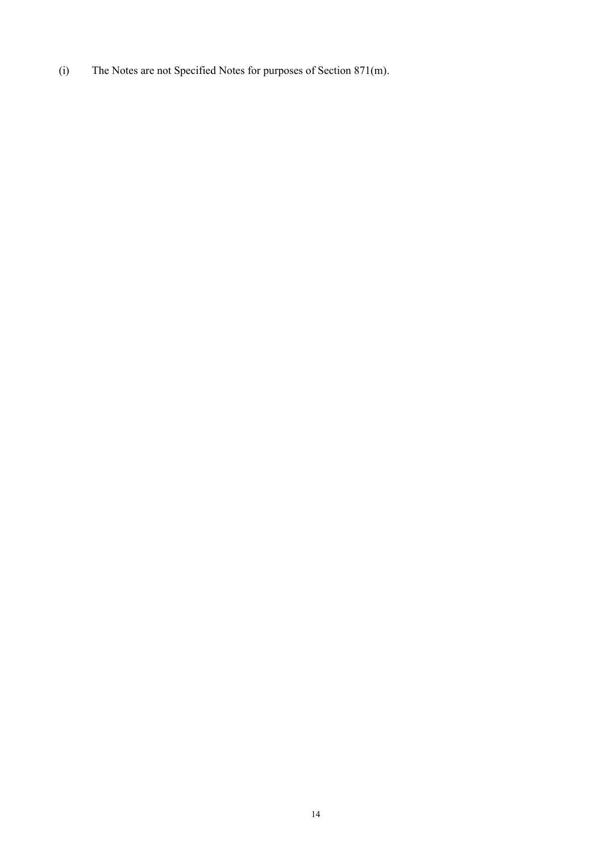(i) The Notes are not Specified Notes for purposes of Section 871(m).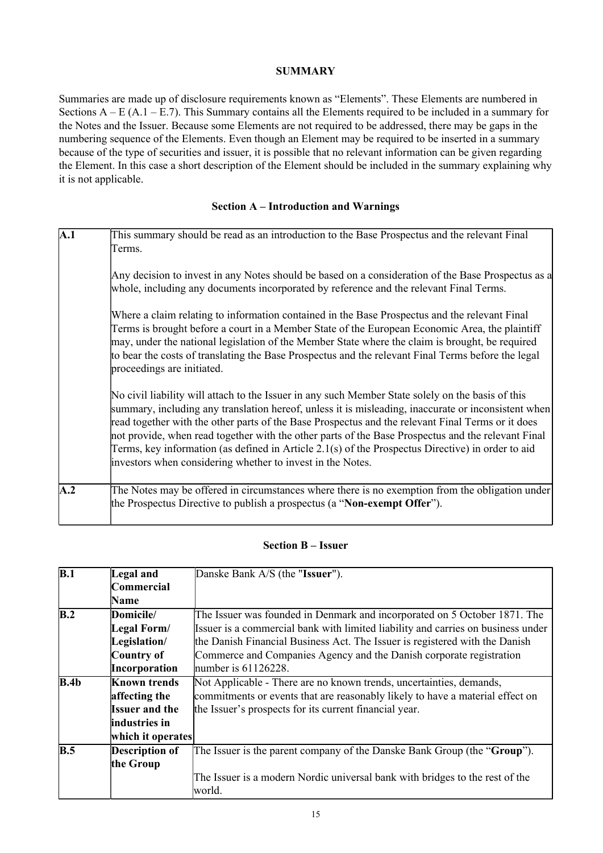# **SUMMARY**

Summaries are made up of disclosure requirements known as "Elements". These Elements are numbered in Sections  $A - E (A.1 - E.7)$ . This Summary contains all the Elements required to be included in a summary for the Notes and the Issuer. Because some Elements are not required to be addressed, there may be gaps in the numbering sequence of the Elements. Even though an Element may be required to be inserted in a summary because of the type of securities and issuer, it is possible that no relevant information can be given regarding the Element. In this case a short description of the Element should be included in the summary explaining why it is not applicable.

## **Section A – Introduction and Warnings**

| $\overline{A.1}$ | This summary should be read as an introduction to the Base Prospectus and the relevant Final                                                                                                                                                                                                                                                                                                                                                                                                                                                                                           |
|------------------|----------------------------------------------------------------------------------------------------------------------------------------------------------------------------------------------------------------------------------------------------------------------------------------------------------------------------------------------------------------------------------------------------------------------------------------------------------------------------------------------------------------------------------------------------------------------------------------|
|                  | Terms.                                                                                                                                                                                                                                                                                                                                                                                                                                                                                                                                                                                 |
|                  | Any decision to invest in any Notes should be based on a consideration of the Base Prospectus as a<br>whole, including any documents incorporated by reference and the relevant Final Terms.                                                                                                                                                                                                                                                                                                                                                                                           |
|                  | Where a claim relating to information contained in the Base Prospectus and the relevant Final<br>Terms is brought before a court in a Member State of the European Economic Area, the plaintiff<br>may, under the national legislation of the Member State where the claim is brought, be required<br>to bear the costs of translating the Base Prospectus and the relevant Final Terms before the legal<br>proceedings are initiated.                                                                                                                                                 |
|                  | No civil liability will attach to the Issuer in any such Member State solely on the basis of this<br>summary, including any translation hereof, unless it is misleading, inaccurate or inconsistent when<br>read together with the other parts of the Base Prospectus and the relevant Final Terms or it does<br>not provide, when read together with the other parts of the Base Prospectus and the relevant Final<br>Terms, key information (as defined in Article 2.1(s) of the Prospectus Directive) in order to aid<br>investors when considering whether to invest in the Notes. |
| $\mathbf{A.2}$   | The Notes may be offered in circumstances where there is no exemption from the obligation under<br>the Prospectus Directive to publish a prospectus (a "Non-exempt Offer").                                                                                                                                                                                                                                                                                                                                                                                                            |

## **Section B – Issuer**

| $\overline{B.1}$  | Legal and             | Danske Bank A/S (the "Issuer").                                                  |
|-------------------|-----------------------|----------------------------------------------------------------------------------|
|                   | Commercial            |                                                                                  |
|                   | Name                  |                                                                                  |
| $\overline{B.2}$  | Domicile/             | The Issuer was founded in Denmark and incorporated on 5 October 1871. The        |
|                   | Legal Form/           | Issuer is a commercial bank with limited liability and carries on business under |
|                   | Legislation/          | the Danish Financial Business Act. The Issuer is registered with the Danish      |
|                   | Country of            | Commerce and Companies Agency and the Danish corporate registration              |
|                   | Incorporation         | number is $61126228$ .                                                           |
| $\overline{B.4b}$ | <b>Known trends</b>   | Not Applicable - There are no known trends, uncertainties, demands,              |
|                   | affecting the         | commitments or events that are reasonably likely to have a material effect on    |
|                   | <b>Issuer and the</b> | the Issuer's prospects for its current financial year.                           |
|                   | industries in         |                                                                                  |
|                   | which it operates     |                                                                                  |
| B.5               | Description of        | The Issuer is the parent company of the Danske Bank Group (the "Group").         |
|                   | the Group             |                                                                                  |
|                   |                       | The Issuer is a modern Nordic universal bank with bridges to the rest of the     |
|                   |                       | world.                                                                           |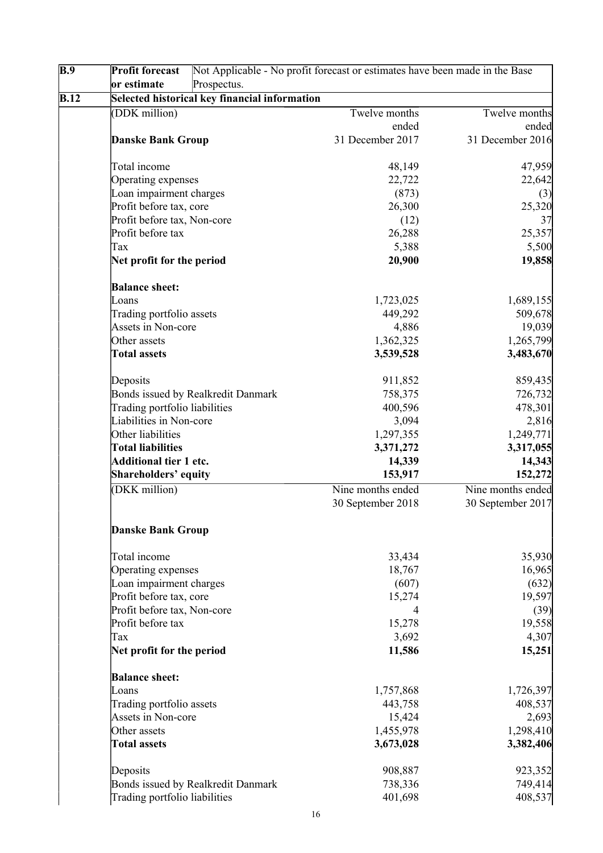| B.9  | <b>Profit forecast</b>             |                                               | Not Applicable - No profit forecast or estimates have been made in the Base |                   |
|------|------------------------------------|-----------------------------------------------|-----------------------------------------------------------------------------|-------------------|
|      | or estimate                        | Prospectus.                                   |                                                                             |                   |
| B.12 |                                    | Selected historical key financial information |                                                                             |                   |
|      | (DDK million)                      |                                               | Twelve months                                                               | Twelve months     |
|      |                                    |                                               | ended                                                                       | ended             |
|      | <b>Danske Bank Group</b>           |                                               | 31 December 2017                                                            | 31 December 2016  |
|      |                                    |                                               |                                                                             |                   |
|      | Total income                       |                                               | 48,149                                                                      | 47,959            |
|      | Operating expenses                 |                                               | 22,722                                                                      | 22,642            |
|      | Loan impairment charges            |                                               | (873)                                                                       | (3)               |
|      | Profit before tax, core            |                                               | 26,300                                                                      | 25,320            |
|      | Profit before tax, Non-core        |                                               | (12)                                                                        | 37                |
|      | Profit before tax                  |                                               | 26,288                                                                      | 25,357            |
|      | Tax                                |                                               | 5,388                                                                       | 5,500             |
|      | Net profit for the period          |                                               | 20,900                                                                      | 19,858            |
|      | <b>Balance sheet:</b>              |                                               |                                                                             |                   |
|      | Loans                              |                                               | 1,723,025                                                                   | 1,689,155         |
|      | Trading portfolio assets           |                                               | 449,292                                                                     | 509,678           |
|      | Assets in Non-core                 |                                               | 4,886                                                                       | 19,039            |
|      | Other assets                       |                                               | 1,362,325                                                                   | 1,265,799         |
|      | <b>Total assets</b>                |                                               |                                                                             | 3,483,670         |
|      |                                    |                                               | 3,539,528                                                                   |                   |
|      | Deposits                           |                                               | 911,852                                                                     | 859,435           |
|      | Bonds issued by Realkredit Danmark |                                               | 758,375                                                                     | 726,732           |
|      | Trading portfolio liabilities      |                                               | 400,596                                                                     | 478,301           |
|      | Liabilities in Non-core            |                                               | 3,094                                                                       | 2,816             |
|      | Other liabilities                  |                                               | 1,297,355                                                                   | 1,249,771         |
|      | <b>Total liabilities</b>           |                                               | 3,371,272                                                                   | 3,317,055         |
|      | <b>Additional tier 1 etc.</b>      |                                               | 14,339                                                                      | 14,343            |
|      | Shareholders' equity               |                                               | 153,917                                                                     | 152,272           |
|      | (DKK million)                      |                                               | Nine months ended                                                           | Nine months ended |
|      |                                    |                                               | 30 September 2018                                                           | 30 September 2017 |
|      | <b>Danske Bank Group</b>           |                                               |                                                                             |                   |
|      | Total income                       |                                               | 33,434                                                                      | 35,930            |
|      | Operating expenses                 |                                               | 18,767                                                                      | 16,965            |
|      | Loan impairment charges            |                                               | (607)                                                                       | (632)             |
|      | Profit before tax, core            |                                               | 15,274                                                                      | 19,597            |
|      | Profit before tax, Non-core        |                                               | 4                                                                           | (39)              |
|      | Profit before tax                  |                                               | 15,278                                                                      | 19,558            |
|      | Tax                                |                                               | 3,692                                                                       | 4,307             |
|      | Net profit for the period          |                                               | 11,586                                                                      | 15,251            |
|      | <b>Balance sheet:</b>              |                                               |                                                                             |                   |
|      | Loans                              |                                               | 1,757,868                                                                   | 1,726,397         |
|      | Trading portfolio assets           |                                               | 443,758                                                                     | 408,537           |
|      | Assets in Non-core                 |                                               | 15,424                                                                      | 2,693             |
|      | Other assets                       |                                               | 1,455,978                                                                   | 1,298,410         |
|      | <b>Total assets</b>                |                                               | 3,673,028                                                                   | 3,382,406         |
|      |                                    |                                               | 908,887                                                                     |                   |
|      | Deposits                           |                                               |                                                                             | 923,352           |
|      | Bonds issued by Realkredit Danmark |                                               | 738,336                                                                     | 749,414           |
|      | Trading portfolio liabilities      |                                               | 401,698                                                                     | 408,537           |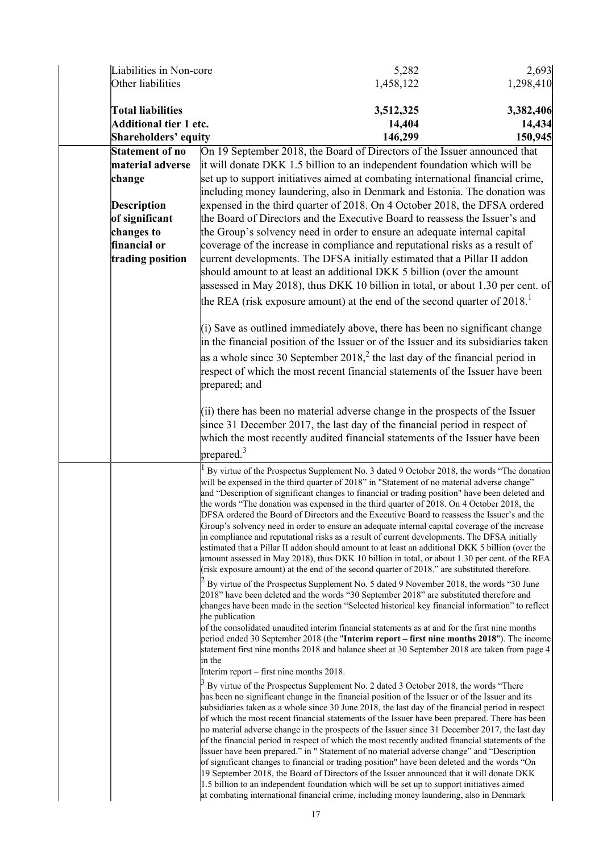| Liabilities in Non-core       |                                          | 5,282                                                                                                                                                                                                                                                                                                                                                                                                                                                                                                                                                                                                                                                                                                                                                                                                                                                                                                                                                                                             | 2,693     |
|-------------------------------|------------------------------------------|---------------------------------------------------------------------------------------------------------------------------------------------------------------------------------------------------------------------------------------------------------------------------------------------------------------------------------------------------------------------------------------------------------------------------------------------------------------------------------------------------------------------------------------------------------------------------------------------------------------------------------------------------------------------------------------------------------------------------------------------------------------------------------------------------------------------------------------------------------------------------------------------------------------------------------------------------------------------------------------------------|-----------|
| Other liabilities             |                                          | 1,458,122                                                                                                                                                                                                                                                                                                                                                                                                                                                                                                                                                                                                                                                                                                                                                                                                                                                                                                                                                                                         | 1,298,410 |
| <b>Total liabilities</b>      |                                          | 3,512,325                                                                                                                                                                                                                                                                                                                                                                                                                                                                                                                                                                                                                                                                                                                                                                                                                                                                                                                                                                                         | 3,382,406 |
| <b>Additional tier 1 etc.</b> |                                          | 14,404                                                                                                                                                                                                                                                                                                                                                                                                                                                                                                                                                                                                                                                                                                                                                                                                                                                                                                                                                                                            | 14,434    |
|                               |                                          | 146,299                                                                                                                                                                                                                                                                                                                                                                                                                                                                                                                                                                                                                                                                                                                                                                                                                                                                                                                                                                                           | 150,945   |
| Shareholders' equity          |                                          |                                                                                                                                                                                                                                                                                                                                                                                                                                                                                                                                                                                                                                                                                                                                                                                                                                                                                                                                                                                                   |           |
| <b>Statement of no</b>        |                                          | On 19 September 2018, the Board of Directors of the Issuer announced that                                                                                                                                                                                                                                                                                                                                                                                                                                                                                                                                                                                                                                                                                                                                                                                                                                                                                                                         |           |
| material adverse              |                                          | it will donate DKK 1.5 billion to an independent foundation which will be                                                                                                                                                                                                                                                                                                                                                                                                                                                                                                                                                                                                                                                                                                                                                                                                                                                                                                                         |           |
| change                        |                                          | set up to support initiatives aimed at combating international financial crime,                                                                                                                                                                                                                                                                                                                                                                                                                                                                                                                                                                                                                                                                                                                                                                                                                                                                                                                   |           |
|                               |                                          | including money laundering, also in Denmark and Estonia. The donation was                                                                                                                                                                                                                                                                                                                                                                                                                                                                                                                                                                                                                                                                                                                                                                                                                                                                                                                         |           |
| <b>Description</b>            |                                          | expensed in the third quarter of 2018. On 4 October 2018, the DFSA ordered                                                                                                                                                                                                                                                                                                                                                                                                                                                                                                                                                                                                                                                                                                                                                                                                                                                                                                                        |           |
| of significant                |                                          | the Board of Directors and the Executive Board to reassess the Issuer's and                                                                                                                                                                                                                                                                                                                                                                                                                                                                                                                                                                                                                                                                                                                                                                                                                                                                                                                       |           |
| changes to                    |                                          | the Group's solvency need in order to ensure an adequate internal capital                                                                                                                                                                                                                                                                                                                                                                                                                                                                                                                                                                                                                                                                                                                                                                                                                                                                                                                         |           |
| financial or                  |                                          | coverage of the increase in compliance and reputational risks as a result of                                                                                                                                                                                                                                                                                                                                                                                                                                                                                                                                                                                                                                                                                                                                                                                                                                                                                                                      |           |
| trading position              |                                          | current developments. The DFSA initially estimated that a Pillar II addon                                                                                                                                                                                                                                                                                                                                                                                                                                                                                                                                                                                                                                                                                                                                                                                                                                                                                                                         |           |
|                               |                                          | should amount to at least an additional DKK 5 billion (over the amount                                                                                                                                                                                                                                                                                                                                                                                                                                                                                                                                                                                                                                                                                                                                                                                                                                                                                                                            |           |
|                               |                                          | assessed in May 2018), thus DKK 10 billion in total, or about 1.30 per cent. of                                                                                                                                                                                                                                                                                                                                                                                                                                                                                                                                                                                                                                                                                                                                                                                                                                                                                                                   |           |
|                               |                                          | the REA (risk exposure amount) at the end of the second quarter of $2018$ <sup>1</sup>                                                                                                                                                                                                                                                                                                                                                                                                                                                                                                                                                                                                                                                                                                                                                                                                                                                                                                            |           |
|                               |                                          | (i) Save as outlined immediately above, there has been no significant change                                                                                                                                                                                                                                                                                                                                                                                                                                                                                                                                                                                                                                                                                                                                                                                                                                                                                                                      |           |
|                               |                                          | in the financial position of the Issuer or of the Issuer and its subsidiaries taken                                                                                                                                                                                                                                                                                                                                                                                                                                                                                                                                                                                                                                                                                                                                                                                                                                                                                                               |           |
|                               |                                          | as a whole since 30 September $20182$ , the last day of the financial period in<br>respect of which the most recent financial statements of the Issuer have been                                                                                                                                                                                                                                                                                                                                                                                                                                                                                                                                                                                                                                                                                                                                                                                                                                  |           |
|                               | prepared; and                            |                                                                                                                                                                                                                                                                                                                                                                                                                                                                                                                                                                                                                                                                                                                                                                                                                                                                                                                                                                                                   |           |
|                               |                                          | (ii) there has been no material adverse change in the prospects of the Issuer                                                                                                                                                                                                                                                                                                                                                                                                                                                                                                                                                                                                                                                                                                                                                                                                                                                                                                                     |           |
|                               |                                          | since 31 December 2017, the last day of the financial period in respect of                                                                                                                                                                                                                                                                                                                                                                                                                                                                                                                                                                                                                                                                                                                                                                                                                                                                                                                        |           |
|                               |                                          | which the most recently audited financial statements of the Issuer have been                                                                                                                                                                                                                                                                                                                                                                                                                                                                                                                                                                                                                                                                                                                                                                                                                                                                                                                      |           |
|                               | prepared. $3$                            |                                                                                                                                                                                                                                                                                                                                                                                                                                                                                                                                                                                                                                                                                                                                                                                                                                                                                                                                                                                                   |           |
|                               |                                          | By virtue of the Prospectus Supplement No. 3 dated 9 October 2018, the words "The donation<br>will be expensed in the third quarter of 2018" in "Statement of no material adverse change"<br>and "Description of significant changes to financial or trading position" have been deleted and<br>the words "The donation was expensed in the third quarter of 2018. On 4 October 2018, the<br>DFSA ordered the Board of Directors and the Executive Board to reassess the Issuer's and the<br>Group's solvency need in order to ensure an adequate internal capital coverage of the increase<br>in compliance and reputational risks as a result of current developments. The DFSA initially<br>estimated that a Pillar II addon should amount to at least an additional DKK 5 billion (over the<br>amount assessed in May 2018), thus DKK 10 billion in total, or about 1.30 per cent. of the REA<br>(risk exposure amount) at the end of the second quarter of 2018." are substituted therefore. |           |
|                               | the publication                          | $^2$ By virtue of the Prospectus Supplement No. 5 dated 9 November 2018, the words "30 June<br>2018" have been deleted and the words "30 September 2018" are substituted therefore and<br>changes have been made in the section "Selected historical key financial information" to reflect                                                                                                                                                                                                                                                                                                                                                                                                                                                                                                                                                                                                                                                                                                        |           |
|                               | in the                                   | of the consolidated unaudited interim financial statements as at and for the first nine months<br>period ended 30 September 2018 (the "Interim report – first nine months 2018"). The income<br>statement first nine months 2018 and balance sheet at 30 September 2018 are taken from page 4                                                                                                                                                                                                                                                                                                                                                                                                                                                                                                                                                                                                                                                                                                     |           |
|                               | Interim report – first nine months 2018. |                                                                                                                                                                                                                                                                                                                                                                                                                                                                                                                                                                                                                                                                                                                                                                                                                                                                                                                                                                                                   |           |
|                               |                                          | By virtue of the Prospectus Supplement No. 2 dated 3 October 2018, the words "There<br>has been no significant change in the financial position of the Issuer or of the Issuer and its<br>subsidiaries taken as a whole since 30 June 2018, the last day of the financial period in respect<br>of which the most recent financial statements of the Issuer have been prepared. There has been<br>no material adverse change in the prospects of the Issuer since 31 December 2017, the last day<br>of the financial period in respect of which the most recently audited financial statements of the<br>Issuer have been prepared." in " Statement of no material adverse change" and "Description                                                                                                                                                                                                                                                                                                |           |
|                               |                                          | of significant changes to financial or trading position" have been deleted and the words "On<br>19 September 2018, the Board of Directors of the Issuer announced that it will donate DKK<br>1.5 billion to an independent foundation which will be set up to support initiatives aimed<br>at combating international financial crime, including money laundering, also in Denmark                                                                                                                                                                                                                                                                                                                                                                                                                                                                                                                                                                                                                |           |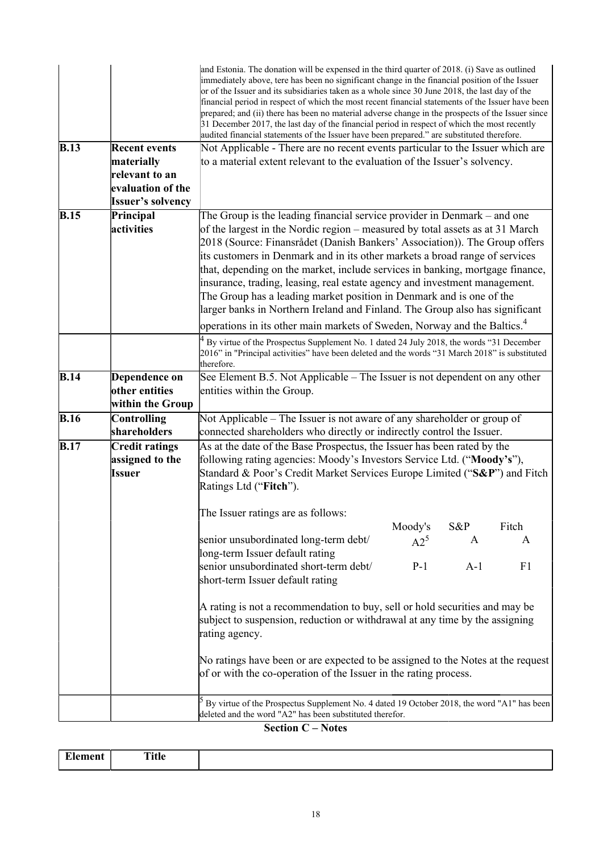|                   |                                       | and Estonia. The donation will be expensed in the third quarter of 2018. (i) Save as outlined<br>immediately above, tere has been no significant change in the financial position of the Issuer<br>or of the Issuer and its subsidiaries taken as a whole since 30 June 2018, the last day of the<br>financial period in respect of which the most recent financial statements of the Issuer have been<br>prepared; and (ii) there has been no material adverse change in the prospects of the Issuer since<br>31 December 2017, the last day of the financial period in respect of which the most recently<br>audited financial statements of the Issuer have been prepared." are substituted therefore. |         |       |                |  |
|-------------------|---------------------------------------|-----------------------------------------------------------------------------------------------------------------------------------------------------------------------------------------------------------------------------------------------------------------------------------------------------------------------------------------------------------------------------------------------------------------------------------------------------------------------------------------------------------------------------------------------------------------------------------------------------------------------------------------------------------------------------------------------------------|---------|-------|----------------|--|
| B.13              | <b>Recent events</b>                  | Not Applicable - There are no recent events particular to the Issuer which are                                                                                                                                                                                                                                                                                                                                                                                                                                                                                                                                                                                                                            |         |       |                |  |
|                   | materially<br>relevant to an          | to a material extent relevant to the evaluation of the Issuer's solvency.                                                                                                                                                                                                                                                                                                                                                                                                                                                                                                                                                                                                                                 |         |       |                |  |
|                   | evaluation of the                     |                                                                                                                                                                                                                                                                                                                                                                                                                                                                                                                                                                                                                                                                                                           |         |       |                |  |
|                   | <b>Issuer's solvency</b>              |                                                                                                                                                                                                                                                                                                                                                                                                                                                                                                                                                                                                                                                                                                           |         |       |                |  |
| B.15              | Principal                             | The Group is the leading financial service provider in Denmark – and one                                                                                                                                                                                                                                                                                                                                                                                                                                                                                                                                                                                                                                  |         |       |                |  |
|                   | activities                            | of the largest in the Nordic region – measured by total assets as at 31 March<br>2018 (Source: Finansrådet (Danish Bankers' Association)). The Group offers<br>its customers in Denmark and in its other markets a broad range of services<br>that, depending on the market, include services in banking, mortgage finance,<br>insurance, trading, leasing, real estate agency and investment management.<br>The Group has a leading market position in Denmark and is one of the<br>larger banks in Northern Ireland and Finland. The Group also has significant                                                                                                                                         |         |       |                |  |
|                   |                                       | operations in its other main markets of Sweden, Norway and the Baltics. <sup>4</sup>                                                                                                                                                                                                                                                                                                                                                                                                                                                                                                                                                                                                                      |         |       |                |  |
|                   |                                       | By virtue of the Prospectus Supplement No. 1 dated 24 July 2018, the words "31 December<br>2016" in "Principal activities" have been deleted and the words "31 March 2018" is substituted<br>therefore.                                                                                                                                                                                                                                                                                                                                                                                                                                                                                                   |         |       |                |  |
| <b>B.14</b>       | Dependence on                         | See Element B.5. Not Applicable – The Issuer is not dependent on any other                                                                                                                                                                                                                                                                                                                                                                                                                                                                                                                                                                                                                                |         |       |                |  |
|                   | other entities                        | entities within the Group.                                                                                                                                                                                                                                                                                                                                                                                                                                                                                                                                                                                                                                                                                |         |       |                |  |
|                   | within the Group                      |                                                                                                                                                                                                                                                                                                                                                                                                                                                                                                                                                                                                                                                                                                           |         |       |                |  |
| $\overline{B.16}$ | <b>Controlling</b>                    | Not Applicable – The Issuer is not aware of any shareholder or group of                                                                                                                                                                                                                                                                                                                                                                                                                                                                                                                                                                                                                                   |         |       |                |  |
| $\overline{B.17}$ | shareholders<br><b>Credit ratings</b> | connected shareholders who directly or indirectly control the Issuer.<br>As at the date of the Base Prospectus, the Issuer has been rated by the                                                                                                                                                                                                                                                                                                                                                                                                                                                                                                                                                          |         |       |                |  |
|                   | assigned to the                       | following rating agencies: Moody's Investors Service Ltd. ("Moody's"),                                                                                                                                                                                                                                                                                                                                                                                                                                                                                                                                                                                                                                    |         |       |                |  |
|                   | Issuer                                | Standard & Poor's Credit Market Services Europe Limited ("S&P") and Fitch<br>Ratings Ltd ("Fitch").                                                                                                                                                                                                                                                                                                                                                                                                                                                                                                                                                                                                       |         |       |                |  |
|                   |                                       | The Issuer ratings are as follows:                                                                                                                                                                                                                                                                                                                                                                                                                                                                                                                                                                                                                                                                        |         |       |                |  |
|                   |                                       |                                                                                                                                                                                                                                                                                                                                                                                                                                                                                                                                                                                                                                                                                                           | Moody's | S&P   | Fitch          |  |
|                   |                                       | senior unsubordinated long-term debt/                                                                                                                                                                                                                                                                                                                                                                                                                                                                                                                                                                                                                                                                     | $A2^5$  | A     | A              |  |
|                   |                                       | long-term Issuer default rating<br>senior unsubordinated short-term debt/                                                                                                                                                                                                                                                                                                                                                                                                                                                                                                                                                                                                                                 | $P-1$   | $A-1$ | F <sub>1</sub> |  |
|                   |                                       | short-term Issuer default rating                                                                                                                                                                                                                                                                                                                                                                                                                                                                                                                                                                                                                                                                          |         |       |                |  |
|                   |                                       | A rating is not a recommendation to buy, sell or hold securities and may be<br>subject to suspension, reduction or withdrawal at any time by the assigning<br>rating agency.                                                                                                                                                                                                                                                                                                                                                                                                                                                                                                                              |         |       |                |  |
|                   |                                       | No ratings have been or are expected to be assigned to the Notes at the request<br>of or with the co-operation of the Issuer in the rating process.                                                                                                                                                                                                                                                                                                                                                                                                                                                                                                                                                       |         |       |                |  |
|                   |                                       | By virtue of the Prospectus Supplement No. 4 dated 19 October 2018, the word "A1" has been<br>deleted and the word "A2" has been substituted therefor.                                                                                                                                                                                                                                                                                                                                                                                                                                                                                                                                                    |         |       |                |  |

#### **Section C – Notes**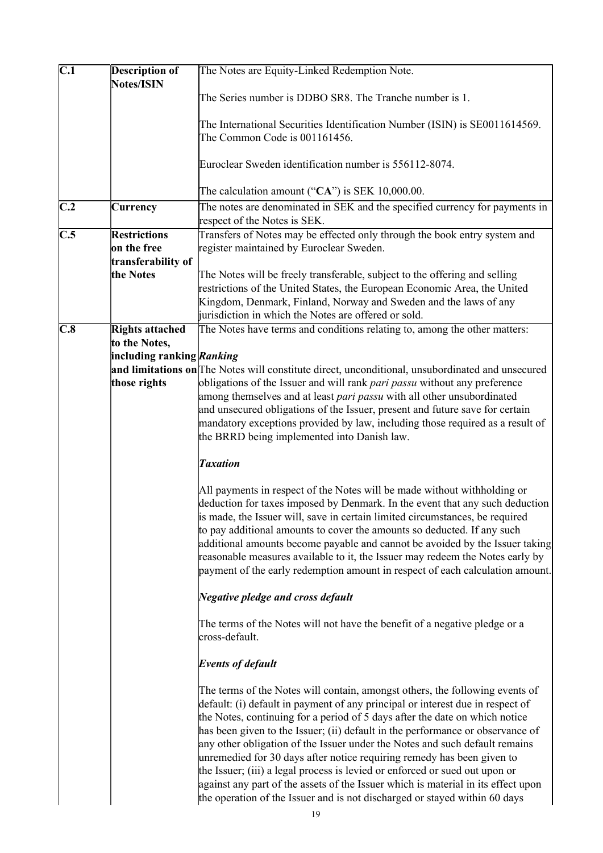| $\overline{C.1}$ | <b>Description of</b>     | The Notes are Equity-Linked Redemption Note.                                                                                                                                                                                                                                                                                                                                                                                                                                                                                                                                                                                                                                                                                               |
|------------------|---------------------------|--------------------------------------------------------------------------------------------------------------------------------------------------------------------------------------------------------------------------------------------------------------------------------------------------------------------------------------------------------------------------------------------------------------------------------------------------------------------------------------------------------------------------------------------------------------------------------------------------------------------------------------------------------------------------------------------------------------------------------------------|
|                  | Notes/ISIN                | The Series number is DDBO SR8. The Tranche number is 1.                                                                                                                                                                                                                                                                                                                                                                                                                                                                                                                                                                                                                                                                                    |
|                  |                           | The International Securities Identification Number (ISIN) is SE0011614569.<br>The Common Code is 001161456.                                                                                                                                                                                                                                                                                                                                                                                                                                                                                                                                                                                                                                |
|                  |                           |                                                                                                                                                                                                                                                                                                                                                                                                                                                                                                                                                                                                                                                                                                                                            |
|                  |                           | Euroclear Sweden identification number is 556112-8074.                                                                                                                                                                                                                                                                                                                                                                                                                                                                                                                                                                                                                                                                                     |
|                  |                           | The calculation amount (" $CA$ ") is SEK 10,000.00.                                                                                                                                                                                                                                                                                                                                                                                                                                                                                                                                                                                                                                                                                        |
| C.2              | <b>Currency</b>           | The notes are denominated in SEK and the specified currency for payments in<br>respect of the Notes is SEK.                                                                                                                                                                                                                                                                                                                                                                                                                                                                                                                                                                                                                                |
| $\overline{C.5}$ | <b>Restrictions</b>       | Transfers of Notes may be effected only through the book entry system and                                                                                                                                                                                                                                                                                                                                                                                                                                                                                                                                                                                                                                                                  |
|                  | on the free               | register maintained by Euroclear Sweden.                                                                                                                                                                                                                                                                                                                                                                                                                                                                                                                                                                                                                                                                                                   |
|                  | transferability of        |                                                                                                                                                                                                                                                                                                                                                                                                                                                                                                                                                                                                                                                                                                                                            |
|                  | the Notes                 | The Notes will be freely transferable, subject to the offering and selling<br>restrictions of the United States, the European Economic Area, the United                                                                                                                                                                                                                                                                                                                                                                                                                                                                                                                                                                                    |
|                  |                           | Kingdom, Denmark, Finland, Norway and Sweden and the laws of any                                                                                                                                                                                                                                                                                                                                                                                                                                                                                                                                                                                                                                                                           |
|                  |                           | jurisdiction in which the Notes are offered or sold.                                                                                                                                                                                                                                                                                                                                                                                                                                                                                                                                                                                                                                                                                       |
| C.8              | <b>Rights attached</b>    | The Notes have terms and conditions relating to, among the other matters:                                                                                                                                                                                                                                                                                                                                                                                                                                                                                                                                                                                                                                                                  |
|                  | to the Notes,             |                                                                                                                                                                                                                                                                                                                                                                                                                                                                                                                                                                                                                                                                                                                                            |
|                  | including ranking Ranking |                                                                                                                                                                                                                                                                                                                                                                                                                                                                                                                                                                                                                                                                                                                                            |
|                  |                           | and limitations on The Notes will constitute direct, unconditional, unsubordinated and unsecured                                                                                                                                                                                                                                                                                                                                                                                                                                                                                                                                                                                                                                           |
|                  | those rights              | obligations of the Issuer and will rank <i>pari passu</i> without any preference                                                                                                                                                                                                                                                                                                                                                                                                                                                                                                                                                                                                                                                           |
|                  |                           | among themselves and at least <i>pari passu</i> with all other unsubordinated                                                                                                                                                                                                                                                                                                                                                                                                                                                                                                                                                                                                                                                              |
|                  |                           | and unsecured obligations of the Issuer, present and future save for certain                                                                                                                                                                                                                                                                                                                                                                                                                                                                                                                                                                                                                                                               |
|                  |                           | mandatory exceptions provided by law, including those required as a result of                                                                                                                                                                                                                                                                                                                                                                                                                                                                                                                                                                                                                                                              |
|                  |                           | the BRRD being implemented into Danish law.                                                                                                                                                                                                                                                                                                                                                                                                                                                                                                                                                                                                                                                                                                |
|                  |                           | <b>Taxation</b>                                                                                                                                                                                                                                                                                                                                                                                                                                                                                                                                                                                                                                                                                                                            |
|                  |                           | All payments in respect of the Notes will be made without withholding or                                                                                                                                                                                                                                                                                                                                                                                                                                                                                                                                                                                                                                                                   |
|                  |                           | deduction for taxes imposed by Denmark. In the event that any such deduction                                                                                                                                                                                                                                                                                                                                                                                                                                                                                                                                                                                                                                                               |
|                  |                           | is made, the Issuer will, save in certain limited circumstances, be required                                                                                                                                                                                                                                                                                                                                                                                                                                                                                                                                                                                                                                                               |
|                  |                           | to pay additional amounts to cover the amounts so deducted. If any such                                                                                                                                                                                                                                                                                                                                                                                                                                                                                                                                                                                                                                                                    |
|                  |                           | additional amounts become payable and cannot be avoided by the Issuer taking                                                                                                                                                                                                                                                                                                                                                                                                                                                                                                                                                                                                                                                               |
|                  |                           | reasonable measures available to it, the Issuer may redeem the Notes early by                                                                                                                                                                                                                                                                                                                                                                                                                                                                                                                                                                                                                                                              |
|                  |                           | payment of the early redemption amount in respect of each calculation amount.                                                                                                                                                                                                                                                                                                                                                                                                                                                                                                                                                                                                                                                              |
|                  |                           | Negative pledge and cross default                                                                                                                                                                                                                                                                                                                                                                                                                                                                                                                                                                                                                                                                                                          |
|                  |                           | The terms of the Notes will not have the benefit of a negative pledge or a<br>cross-default.                                                                                                                                                                                                                                                                                                                                                                                                                                                                                                                                                                                                                                               |
|                  |                           | <b>Events of default</b>                                                                                                                                                                                                                                                                                                                                                                                                                                                                                                                                                                                                                                                                                                                   |
|                  |                           | The terms of the Notes will contain, amongst others, the following events of<br>default: (i) default in payment of any principal or interest due in respect of<br>the Notes, continuing for a period of 5 days after the date on which notice<br>has been given to the Issuer; (ii) default in the performance or observance of<br>any other obligation of the Issuer under the Notes and such default remains<br>unremedied for 30 days after notice requiring remedy has been given to<br>the Issuer; (iii) a legal process is levied or enforced or sued out upon or<br>against any part of the assets of the Issuer which is material in its effect upon<br>the operation of the Issuer and is not discharged or stayed within 60 days |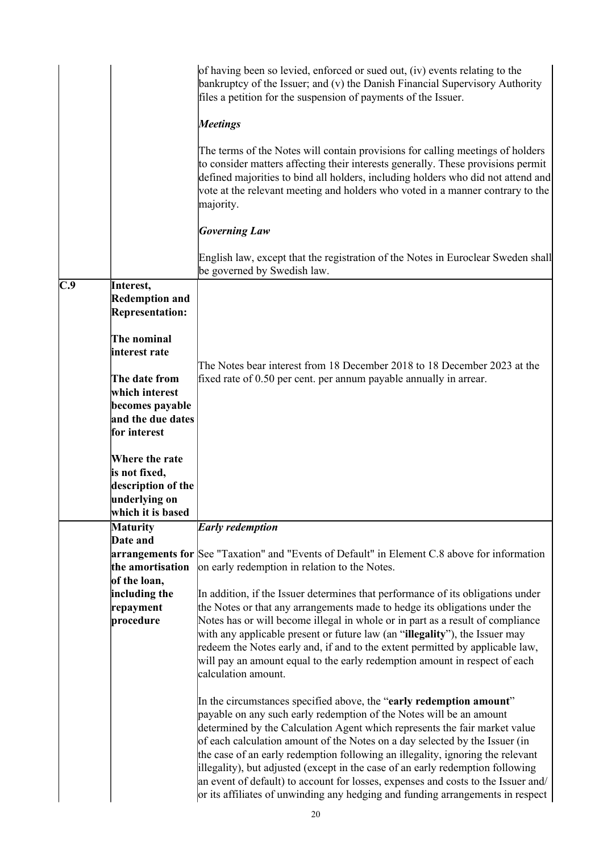|                             |                                                                                                                                                                                                                                                                           | of having been so levied, enforced or sued out, (iv) events relating to the<br>bankruptcy of the Issuer; and (v) the Danish Financial Supervisory Authority<br>files a petition for the suspension of payments of the Issuer.<br><b>Meetings</b><br>The terms of the Notes will contain provisions for calling meetings of holders<br>to consider matters affecting their interests generally. These provisions permit<br>defined majorities to bind all holders, including holders who did not attend and<br>vote at the relevant meeting and holders who voted in a manner contrary to the<br>majority.<br><b>Governing Law</b>                                                                                                                                                                                                                                                                                                                                                                                                                                                                                                                                                                                                                                                                                           |
|-----------------------------|---------------------------------------------------------------------------------------------------------------------------------------------------------------------------------------------------------------------------------------------------------------------------|-----------------------------------------------------------------------------------------------------------------------------------------------------------------------------------------------------------------------------------------------------------------------------------------------------------------------------------------------------------------------------------------------------------------------------------------------------------------------------------------------------------------------------------------------------------------------------------------------------------------------------------------------------------------------------------------------------------------------------------------------------------------------------------------------------------------------------------------------------------------------------------------------------------------------------------------------------------------------------------------------------------------------------------------------------------------------------------------------------------------------------------------------------------------------------------------------------------------------------------------------------------------------------------------------------------------------------|
|                             |                                                                                                                                                                                                                                                                           | English law, except that the registration of the Notes in Euroclear Sweden shall<br>be governed by Swedish law.                                                                                                                                                                                                                                                                                                                                                                                                                                                                                                                                                                                                                                                                                                                                                                                                                                                                                                                                                                                                                                                                                                                                                                                                             |
| C.9<br>Interest,            | <b>Redemption and</b><br><b>Representation:</b><br>The nominal<br>interest rate<br>The date from<br>which interest<br>becomes payable<br>and the due dates<br>for interest<br>Where the rate<br>is not fixed,<br>description of the<br>underlying on<br>which it is based | The Notes bear interest from 18 December 2018 to 18 December 2023 at the<br>fixed rate of 0.50 per cent. per annum payable annually in arrear.                                                                                                                                                                                                                                                                                                                                                                                                                                                                                                                                                                                                                                                                                                                                                                                                                                                                                                                                                                                                                                                                                                                                                                              |
| <b>Maturity</b><br>Date and |                                                                                                                                                                                                                                                                           | <b>Early redemption</b>                                                                                                                                                                                                                                                                                                                                                                                                                                                                                                                                                                                                                                                                                                                                                                                                                                                                                                                                                                                                                                                                                                                                                                                                                                                                                                     |
| repayment<br>procedure      | the amortisation<br>of the loan,<br>including the                                                                                                                                                                                                                         | arrangements for See "Taxation" and "Events of Default" in Element C.8 above for information<br>on early redemption in relation to the Notes.<br>In addition, if the Issuer determines that performance of its obligations under<br>the Notes or that any arrangements made to hedge its obligations under the<br>Notes has or will become illegal in whole or in part as a result of compliance<br>with any applicable present or future law (an "illegality"), the Issuer may<br>redeem the Notes early and, if and to the extent permitted by applicable law,<br>will pay an amount equal to the early redemption amount in respect of each<br>calculation amount.<br>In the circumstances specified above, the "early redemption amount"<br>payable on any such early redemption of the Notes will be an amount<br>determined by the Calculation Agent which represents the fair market value<br>of each calculation amount of the Notes on a day selected by the Issuer (in<br>the case of an early redemption following an illegality, ignoring the relevant<br>illegality), but adjusted (except in the case of an early redemption following<br>an event of default) to account for losses, expenses and costs to the Issuer and/<br>or its affiliates of unwinding any hedging and funding arrangements in respect |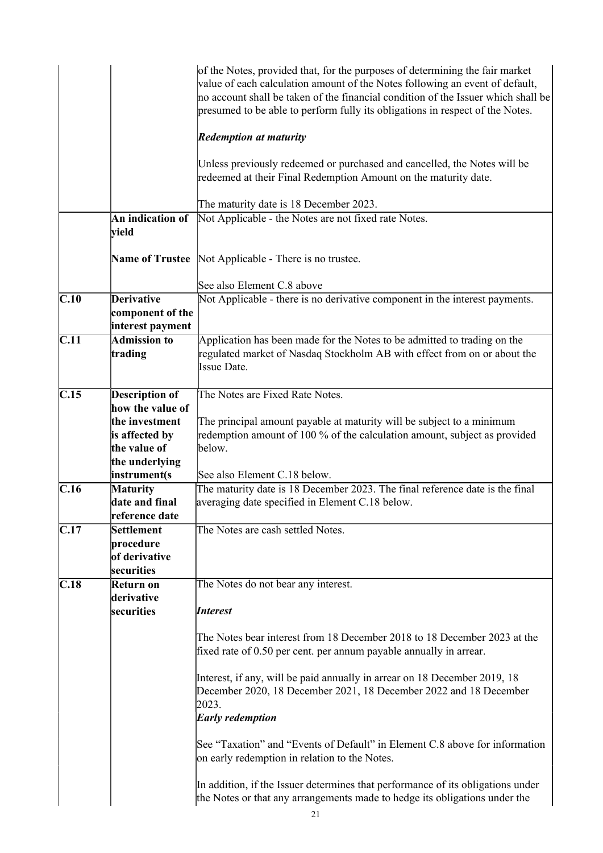|                   |                                                           | of the Notes, provided that, for the purposes of determining the fair market<br>value of each calculation amount of the Notes following an event of default,<br>no account shall be taken of the financial condition of the Issuer which shall be<br>presumed to be able to perform fully its obligations in respect of the Notes. |
|-------------------|-----------------------------------------------------------|------------------------------------------------------------------------------------------------------------------------------------------------------------------------------------------------------------------------------------------------------------------------------------------------------------------------------------|
|                   |                                                           | <b>Redemption at maturity</b>                                                                                                                                                                                                                                                                                                      |
|                   |                                                           | Unless previously redeemed or purchased and cancelled, the Notes will be<br>redeemed at their Final Redemption Amount on the maturity date.                                                                                                                                                                                        |
|                   |                                                           | The maturity date is 18 December 2023.                                                                                                                                                                                                                                                                                             |
|                   | An indication of<br>vield                                 | Not Applicable - the Notes are not fixed rate Notes.                                                                                                                                                                                                                                                                               |
|                   |                                                           | <b>Name of Trustee</b> Not Applicable - There is no trustee.                                                                                                                                                                                                                                                                       |
|                   |                                                           | See also Element C.8 above                                                                                                                                                                                                                                                                                                         |
| $\overline{C.10}$ | <b>Derivative</b><br>component of the<br>interest payment | Not Applicable - there is no derivative component in the interest payments.                                                                                                                                                                                                                                                        |
| $\overline{C.11}$ | <b>Admission to</b>                                       | Application has been made for the Notes to be admitted to trading on the                                                                                                                                                                                                                                                           |
|                   | trading                                                   | regulated market of Nasdaq Stockholm AB with effect from on or about the<br><b>Issue Date.</b>                                                                                                                                                                                                                                     |
| C.15              | <b>Description of</b>                                     | The Notes are Fixed Rate Notes.                                                                                                                                                                                                                                                                                                    |
|                   | how the value of                                          |                                                                                                                                                                                                                                                                                                                                    |
|                   | the investment                                            | The principal amount payable at maturity will be subject to a minimum                                                                                                                                                                                                                                                              |
|                   | is affected by                                            | redemption amount of 100 % of the calculation amount, subject as provided                                                                                                                                                                                                                                                          |
|                   | the value of                                              | below.                                                                                                                                                                                                                                                                                                                             |
|                   | the underlying                                            |                                                                                                                                                                                                                                                                                                                                    |
|                   | instrument(s                                              | See also Element C.18 below.                                                                                                                                                                                                                                                                                                       |
| C.16              | <b>Maturity</b>                                           | The maturity date is 18 December 2023. The final reference date is the final                                                                                                                                                                                                                                                       |
|                   | date and final                                            | averaging date specified in Element C.18 below.                                                                                                                                                                                                                                                                                    |
|                   | reference date                                            |                                                                                                                                                                                                                                                                                                                                    |
| C.17              | Settlement                                                | The Notes are cash settled Notes.                                                                                                                                                                                                                                                                                                  |
|                   | procedure                                                 |                                                                                                                                                                                                                                                                                                                                    |
|                   | of derivative                                             |                                                                                                                                                                                                                                                                                                                                    |
|                   | securities                                                |                                                                                                                                                                                                                                                                                                                                    |
| C.18              | Return on<br>derivative                                   | The Notes do not bear any interest.                                                                                                                                                                                                                                                                                                |
|                   | securities                                                | <b>Interest</b>                                                                                                                                                                                                                                                                                                                    |
|                   |                                                           | The Notes bear interest from 18 December 2018 to 18 December 2023 at the<br>fixed rate of 0.50 per cent. per annum payable annually in arrear.                                                                                                                                                                                     |
|                   |                                                           | Interest, if any, will be paid annually in arrear on 18 December 2019, 18<br>December 2020, 18 December 2021, 18 December 2022 and 18 December<br>2023.<br><b>Early redemption</b>                                                                                                                                                 |
|                   |                                                           | See "Taxation" and "Events of Default" in Element C.8 above for information<br>on early redemption in relation to the Notes.                                                                                                                                                                                                       |
|                   |                                                           | In addition, if the Issuer determines that performance of its obligations under<br>the Notes or that any arrangements made to hedge its obligations under the                                                                                                                                                                      |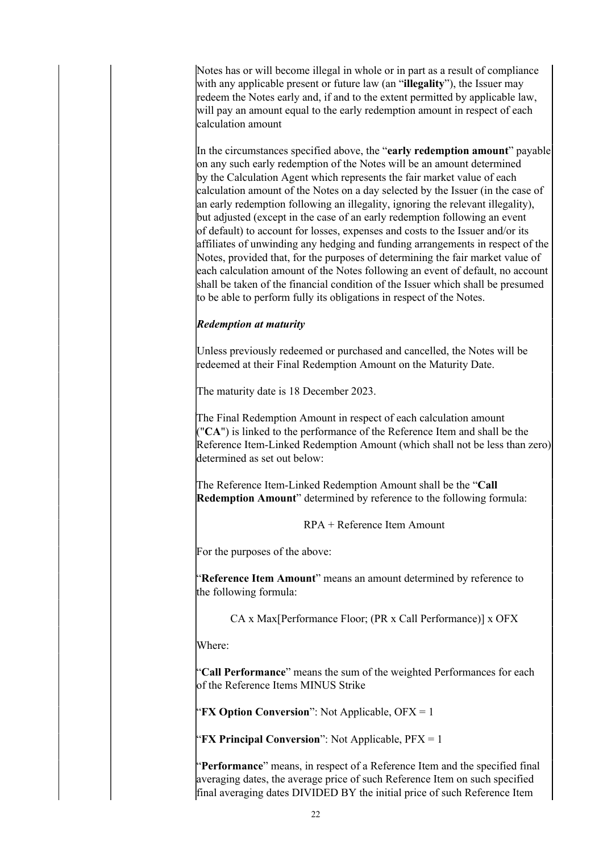Notes has or will become illegal in whole or in part as a result of compliance with any applicable present or future law (an "**illegality**"), the Issuer may redeem the Notes early and, if and to the extent permitted by applicable law, will pay an amount equal to the early redemption amount in respect of each calculation amount

In the circumstances specified above, the "**early redemption amount**" payable on any such early redemption of the Notes will be an amount determined by the Calculation Agent which represents the fair market value of each calculation amount of the Notes on a day selected by the Issuer (in the case of an early redemption following an illegality, ignoring the relevant illegality), but adjusted (except in the case of an early redemption following an event of default) to account for losses, expenses and costs to the Issuer and/or its affiliates of unwinding any hedging and funding arrangements in respect of the Notes, provided that, for the purposes of determining the fair market value of each calculation amount of the Notes following an event of default, no account shall be taken of the financial condition of the Issuer which shall be presumed to be able to perform fully its obligations in respect of the Notes.

## *Redemption at maturity*

Unless previously redeemed or purchased and cancelled, the Notes will be redeemed at their Final Redemption Amount on the Maturity Date.

The maturity date is 18 December 2023.

The Final Redemption Amount in respect of each calculation amount ("**CA**") is linked to the performance of the Reference Item and shall be the Reference Item-Linked Redemption Amount (which shall not be less than zero) determined as set out below:

The Reference Item-Linked Redemption Amount shall be the "**Call Redemption Amount**" determined by reference to the following formula:

RPA + Reference Item Amount

For the purposes of the above:

"**Reference Item Amount**" means an amount determined by reference to the following formula:

CA x Max[Performance Floor; (PR x Call Performance)] x OFX

Where:

"**Call Performance**" means the sum of the weighted Performances for each of the Reference Items MINUS Strike

**'FX Option Conversion**": Not Applicable,  $OFX = 1$ 

"**FX Principal Conversion**": Not Applicable, PFX = 1

"**Performance**" means, in respect of a Reference Item and the specified final averaging dates, the average price of such Reference Item on such specified final averaging dates DIVIDED BY the initial price of such Reference Item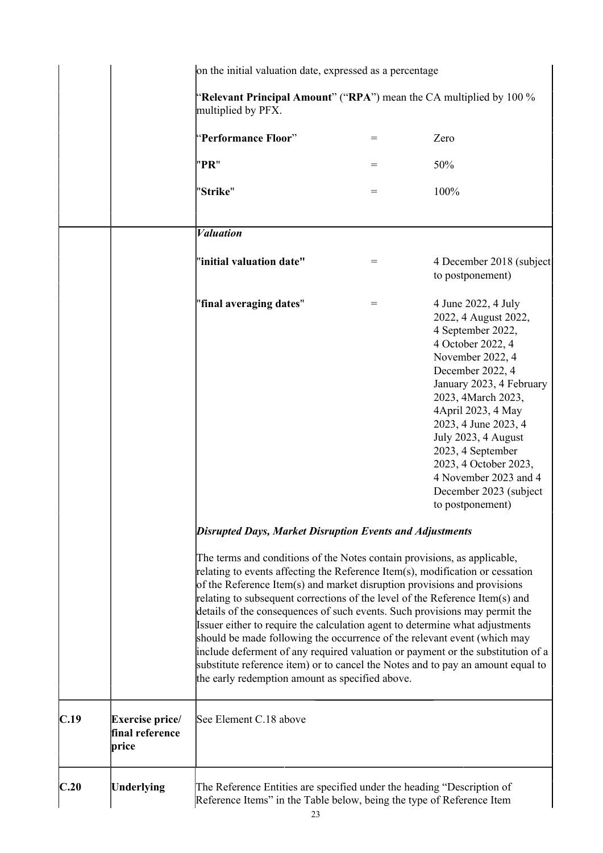|      |                                             | on the initial valuation date, expressed as a percentage                                                                                                                                                                                                                                                                                                                                                                                                                                                                                                                                                                                                                              |     |                                                                                                                                                                                                                                                                                                                                                                           |
|------|---------------------------------------------|---------------------------------------------------------------------------------------------------------------------------------------------------------------------------------------------------------------------------------------------------------------------------------------------------------------------------------------------------------------------------------------------------------------------------------------------------------------------------------------------------------------------------------------------------------------------------------------------------------------------------------------------------------------------------------------|-----|---------------------------------------------------------------------------------------------------------------------------------------------------------------------------------------------------------------------------------------------------------------------------------------------------------------------------------------------------------------------------|
|      |                                             | "Relevant Principal Amount" ("RPA") mean the CA multiplied by $100\%$<br>multiplied by PFX.                                                                                                                                                                                                                                                                                                                                                                                                                                                                                                                                                                                           |     |                                                                                                                                                                                                                                                                                                                                                                           |
|      |                                             | "Performance Floor"                                                                                                                                                                                                                                                                                                                                                                                                                                                                                                                                                                                                                                                                   | $=$ | Zero                                                                                                                                                                                                                                                                                                                                                                      |
|      |                                             | "PR"                                                                                                                                                                                                                                                                                                                                                                                                                                                                                                                                                                                                                                                                                  | $=$ | 50%                                                                                                                                                                                                                                                                                                                                                                       |
|      |                                             | "Strike"                                                                                                                                                                                                                                                                                                                                                                                                                                                                                                                                                                                                                                                                              | $=$ | 100%                                                                                                                                                                                                                                                                                                                                                                      |
|      |                                             | <b><i>Valuation</i></b>                                                                                                                                                                                                                                                                                                                                                                                                                                                                                                                                                                                                                                                               |     |                                                                                                                                                                                                                                                                                                                                                                           |
|      |                                             | "initial valuation date"                                                                                                                                                                                                                                                                                                                                                                                                                                                                                                                                                                                                                                                              | $=$ | 4 December 2018 (subject)<br>to postponement)                                                                                                                                                                                                                                                                                                                             |
|      |                                             | "final averaging dates"                                                                                                                                                                                                                                                                                                                                                                                                                                                                                                                                                                                                                                                               | $=$ | 4 June 2022, 4 July<br>2022, 4 August 2022,<br>4 September 2022,<br>4 October 2022, 4<br>November 2022, 4<br>December 2022, 4<br>January 2023, 4 February<br>2023, 4March 2023,<br>4April 2023, 4 May<br>2023, 4 June 2023, 4<br>July 2023, 4 August<br>2023, 4 September<br>2023, 4 October 2023,<br>4 November 2023 and 4<br>December 2023 (subject<br>to postponement) |
|      |                                             | <b>Disrupted Days, Market Disruption Events and Adjustments</b><br>The terms and conditions of the Notes contain provisions, as applicable,<br>relating to events affecting the Reference Item(s), modification or cessation<br>of the Reference Item(s) and market disruption provisions and provisions<br>relating to subsequent corrections of the level of the Reference Item(s) and<br>details of the consequences of such events. Such provisions may permit the<br>Issuer either to require the calculation agent to determine what adjustments<br>should be made following the occurrence of the relevant event (which may<br>the early redemption amount as specified above. |     | include deferment of any required valuation or payment or the substitution of a<br>substitute reference item) or to cancel the Notes and to pay an amount equal to                                                                                                                                                                                                        |
| C.19 | Exercise price/<br>final reference<br>price | See Element C.18 above                                                                                                                                                                                                                                                                                                                                                                                                                                                                                                                                                                                                                                                                |     |                                                                                                                                                                                                                                                                                                                                                                           |
| C.20 | <b>Underlying</b>                           | The Reference Entities are specified under the heading "Description of<br>Reference Items" in the Table below, being the type of Reference Item                                                                                                                                                                                                                                                                                                                                                                                                                                                                                                                                       |     |                                                                                                                                                                                                                                                                                                                                                                           |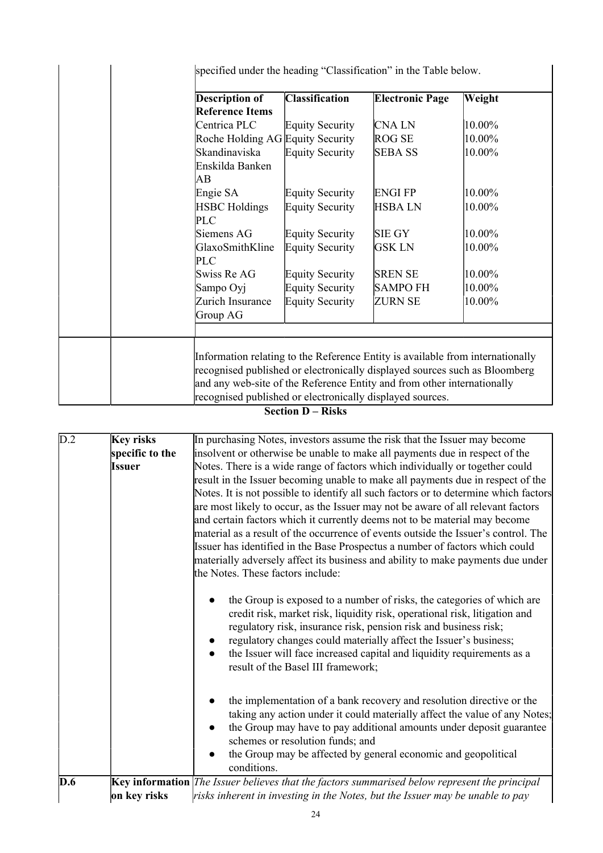| <b>Description of</b>            | <b>Classification</b>  | <b>Electronic Page</b>                                                         | Weight                                                                     |  |  |
|----------------------------------|------------------------|--------------------------------------------------------------------------------|----------------------------------------------------------------------------|--|--|
| <b>Reference Items</b>           |                        |                                                                                |                                                                            |  |  |
| Centrica PLC                     | <b>Equity Security</b> | <b>CNALN</b>                                                                   | 10.00%                                                                     |  |  |
| Roche Holding AG Equity Security |                        | ROG SE                                                                         | 10.00%                                                                     |  |  |
| Skandinaviska                    | <b>Equity Security</b> | <b>SEBA SS</b>                                                                 | 10.00%                                                                     |  |  |
| Enskilda Banken                  |                        |                                                                                |                                                                            |  |  |
| AВ                               |                        |                                                                                |                                                                            |  |  |
| Engie SA                         | <b>Equity Security</b> | <b>ENGIFP</b>                                                                  | 10.00%                                                                     |  |  |
| <b>HSBC</b> Holdings             | <b>Equity Security</b> | <b>HSBALN</b>                                                                  | 10.00%                                                                     |  |  |
| <b>PLC</b>                       |                        |                                                                                |                                                                            |  |  |
| Siemens AG                       | <b>Equity Security</b> | <b>SIE GY</b>                                                                  | 10.00%                                                                     |  |  |
| GlaxoSmithKline                  | <b>Equity Security</b> | <b>GSK LN</b>                                                                  | 10.00%                                                                     |  |  |
| <b>PLC</b>                       |                        |                                                                                |                                                                            |  |  |
| Swiss Re AG                      | <b>Equity Security</b> | <b>SREN SE</b>                                                                 | 10.00%                                                                     |  |  |
| Sampo Oyj                        | <b>Equity Security</b> | <b>SAMPO FH</b>                                                                | 10.00%                                                                     |  |  |
| Zurich Insurance                 | <b>Equity Security</b> | <b>ZURN SE</b>                                                                 | 10.00%                                                                     |  |  |
| Group AG                         |                        |                                                                                |                                                                            |  |  |
|                                  |                        |                                                                                |                                                                            |  |  |
|                                  |                        |                                                                                |                                                                            |  |  |
|                                  |                        | Information relating to the Reference Entity is available from internationally |                                                                            |  |  |
|                                  |                        |                                                                                | recognised published or electronically displayed sources such as Bloomberg |  |  |

# **Section D – Risks**

| $\overline{D.2}$ | <b>Key risks</b> | In purchasing Notes, investors assume the risk that the Issuer may become                                                                                                                                                                                                                                                                                                                                                                                                                                                                                                                          |
|------------------|------------------|----------------------------------------------------------------------------------------------------------------------------------------------------------------------------------------------------------------------------------------------------------------------------------------------------------------------------------------------------------------------------------------------------------------------------------------------------------------------------------------------------------------------------------------------------------------------------------------------------|
|                  | specific to the  | insolvent or otherwise be unable to make all payments due in respect of the                                                                                                                                                                                                                                                                                                                                                                                                                                                                                                                        |
|                  | Issuer           | Notes. There is a wide range of factors which individually or together could                                                                                                                                                                                                                                                                                                                                                                                                                                                                                                                       |
|                  |                  | result in the Issuer becoming unable to make all payments due in respect of the<br>Notes. It is not possible to identify all such factors or to determine which factors<br>are most likely to occur, as the Issuer may not be aware of all relevant factors<br>and certain factors which it currently deems not to be material may become<br>material as a result of the occurrence of events outside the Issuer's control. The<br>Issuer has identified in the Base Prospectus a number of factors which could<br>materially adversely affect its business and ability to make payments due under |
|                  |                  | the Notes. These factors include:                                                                                                                                                                                                                                                                                                                                                                                                                                                                                                                                                                  |
|                  |                  | the Group is exposed to a number of risks, the categories of which are<br>credit risk, market risk, liquidity risk, operational risk, litigation and<br>regulatory risk, insurance risk, pension risk and business risk;<br>regulatory changes could materially affect the Issuer's business;<br>the Issuer will face increased capital and liquidity requirements as a<br>result of the Basel III framework;                                                                                                                                                                                      |
|                  |                  | the implementation of a bank recovery and resolution directive or the<br>taking any action under it could materially affect the value of any Notes;<br>the Group may have to pay additional amounts under deposit guarantee<br>schemes or resolution funds; and                                                                                                                                                                                                                                                                                                                                    |
|                  |                  | the Group may be affected by general economic and geopolitical<br>conditions.                                                                                                                                                                                                                                                                                                                                                                                                                                                                                                                      |
| D.6              | on key risks     | $\mathbf{Key}$ information The Issuer believes that the factors summarised below represent the principal<br>risks inherent in investing in the Notes, but the Issuer may be unable to pay                                                                                                                                                                                                                                                                                                                                                                                                          |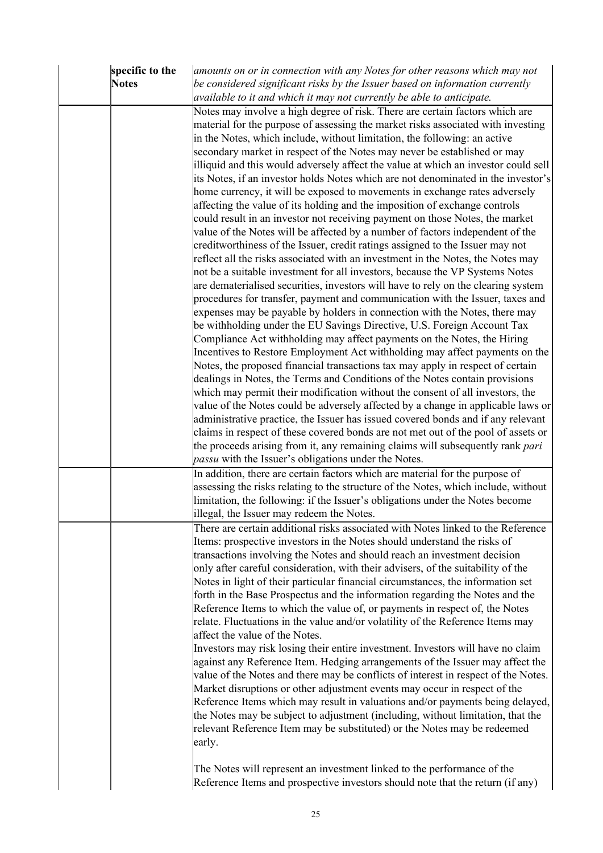| specific to the | amounts on or in connection with any Notes for other reasons which may not            |
|-----------------|---------------------------------------------------------------------------------------|
| <b>Notes</b>    | be considered significant risks by the Issuer based on information currently          |
|                 | available to it and which it may not currently be able to anticipate.                 |
|                 | Notes may involve a high degree of risk. There are certain factors which are          |
|                 | material for the purpose of assessing the market risks associated with investing      |
|                 | in the Notes, which include, without limitation, the following: an active             |
|                 | secondary market in respect of the Notes may never be established or may              |
|                 | illiquid and this would adversely affect the value at which an investor could sell    |
|                 | its Notes, if an investor holds Notes which are not denominated in the investor's     |
|                 | home currency, it will be exposed to movements in exchange rates adversely            |
|                 | affecting the value of its holding and the imposition of exchange controls            |
|                 | could result in an investor not receiving payment on those Notes, the market          |
|                 | value of the Notes will be affected by a number of factors independent of the         |
|                 | creditworthiness of the Issuer, credit ratings assigned to the Issuer may not         |
|                 | reflect all the risks associated with an investment in the Notes, the Notes may       |
|                 | not be a suitable investment for all investors, because the VP Systems Notes          |
|                 | are dematerialised securities, investors will have to rely on the clearing system     |
|                 | procedures for transfer, payment and communication with the Issuer, taxes and         |
|                 | expenses may be payable by holders in connection with the Notes, there may            |
|                 | be withholding under the EU Savings Directive, U.S. Foreign Account Tax               |
|                 | Compliance Act withholding may affect payments on the Notes, the Hiring               |
|                 | Incentives to Restore Employment Act withholding may affect payments on the           |
|                 | Notes, the proposed financial transactions tax may apply in respect of certain        |
|                 | dealings in Notes, the Terms and Conditions of the Notes contain provisions           |
|                 | which may permit their modification without the consent of all investors, the         |
|                 | value of the Notes could be adversely affected by a change in applicable laws or      |
|                 | administrative practice, the Issuer has issued covered bonds and if any relevant      |
|                 | claims in respect of these covered bonds are not met out of the pool of assets or     |
|                 | the proceeds arising from it, any remaining claims will subsequently rank <i>pari</i> |
|                 | <i>passu</i> with the Issuer's obligations under the Notes.                           |
|                 | In addition, there are certain factors which are material for the purpose of          |
|                 | assessing the risks relating to the structure of the Notes, which include, without    |
|                 | limitation, the following: if the Issuer's obligations under the Notes become         |
|                 | illegal, the Issuer may redeem the Notes.                                             |
|                 | There are certain additional risks associated with Notes linked to the Reference      |
|                 | Items: prospective investors in the Notes should understand the risks of              |
|                 | transactions involving the Notes and should reach an investment decision              |
|                 | only after careful consideration, with their advisers, of the suitability of the      |
|                 | Notes in light of their particular financial circumstances, the information set       |
|                 | forth in the Base Prospectus and the information regarding the Notes and the          |
|                 | Reference Items to which the value of, or payments in respect of, the Notes           |
|                 | relate. Fluctuations in the value and/or volatility of the Reference Items may        |
|                 | affect the value of the Notes.                                                        |
|                 | Investors may risk losing their entire investment. Investors will have no claim       |
|                 | against any Reference Item. Hedging arrangements of the Issuer may affect the         |
|                 | value of the Notes and there may be conflicts of interest in respect of the Notes.    |
|                 | Market disruptions or other adjustment events may occur in respect of the             |
|                 | Reference Items which may result in valuations and/or payments being delayed,         |
|                 | the Notes may be subject to adjustment (including, without limitation, that the       |
|                 | relevant Reference Item may be substituted) or the Notes may be redeemed              |
|                 | early.                                                                                |
|                 |                                                                                       |
|                 | The Notes will represent an investment linked to the performance of the               |
|                 | Reference Items and prospective investors should note that the return (if any)        |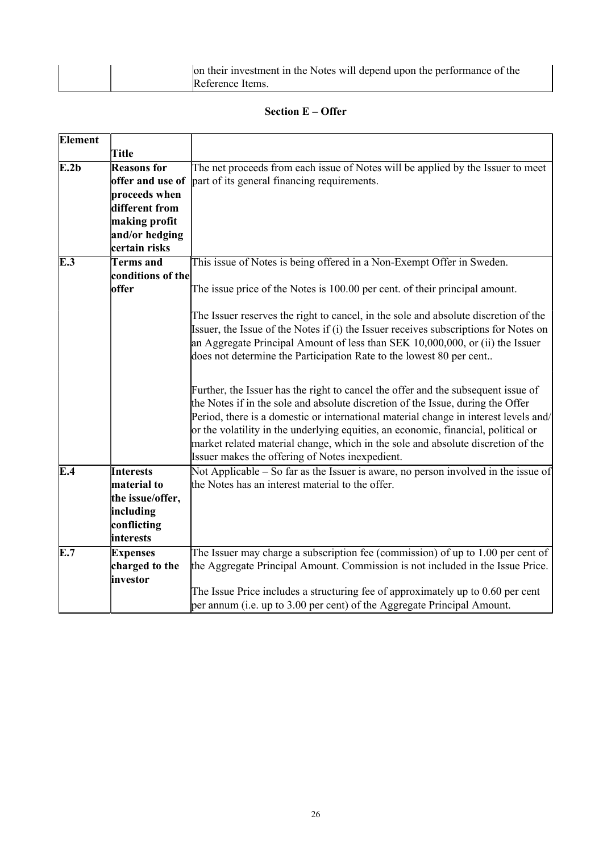|  | on their investment in the Notes will depend upon the performance of the |
|--|--------------------------------------------------------------------------|
|  | Reference Items.                                                         |

## **Section E – Offer**

| <b>Element</b> |                            |                                                                                                                                                                                                                                                                                                                                                                                                                                                                                           |
|----------------|----------------------------|-------------------------------------------------------------------------------------------------------------------------------------------------------------------------------------------------------------------------------------------------------------------------------------------------------------------------------------------------------------------------------------------------------------------------------------------------------------------------------------------|
|                | <b>Title</b>               |                                                                                                                                                                                                                                                                                                                                                                                                                                                                                           |
| E.2b           | <b>Reasons for</b>         | The net proceeds from each issue of Notes will be applied by the Issuer to meet                                                                                                                                                                                                                                                                                                                                                                                                           |
|                | offer and use of           | part of its general financing requirements.                                                                                                                                                                                                                                                                                                                                                                                                                                               |
|                | proceeds when              |                                                                                                                                                                                                                                                                                                                                                                                                                                                                                           |
|                | different from             |                                                                                                                                                                                                                                                                                                                                                                                                                                                                                           |
|                | making profit              |                                                                                                                                                                                                                                                                                                                                                                                                                                                                                           |
|                | and/or hedging             |                                                                                                                                                                                                                                                                                                                                                                                                                                                                                           |
|                | certain risks              |                                                                                                                                                                                                                                                                                                                                                                                                                                                                                           |
| E.3            | <b>Terms</b> and           | This issue of Notes is being offered in a Non-Exempt Offer in Sweden.                                                                                                                                                                                                                                                                                                                                                                                                                     |
|                | conditions of the          |                                                                                                                                                                                                                                                                                                                                                                                                                                                                                           |
|                | offer                      | The issue price of the Notes is 100.00 per cent. of their principal amount.                                                                                                                                                                                                                                                                                                                                                                                                               |
|                |                            | The Issuer reserves the right to cancel, in the sole and absolute discretion of the<br>Issuer, the Issue of the Notes if (i) the Issuer receives subscriptions for Notes on<br>an Aggregate Principal Amount of less than SEK 10,000,000, or (ii) the Issuer<br>does not determine the Participation Rate to the lowest 80 per cent                                                                                                                                                       |
|                |                            | Further, the Issuer has the right to cancel the offer and the subsequent issue of<br>the Notes if in the sole and absolute discretion of the Issue, during the Offer<br>Period, there is a domestic or international material change in interest levels and/<br>or the volatility in the underlying equities, an economic, financial, political or<br>market related material change, which in the sole and absolute discretion of the<br>Issuer makes the offering of Notes inexpedient. |
| E.4            | <b>Interests</b>           | Not Applicable – So far as the Issuer is aware, no person involved in the issue of                                                                                                                                                                                                                                                                                                                                                                                                        |
|                | material to                | the Notes has an interest material to the offer.                                                                                                                                                                                                                                                                                                                                                                                                                                          |
|                | the issue/offer,           |                                                                                                                                                                                                                                                                                                                                                                                                                                                                                           |
|                | including                  |                                                                                                                                                                                                                                                                                                                                                                                                                                                                                           |
|                | conflicting                |                                                                                                                                                                                                                                                                                                                                                                                                                                                                                           |
|                | interests                  |                                                                                                                                                                                                                                                                                                                                                                                                                                                                                           |
| E.7            | <b>Expenses</b>            | The Issuer may charge a subscription fee (commission) of up to 1.00 per cent of                                                                                                                                                                                                                                                                                                                                                                                                           |
|                | charged to the<br>investor | the Aggregate Principal Amount. Commission is not included in the Issue Price.                                                                                                                                                                                                                                                                                                                                                                                                            |
|                |                            | The Issue Price includes a structuring fee of approximately up to 0.60 per cent                                                                                                                                                                                                                                                                                                                                                                                                           |
|                |                            | per annum (i.e. up to 3.00 per cent) of the Aggregate Principal Amount.                                                                                                                                                                                                                                                                                                                                                                                                                   |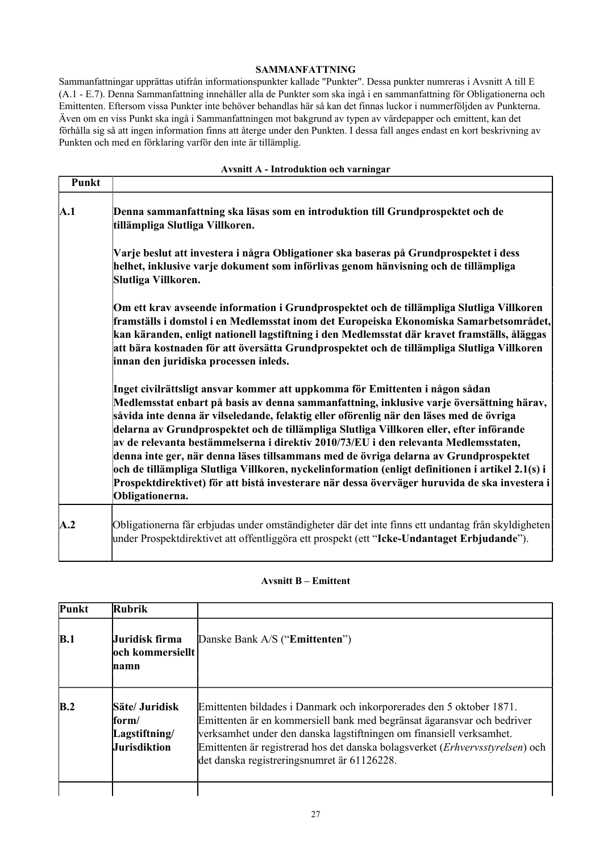#### **SAMMANFATTNING**

Sammanfattningar upprättas utifrån informationspunkter kallade "Punkter". Dessa punkter numreras i Avsnitt A till E (A.1 - E.7). Denna Sammanfattning innehåller alla de Punkter som ska ingå i en sammanfattning för Obligationerna och Emittenten. Eftersom vissa Punkter inte behöver behandlas här så kan det finnas luckor i nummerföljden av Punkterna. Även om en viss Punkt ska ingå i Sammanfattningen mot bakgrund av typen av värdepapper och emittent, kan det förhålla sig så att ingen information finns att återge under den Punkten. I dessa fall anges endast en kort beskrivning av Punkten och med en förklaring varför den inte är tillämplig.

#### **Avsnitt A - Introduktion och varningar**

| Punkt |                                                                                                                                                                                                                                                                                                                                                                                                                                                                                                                                                                                                                                                                                                                                                                       |
|-------|-----------------------------------------------------------------------------------------------------------------------------------------------------------------------------------------------------------------------------------------------------------------------------------------------------------------------------------------------------------------------------------------------------------------------------------------------------------------------------------------------------------------------------------------------------------------------------------------------------------------------------------------------------------------------------------------------------------------------------------------------------------------------|
| A.1   | Denna sammanfattning ska läsas som en introduktion till Grundprospektet och de<br>tillämpliga Slutliga Villkoren.                                                                                                                                                                                                                                                                                                                                                                                                                                                                                                                                                                                                                                                     |
|       | Varje beslut att investera i några Obligationer ska baseras på Grundprospektet i dess<br>helhet, inklusive varje dokument som införlivas genom hänvisning och de tillämpliga<br>Slutliga Villkoren.                                                                                                                                                                                                                                                                                                                                                                                                                                                                                                                                                                   |
|       | Om ett krav avseende information i Grundprospektet och de tillämpliga Slutliga Villkoren<br>framställs i domstol i en Medlemsstat inom det Europeiska Ekonomiska Samarbetsområdet,<br>kan käranden, enligt nationell lagstiftning i den Medlemsstat där kravet framställs, åläggas<br>att bära kostnaden för att översätta Grundprospektet och de tillämpliga Slutliga Villkoren<br>innan den juridiska processen inleds.                                                                                                                                                                                                                                                                                                                                             |
|       | Inget civilrättsligt ansvar kommer att uppkomma för Emittenten i någon sådan<br>Medlemsstat enbart på basis av denna sammanfattning, inklusive varje översättning härav,<br>såvida inte denna är vilseledande, felaktig eller oförenlig när den läses med de övriga<br>delarna av Grundprospektet och de tillämpliga Slutliga Villkoren eller, efter införande<br>av de relevanta bestämmelserna i direktiv 2010/73/EU i den relevanta Medlemsstaten,<br>denna inte ger, när denna läses tillsammans med de övriga delarna av Grundprospektet<br>och de tillämpliga Slutliga Villkoren, nyckelinformation (enligt definitionen i artikel 2.1(s) i<br>Prospektdirektivet) för att bistå investerare när dessa överväger huruvida de ska investera i<br>Obligationerna. |
| A.2   | Obligationerna får erbjudas under omständigheter där det inte finns ett undantag från skyldigheten<br>under Prospektdirektivet att offentliggöra ett prospekt (ett "Icke-Undantaget Erbjudande").                                                                                                                                                                                                                                                                                                                                                                                                                                                                                                                                                                     |

#### **Avsnitt B – Emittent**

| Punkt | Rubrik                                                   |                                                                                                                                                                                                                                                                                                                                                         |
|-------|----------------------------------------------------------|---------------------------------------------------------------------------------------------------------------------------------------------------------------------------------------------------------------------------------------------------------------------------------------------------------------------------------------------------------|
| B.1   | Juridisk firma<br><b>loch kommersiellt</b><br>mamn       | Danske Bank A/S (" <b>Emittenten</b> ")                                                                                                                                                                                                                                                                                                                 |
| B.2   | Säte/ Juridisk<br>form/<br>Lagstiftning/<br>Jurisdiktion | Emittenten bildades i Danmark och inkorporerades den 5 oktober 1871.<br>Emittenten är en kommersiell bank med begränsat ägaransvar och bedriver<br>verksamhet under den danska lagstiftningen om finansiell verksamhet.<br>Emittenten är registrerad hos det danska bolagsverket (Erhvervsstyrelsen) och<br>det danska registreringsnumret är 61126228. |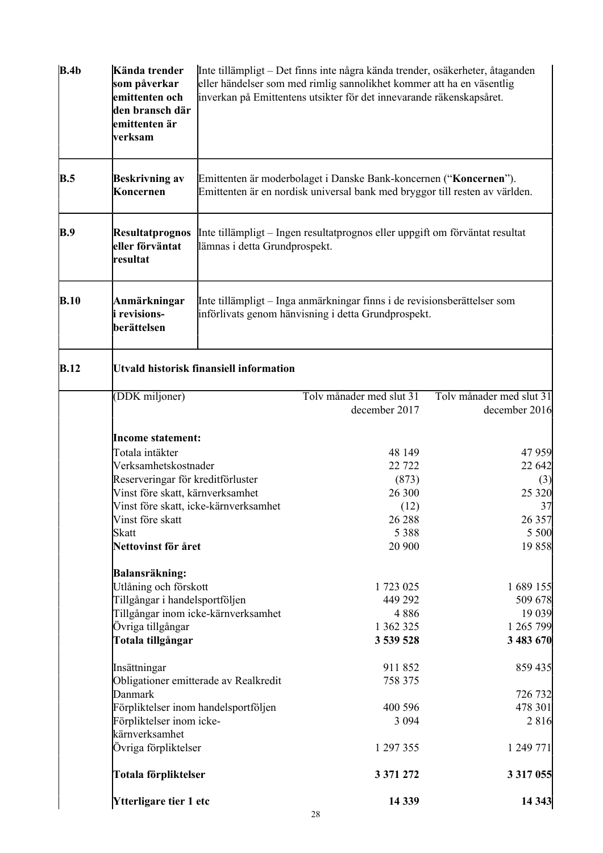| B.4b        | Kända trender<br>som påverkar<br>emittenten och<br>den bransch där<br>emittenten är<br>verksam |                                       | Inte tillämpligt – Det finns inte några kända trender, osäkerheter, åtaganden<br>eller händelser som med rimlig sannolikhet kommer att ha en väsentlig<br>inverkan på Emittentens utsikter för det innevarande räkenskapsåret. |                                           |  |  |
|-------------|------------------------------------------------------------------------------------------------|---------------------------------------|--------------------------------------------------------------------------------------------------------------------------------------------------------------------------------------------------------------------------------|-------------------------------------------|--|--|
| B.5         | <b>Beskrivning av</b><br>Koncernen                                                             |                                       | Emittenten är moderbolaget i Danske Bank-koncernen ("Koncernen").<br>Emittenten är en nordisk universal bank med bryggor till resten av världen.                                                                               |                                           |  |  |
| <b>B.9</b>  | <b>Resultatprognos</b><br>eller förväntat<br>resultat                                          | lämnas i detta Grundprospekt.         | Inte tillämpligt – Ingen resultatprognos eller uppgift om förväntat resultat                                                                                                                                                   |                                           |  |  |
| B.10        | Anmärkningar<br>i revisions-<br>berättelsen                                                    |                                       | Inte tillämpligt – Inga anmärkningar finns i de revisionsberättelser som<br>införlivats genom hänvisning i detta Grundprospekt.                                                                                                |                                           |  |  |
| <b>B.12</b> | <b>Utvald historisk finansiell information</b>                                                 |                                       |                                                                                                                                                                                                                                |                                           |  |  |
|             | (DDK miljoner)                                                                                 |                                       | Toly månader med slut 31<br>december 2017                                                                                                                                                                                      | Tolv månader med slut 31<br>december 2016 |  |  |
|             | <b>Income statement:</b>                                                                       |                                       |                                                                                                                                                                                                                                |                                           |  |  |
|             | Totala intäkter                                                                                |                                       | 48 149                                                                                                                                                                                                                         | 47 959                                    |  |  |
|             | Verksamhetskostnader                                                                           |                                       | 22 7 22                                                                                                                                                                                                                        | 22 642                                    |  |  |
|             | Reserveringar för kreditförluster                                                              |                                       | (873)                                                                                                                                                                                                                          | (3)                                       |  |  |
|             | Vinst före skatt, kärnverksamhet                                                               |                                       | 26 300                                                                                                                                                                                                                         | 25 3 20                                   |  |  |
|             |                                                                                                | Vinst före skatt, icke-kärnverksamhet | (12)                                                                                                                                                                                                                           | 37                                        |  |  |
|             | Vinst före skatt                                                                               |                                       | 26 288                                                                                                                                                                                                                         | 26 357                                    |  |  |
|             | <b>Skatt</b><br>Nettovinst för året                                                            |                                       | 5 3 8 8<br>20 900                                                                                                                                                                                                              | 5 500<br>19858                            |  |  |
|             |                                                                                                |                                       |                                                                                                                                                                                                                                |                                           |  |  |
|             | Balansräkning:                                                                                 |                                       |                                                                                                                                                                                                                                |                                           |  |  |
|             | Utlåning och förskott                                                                          |                                       | 1 723 025                                                                                                                                                                                                                      | 1 689 155                                 |  |  |
|             | Tillgångar i handelsportföljen                                                                 |                                       | 449 292<br>4886                                                                                                                                                                                                                | 509 678                                   |  |  |
|             | Övriga tillgångar                                                                              | Tillgångar inom icke-kärnverksamhet   | 1 362 325                                                                                                                                                                                                                      | 19 039<br>1 265 799                       |  |  |
|             | Totala tillgångar                                                                              |                                       | 3 539 528                                                                                                                                                                                                                      | 3 483 670                                 |  |  |
|             |                                                                                                |                                       | 911852                                                                                                                                                                                                                         |                                           |  |  |
|             | Insättningar                                                                                   | Obligationer emitterade av Realkredit | 758 375                                                                                                                                                                                                                        | 859 435                                   |  |  |
|             | Danmark                                                                                        |                                       |                                                                                                                                                                                                                                | 726 732                                   |  |  |
|             | Förpliktelser inom handelsportföljen                                                           |                                       | 400 596                                                                                                                                                                                                                        | 478 301                                   |  |  |
|             | Förpliktelser inom icke-                                                                       |                                       | 3 0 9 4                                                                                                                                                                                                                        | 2 8 1 6                                   |  |  |
|             | kärnverksamhet                                                                                 |                                       |                                                                                                                                                                                                                                |                                           |  |  |
|             | Övriga förpliktelser                                                                           |                                       | 1 297 355                                                                                                                                                                                                                      | 1 249 771                                 |  |  |
|             | Totala förpliktelser                                                                           |                                       | 3 371 272                                                                                                                                                                                                                      | 3 3 1 7 0 5 5                             |  |  |
|             | Ytterligare tier 1 etc                                                                         |                                       | 14 3 39                                                                                                                                                                                                                        | 14 3 43                                   |  |  |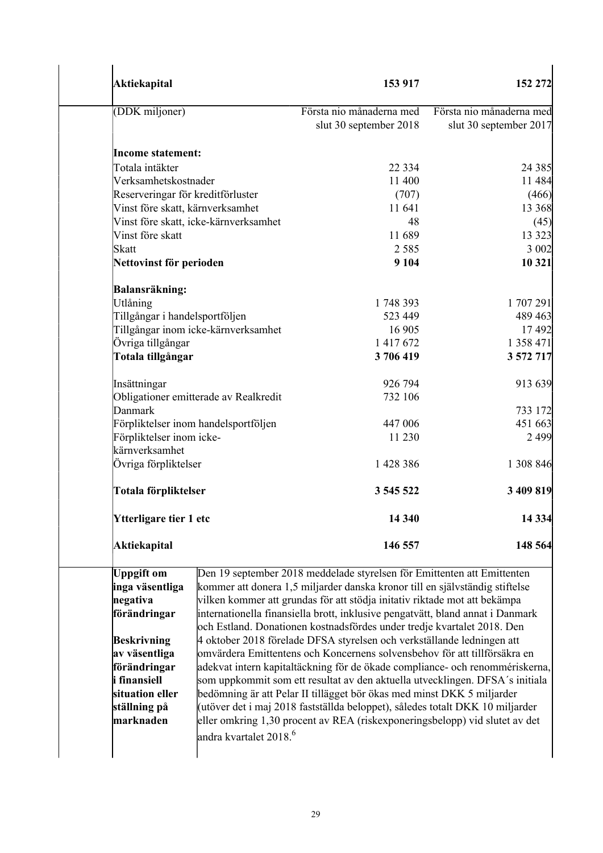| <b>Aktiekapital</b>                                                                                                                                                                     |                                       | 153 917                                                                                                                                                                                                                                                                                                                                                                                                                                                                                                                                                                                                                                                                                                                                                                                                                                                                                                                                                            | 152 272                                            |
|-----------------------------------------------------------------------------------------------------------------------------------------------------------------------------------------|---------------------------------------|--------------------------------------------------------------------------------------------------------------------------------------------------------------------------------------------------------------------------------------------------------------------------------------------------------------------------------------------------------------------------------------------------------------------------------------------------------------------------------------------------------------------------------------------------------------------------------------------------------------------------------------------------------------------------------------------------------------------------------------------------------------------------------------------------------------------------------------------------------------------------------------------------------------------------------------------------------------------|----------------------------------------------------|
| (DDK miljoner)                                                                                                                                                                          |                                       | Första nio månaderna med<br>slut 30 september 2018                                                                                                                                                                                                                                                                                                                                                                                                                                                                                                                                                                                                                                                                                                                                                                                                                                                                                                                 | Första nio månaderna med<br>slut 30 september 2017 |
| <b>Income statement:</b>                                                                                                                                                                |                                       |                                                                                                                                                                                                                                                                                                                                                                                                                                                                                                                                                                                                                                                                                                                                                                                                                                                                                                                                                                    |                                                    |
| Totala intäkter                                                                                                                                                                         |                                       | 22 3 3 4                                                                                                                                                                                                                                                                                                                                                                                                                                                                                                                                                                                                                                                                                                                                                                                                                                                                                                                                                           | 24 3 8 5                                           |
| Verksamhetskostnader                                                                                                                                                                    |                                       | 11 400                                                                                                                                                                                                                                                                                                                                                                                                                                                                                                                                                                                                                                                                                                                                                                                                                                                                                                                                                             | 11 484                                             |
|                                                                                                                                                                                         | Reserveringar för kreditförluster     | (707)                                                                                                                                                                                                                                                                                                                                                                                                                                                                                                                                                                                                                                                                                                                                                                                                                                                                                                                                                              | (466)                                              |
|                                                                                                                                                                                         | Vinst före skatt, kärnverksamhet      | 11 641                                                                                                                                                                                                                                                                                                                                                                                                                                                                                                                                                                                                                                                                                                                                                                                                                                                                                                                                                             | 13 3 68                                            |
|                                                                                                                                                                                         | Vinst före skatt, icke-kärnverksamhet | 48                                                                                                                                                                                                                                                                                                                                                                                                                                                                                                                                                                                                                                                                                                                                                                                                                                                                                                                                                                 | (45)                                               |
| Vinst före skatt                                                                                                                                                                        |                                       | 11 689                                                                                                                                                                                                                                                                                                                                                                                                                                                                                                                                                                                                                                                                                                                                                                                                                                                                                                                                                             | 13 3 23                                            |
| Skatt                                                                                                                                                                                   |                                       | 2 5 8 5                                                                                                                                                                                                                                                                                                                                                                                                                                                                                                                                                                                                                                                                                                                                                                                                                                                                                                                                                            | 3 002                                              |
| Nettovinst för perioden                                                                                                                                                                 |                                       | 9 1 0 4                                                                                                                                                                                                                                                                                                                                                                                                                                                                                                                                                                                                                                                                                                                                                                                                                                                                                                                                                            | 10 321                                             |
| Balansräkning:                                                                                                                                                                          |                                       |                                                                                                                                                                                                                                                                                                                                                                                                                                                                                                                                                                                                                                                                                                                                                                                                                                                                                                                                                                    |                                                    |
| Utlåning                                                                                                                                                                                |                                       | 1748393                                                                                                                                                                                                                                                                                                                                                                                                                                                                                                                                                                                                                                                                                                                                                                                                                                                                                                                                                            | 1707291                                            |
|                                                                                                                                                                                         | Tillgångar i handelsportföljen        | 523 449                                                                                                                                                                                                                                                                                                                                                                                                                                                                                                                                                                                                                                                                                                                                                                                                                                                                                                                                                            | 489 463                                            |
|                                                                                                                                                                                         | Tillgångar inom icke-kärnverksamhet   | 16 905                                                                                                                                                                                                                                                                                                                                                                                                                                                                                                                                                                                                                                                                                                                                                                                                                                                                                                                                                             | 17492                                              |
| Övriga tillgångar                                                                                                                                                                       |                                       | 1 417 672                                                                                                                                                                                                                                                                                                                                                                                                                                                                                                                                                                                                                                                                                                                                                                                                                                                                                                                                                          | 1 358 471                                          |
| Totala tillgångar                                                                                                                                                                       |                                       | 3706419                                                                                                                                                                                                                                                                                                                                                                                                                                                                                                                                                                                                                                                                                                                                                                                                                                                                                                                                                            | 3 572 717                                          |
| Insättningar                                                                                                                                                                            |                                       | 926 794                                                                                                                                                                                                                                                                                                                                                                                                                                                                                                                                                                                                                                                                                                                                                                                                                                                                                                                                                            | 913 639                                            |
|                                                                                                                                                                                         | Obligationer emitterade av Realkredit | 732 106                                                                                                                                                                                                                                                                                                                                                                                                                                                                                                                                                                                                                                                                                                                                                                                                                                                                                                                                                            |                                                    |
| Danmark                                                                                                                                                                                 |                                       |                                                                                                                                                                                                                                                                                                                                                                                                                                                                                                                                                                                                                                                                                                                                                                                                                                                                                                                                                                    | 733 172                                            |
|                                                                                                                                                                                         | Förpliktelser inom handelsportföljen  | 447 006                                                                                                                                                                                                                                                                                                                                                                                                                                                                                                                                                                                                                                                                                                                                                                                                                                                                                                                                                            | 451 663                                            |
| Förpliktelser inom icke-                                                                                                                                                                |                                       | 11 230                                                                                                                                                                                                                                                                                                                                                                                                                                                                                                                                                                                                                                                                                                                                                                                                                                                                                                                                                             | 2499                                               |
| kärnverksamhet                                                                                                                                                                          |                                       |                                                                                                                                                                                                                                                                                                                                                                                                                                                                                                                                                                                                                                                                                                                                                                                                                                                                                                                                                                    |                                                    |
| Övriga förpliktelser                                                                                                                                                                    |                                       | 1 428 386                                                                                                                                                                                                                                                                                                                                                                                                                                                                                                                                                                                                                                                                                                                                                                                                                                                                                                                                                          | 1 308 846                                          |
| Totala förpliktelser                                                                                                                                                                    |                                       | 3 545 522                                                                                                                                                                                                                                                                                                                                                                                                                                                                                                                                                                                                                                                                                                                                                                                                                                                                                                                                                          | 3 409 819                                          |
| Ytterligare tier 1 etc                                                                                                                                                                  |                                       | 14 340                                                                                                                                                                                                                                                                                                                                                                                                                                                                                                                                                                                                                                                                                                                                                                                                                                                                                                                                                             | 14 3 34                                            |
| Aktiekapital                                                                                                                                                                            |                                       | 146 557                                                                                                                                                                                                                                                                                                                                                                                                                                                                                                                                                                                                                                                                                                                                                                                                                                                                                                                                                            | 148 564                                            |
| <b>Uppgift</b> om<br>inga väsentliga<br>negativa<br>förändringar<br><b>Beskrivning</b><br>av väsentliga<br>förändringar<br>i finansiell<br>situation eller<br>ställning på<br>marknaden | andra kvartalet 2018. <sup>6</sup>    | Den 19 september 2018 meddelade styrelsen för Emittenten att Emittenten<br>kommer att donera 1,5 miljarder danska kronor till en självständig stiftelse<br>vilken kommer att grundas för att stödja initativ riktade mot att bekämpa<br>internationella finansiella brott, inklusive pengatvätt, bland annat i Danmark<br>och Estland. Donationen kostnadsfördes under tredje kvartalet 2018. Den<br>4 oktober 2018 förelade DFSA styrelsen och verkställande ledningen att<br>omvärdera Emittentens och Koncernens solvensbehov för att tillförsäkra en<br>adekvat intern kapitaltäckning för de ökade compliance- och renommériskerna,<br>som uppkommit som ett resultat av den aktuella utvecklingen. DFSA's initiala<br>bedömning är att Pelar II tillägget bör ökas med minst DKK 5 miljarder<br>(utöver det i maj 2018 fastställda beloppet), således totalt DKK 10 miljarder<br>eller omkring 1,30 procent av REA (riskexponeringsbelopp) vid slutet av det |                                                    |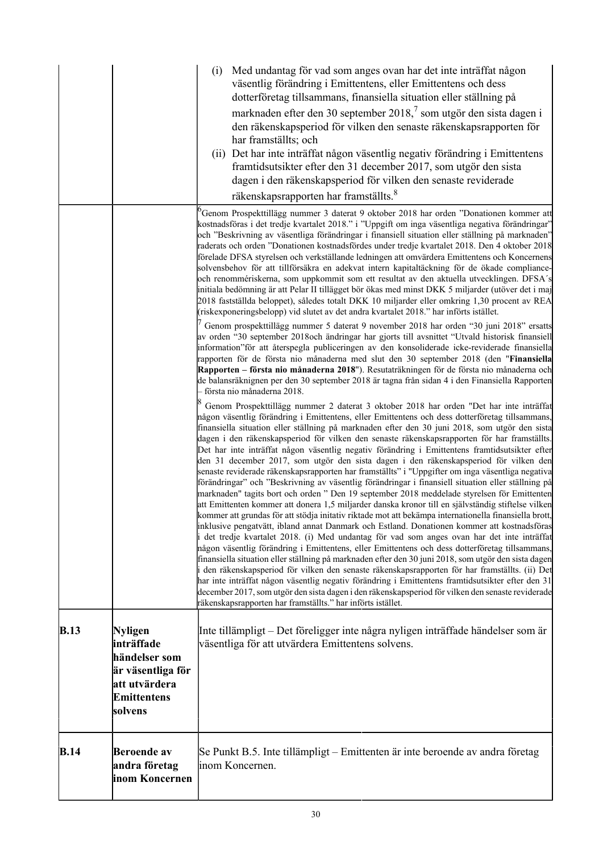|             |                                                                                                               | (i) | Med undantag för vad som anges ovan har det inte inträffat någon<br>väsentlig förändring i Emittentens, eller Emittentens och dess<br>dotterföretag tillsammans, finansiella situation eller ställning på<br>marknaden efter den 30 september 2018, <sup>7</sup> som utgör den sista dagen i<br>den räkenskapsperiod för vilken den senaste räkenskapsrapporten för<br>har framställts; och<br>(ii) Det har inte inträffat någon väsentlig negativ förändring i Emittentens<br>framtidsutsikter efter den 31 december 2017, som utgör den sista<br>dagen i den räkenskapsperiod för vilken den senaste reviderade<br>räkenskapsrapporten har framställts. <sup>8</sup>                                                                                                                                                                                                                                                                                                                                                                                                                                                                                                                                                                                                                                                                                                                                                                                                                                                                                                                                                                                                                                                                                                                                                                                                                                                                                                                                                                                                                                                                                                                                                                                                                                                                                                                                                                                                                                                                                                                                                                                                                                                                                                                                                                                                                                                                                                                                                                                                                                                                                                                                                                                                                                                                                                                                                           |
|-------------|---------------------------------------------------------------------------------------------------------------|-----|----------------------------------------------------------------------------------------------------------------------------------------------------------------------------------------------------------------------------------------------------------------------------------------------------------------------------------------------------------------------------------------------------------------------------------------------------------------------------------------------------------------------------------------------------------------------------------------------------------------------------------------------------------------------------------------------------------------------------------------------------------------------------------------------------------------------------------------------------------------------------------------------------------------------------------------------------------------------------------------------------------------------------------------------------------------------------------------------------------------------------------------------------------------------------------------------------------------------------------------------------------------------------------------------------------------------------------------------------------------------------------------------------------------------------------------------------------------------------------------------------------------------------------------------------------------------------------------------------------------------------------------------------------------------------------------------------------------------------------------------------------------------------------------------------------------------------------------------------------------------------------------------------------------------------------------------------------------------------------------------------------------------------------------------------------------------------------------------------------------------------------------------------------------------------------------------------------------------------------------------------------------------------------------------------------------------------------------------------------------------------------------------------------------------------------------------------------------------------------------------------------------------------------------------------------------------------------------------------------------------------------------------------------------------------------------------------------------------------------------------------------------------------------------------------------------------------------------------------------------------------------------------------------------------------------------------------------------------------------------------------------------------------------------------------------------------------------------------------------------------------------------------------------------------------------------------------------------------------------------------------------------------------------------------------------------------------------------------------------------------------------------------------------------------------------|
|             |                                                                                                               |     | <sup>6</sup> Genom Prospekttillägg nummer 3 daterat 9 oktober 2018 har orden "Donationen kommer att                                                                                                                                                                                                                                                                                                                                                                                                                                                                                                                                                                                                                                                                                                                                                                                                                                                                                                                                                                                                                                                                                                                                                                                                                                                                                                                                                                                                                                                                                                                                                                                                                                                                                                                                                                                                                                                                                                                                                                                                                                                                                                                                                                                                                                                                                                                                                                                                                                                                                                                                                                                                                                                                                                                                                                                                                                                                                                                                                                                                                                                                                                                                                                                                                                                                                                                              |
|             |                                                                                                               |     | kostnadsföras i det tredje kvartalet 2018." i "Uppgift om inga väsentliga negativa förändringar"<br>och "Beskrivning av väsentliga förändringar i finansiell situation eller ställning på marknaden"<br>raderats och orden "Donationen kostnadsfördes under tredje kvartalet 2018. Den 4 oktober 2018<br>förelade DFSA styrelsen och verkställande ledningen att omvärdera Emittentens och Koncernens<br>solvensbehov för att tillförsäkra en adekvat intern kapitaltäckning för de ökade compliance-<br>och renommériskerna, som uppkommit som ett resultat av den aktuella utvecklingen. DFSA's<br>initiala bedömning är att Pelar II tillägget bör ökas med minst DKK 5 miljarder (utöver det i maj<br>2018 fastställda beloppet), således totalt DKK 10 miljarder eller omkring 1,30 procent av REA<br>(riskexponeringsbelopp) vid slutet av det andra kvartalet 2018." har införts istället.<br>Genom prospekttillägg nummer 5 daterat 9 november 2018 har orden "30 juni 2018" ersatts<br>av orden "30 september 2018och ändringar har gjorts till avsnittet "Utvald historisk finansiell<br>information" för att återspegla publiceringen av den konsoliderade icke-reviderade finansiella<br>rapporten för de första nio månaderna med slut den 30 september 2018 (den "Finansiella<br>Rapporten – första nio månaderna 2018"). Resutaträkningen för de första nio månaderna och<br>de balansräknignen per den 30 september 2018 är tagna från sidan 4 i den Finansiella Rapporten<br>första nio månaderna 2018.<br>Genom Prospekttillägg nummer 2 daterat 3 oktober 2018 har orden "Det har inte inträffat<br>någon väsentlig förändring i Emittentens, eller Emittentens och dess dotterföretag tillsammans,<br>finansiella situation eller ställning på marknaden efter den 30 juni 2018, som utgör den sista<br>dagen i den räkenskapsperiod för vilken den senaste räkenskapsrapporten för har framställts.<br>Det har inte inträffat någon väsentlig negativ förändring i Emittentens framtidsutsikter efter<br>den 31 december 2017, som utgör den sista dagen i den räkenskapsperiod för vilken den<br>senaste reviderade räkenskapsrapporten har framställts" i "Uppgifter om inga väsentliga negativa<br>förändringar" och "Beskrivning av väsentlig förändringar i finansiell situation eller ställning på<br>marknaden" tagits bort och orden " Den 19 september 2018 meddelade styrelsen för Emittenten<br>att Emittenten kommer att donera 1,5 miljarder danska kronor till en självständig stiftelse vilken<br>kommer att grundas för att stödja initativ riktade mot att bekämpa internationella finansiella brott,<br>inklusive pengatvätt, ibland annat Danmark och Estland. Donationen kommer att kostnadsföras<br>i det tredje kvartalet 2018. (i) Med undantag för vad som anges ovan har det inte inträffat<br>någon väsentlig förändring i Emittentens, eller Emittentens och dess dotterföretag tillsammans,<br>finansiella situation eller ställning på marknaden efter den 30 juni 2018, som utgör den sista dagen<br>i den räkenskapsperiod för vilken den senaste räkenskapsrapporten för har framställts. (ii) Det<br>har inte inträffat någon väsentlig negativ förändring i Emittentens framtidsutsikter efter den 31<br>december 2017, som utgör den sista dagen i den räkenskapsperiod för vilken den senaste reviderade<br>räkenskapsrapporten har framställts." har införts istället. |
|             |                                                                                                               |     |                                                                                                                                                                                                                                                                                                                                                                                                                                                                                                                                                                                                                                                                                                                                                                                                                                                                                                                                                                                                                                                                                                                                                                                                                                                                                                                                                                                                                                                                                                                                                                                                                                                                                                                                                                                                                                                                                                                                                                                                                                                                                                                                                                                                                                                                                                                                                                                                                                                                                                                                                                                                                                                                                                                                                                                                                                                                                                                                                                                                                                                                                                                                                                                                                                                                                                                                                                                                                                  |
| <b>B.13</b> | Nyligen<br>inträffade<br>händelser som<br>är väsentliga för<br>att utvärdera<br><b>Emittentens</b><br>solvens |     | Inte tillämpligt – Det föreligger inte några nyligen inträffade händelser som är<br>väsentliga för att utvärdera Emittentens solvens.                                                                                                                                                                                                                                                                                                                                                                                                                                                                                                                                                                                                                                                                                                                                                                                                                                                                                                                                                                                                                                                                                                                                                                                                                                                                                                                                                                                                                                                                                                                                                                                                                                                                                                                                                                                                                                                                                                                                                                                                                                                                                                                                                                                                                                                                                                                                                                                                                                                                                                                                                                                                                                                                                                                                                                                                                                                                                                                                                                                                                                                                                                                                                                                                                                                                                            |
|             |                                                                                                               |     |                                                                                                                                                                                                                                                                                                                                                                                                                                                                                                                                                                                                                                                                                                                                                                                                                                                                                                                                                                                                                                                                                                                                                                                                                                                                                                                                                                                                                                                                                                                                                                                                                                                                                                                                                                                                                                                                                                                                                                                                                                                                                                                                                                                                                                                                                                                                                                                                                                                                                                                                                                                                                                                                                                                                                                                                                                                                                                                                                                                                                                                                                                                                                                                                                                                                                                                                                                                                                                  |
| <b>B.14</b> | <b>Beroende</b> av<br>andra företag<br>inom Koncernen                                                         |     | Se Punkt B.5. Inte tillämpligt – Emittenten är inte beroende av andra företag<br>inom Koncernen.                                                                                                                                                                                                                                                                                                                                                                                                                                                                                                                                                                                                                                                                                                                                                                                                                                                                                                                                                                                                                                                                                                                                                                                                                                                                                                                                                                                                                                                                                                                                                                                                                                                                                                                                                                                                                                                                                                                                                                                                                                                                                                                                                                                                                                                                                                                                                                                                                                                                                                                                                                                                                                                                                                                                                                                                                                                                                                                                                                                                                                                                                                                                                                                                                                                                                                                                 |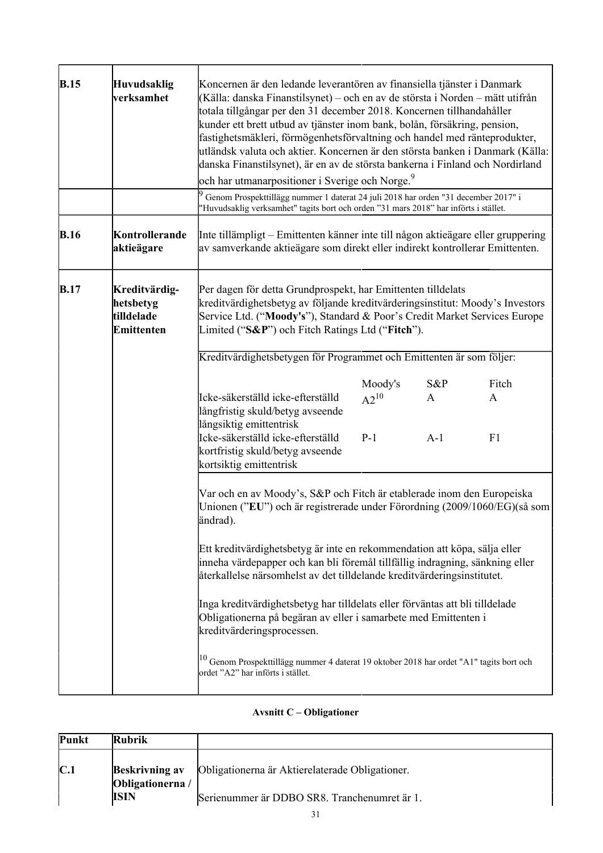| B.15        | <b>Huvudsaklig</b><br>verksamhet                              | Koncernen är den ledande leverantören av finansiella tjänster i Danmark<br>(Källa: danska Finanstilsynet) – och en av de största i Norden – mätt utifrån<br>totala tillgångar per den 31 december 2018. Koncernen tillhandahåller<br>kunder ett brett utbud av tjänster inom bank, bolån, försäkring, pension,<br>fastighetsmäkleri, förmögenhetsförvaltning och handel med ränteprodukter,<br>utländsk valuta och aktier. Koncernen är den största banken i Danmark (Källa:<br>danska Finanstilsynet), är en av de största bankerna i Finland och Nordirland<br>och har utmanarpositioner i Sverige och Norge. <sup>9</sup>                                                                                                                                     |                               |                      |                  |
|-------------|---------------------------------------------------------------|------------------------------------------------------------------------------------------------------------------------------------------------------------------------------------------------------------------------------------------------------------------------------------------------------------------------------------------------------------------------------------------------------------------------------------------------------------------------------------------------------------------------------------------------------------------------------------------------------------------------------------------------------------------------------------------------------------------------------------------------------------------|-------------------------------|----------------------|------------------|
|             |                                                               | Genom Prospekttillägg nummer 1 daterat 24 juli 2018 har orden "31 december 2017" i<br>"Huvudsaklig verksamhet" tagits bort och orden "31 mars 2018" har införts i stället.                                                                                                                                                                                                                                                                                                                                                                                                                                                                                                                                                                                       |                               |                      |                  |
| <b>B.16</b> | Kontrollerande<br>aktieägare                                  | Inte tillämpligt – Emittenten känner inte till någon aktieägare eller gruppering<br>av samverkande aktieägare som direkt eller indirekt kontrollerar Emittenten.                                                                                                                                                                                                                                                                                                                                                                                                                                                                                                                                                                                                 |                               |                      |                  |
| <b>B.17</b> | Kreditvärdig-<br>hetsbetyg<br>tilldelade<br><b>Emittenten</b> | Per dagen för detta Grundprospekt, har Emittenten tilldelats<br>kreditvärdighetsbetyg av följande kreditvärderingsinstitut: Moody's Investors<br>Service Ltd. ("Moody's"), Standard & Poor's Credit Market Services Europe<br>Limited ("S&P") och Fitch Ratings Ltd ("Fitch").                                                                                                                                                                                                                                                                                                                                                                                                                                                                                   |                               |                      |                  |
|             |                                                               | Kreditvärdighetsbetygen för Programmet och Emittenten är som följer:                                                                                                                                                                                                                                                                                                                                                                                                                                                                                                                                                                                                                                                                                             |                               |                      |                  |
|             |                                                               | Icke-säkerställd icke-efterställd<br>långfristig skuld/betyg avseende<br>långsiktig emittentrisk<br>Icke-säkerställd icke-efterställd<br>kortfristig skuld/betyg avseende                                                                                                                                                                                                                                                                                                                                                                                                                                                                                                                                                                                        | Moody's<br>$A2^{10}$<br>$P-1$ | $S\&P$<br>A<br>$A-1$ | Fitch<br>A<br>F1 |
|             |                                                               | kortsiktig emittentrisk<br>Var och en av Moody's, S&P och Fitch är etablerade inom den Europeiska<br>Unionen ("EU") och är registrerade under Förordning (2009/1060/EG)(så som<br> ändrad).<br>Ett kreditvärdighetsbetyg är inte en rekommendation att köpa, sälja eller<br>inneha värdepapper och kan bli föremål tillfällig indragning, sänkning eller<br>återkallelse närsomhelst av det tilldelande kreditvärderingsinstitutet.<br>Inga kreditvärdighetsbetyg har tilldelats eller förväntas att bli tilldelade<br>Obligationerna på begäran av eller i samarbete med Emittenten i<br>kreditvärderingsprocessen.<br><sup>10</sup> Genom Prospekttillägg nummer 4 daterat 19 oktober 2018 har ordet "A1" tagits bort och<br>ordet "A2" har införts i stället. |                               |                      |                  |

## **Avsnitt C – Obligationer**

| Punkt          | <b>Rubrik</b>                             |                                                 |
|----------------|-------------------------------------------|-------------------------------------------------|
| $\mathbf{C}$ . | <b>Beskrivning av</b><br>Obligationerna / | Obligationerna är Aktierelaterade Obligationer. |
|                | <b>ISIN</b>                               | Serienummer är DDBO SR8. Tranchenumret är 1.    |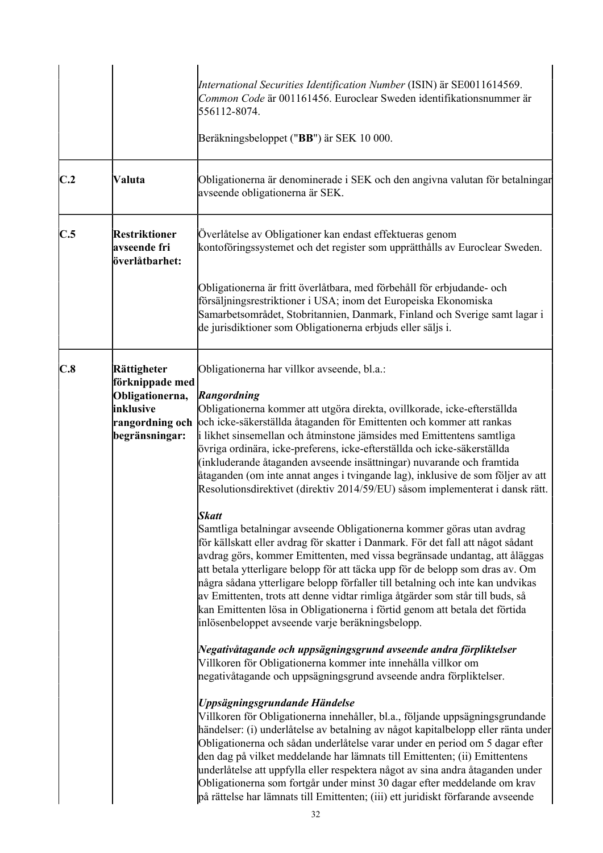|     |                                                                                                     | International Securities Identification Number (ISIN) är SE0011614569.<br>Common Code är 001161456. Euroclear Sweden identifikationsnummer är<br>556112-8074.<br>Beräkningsbeloppet ("BB") är SEK 10 000.                                                                                                                                                                                                                                                                                                                                                                                                                                                                                                                                                                                                                       |
|-----|-----------------------------------------------------------------------------------------------------|---------------------------------------------------------------------------------------------------------------------------------------------------------------------------------------------------------------------------------------------------------------------------------------------------------------------------------------------------------------------------------------------------------------------------------------------------------------------------------------------------------------------------------------------------------------------------------------------------------------------------------------------------------------------------------------------------------------------------------------------------------------------------------------------------------------------------------|
| C.2 | Valuta                                                                                              | Obligationerna är denominerade i SEK och den angivna valutan för betalningar<br>avseende obligationerna är SEK.                                                                                                                                                                                                                                                                                                                                                                                                                                                                                                                                                                                                                                                                                                                 |
| C.5 | <b>Restriktioner</b><br>avseende fri<br>överlåtbarhet:                                              | Överlåtelse av Obligationer kan endast effektueras genom<br>kontoföringssystemet och det register som upprätthålls av Euroclear Sweden.                                                                                                                                                                                                                                                                                                                                                                                                                                                                                                                                                                                                                                                                                         |
|     |                                                                                                     | Obligationerna är fritt överlåtbara, med förbehåll för erbjudande- och<br>försäljningsrestriktioner i USA; inom det Europeiska Ekonomiska<br>Samarbetsområdet, Stobritannien, Danmark, Finland och Sverige samt lagar i<br>de jurisdiktioner som Obligationerna erbjuds eller säljs i.                                                                                                                                                                                                                                                                                                                                                                                                                                                                                                                                          |
| C.8 | Rättigheter<br>förknippade med<br>Obligationerna,<br>inklusive<br>rangordning och<br>begränsningar: | Obligationerna har villkor avseende, bl.a.:<br>Rangordning<br>Obligationerna kommer att utgöra direkta, ovillkorade, icke-efterställda<br>och icke-säkerställda åtaganden för Emittenten och kommer att rankas<br>i likhet sinsemellan och åtminstone jämsides med Emittentens samtliga<br>övriga ordinära, icke-preferens, icke-efterställda och icke-säkerställda<br>(inkluderande åtaganden avseende insättningar) nuvarande och framtida<br>åtaganden (om inte annat anges i tvingande lag), inklusive de som följer av att<br>Resolutionsdirektivet (direktiv 2014/59/EU) såsom implementerat i dansk rätt.                                                                                                                                                                                                                |
|     |                                                                                                     | <b>Skatt</b><br>Samtliga betalningar avseende Obligationerna kommer göras utan avdrag<br>för källskatt eller avdrag för skatter i Danmark. För det fall att något sådant<br>avdrag görs, kommer Emittenten, med vissa begränsade undantag, att åläggas<br>att betala ytterligare belopp för att täcka upp för de belopp som dras av. Om<br>några sådana ytterligare belopp förfaller till betalning och inte kan undvikas<br>av Emittenten, trots att denne vidtar rimliga åtgärder som står till buds, så<br>kan Emittenten lösa in Obligationerna i förtid genom att betala det förtida<br>inlösenbeloppet avseende varje beräkningsbelopp.                                                                                                                                                                                   |
|     |                                                                                                     | Negativåtagande och uppsägningsgrund avseende andra förpliktelser<br>Villkoren för Obligationerna kommer inte innehålla villkor om<br>negativåtagande och uppsägningsgrund avseende andra förpliktelser.<br>Uppsägningsgrundande Händelse<br>Villkoren för Obligationerna innehåller, bl.a., följande uppsägningsgrundande<br>händelser: (i) underlåtelse av betalning av något kapitalbelopp eller ränta under<br>Obligationerna och sådan underlåtelse varar under en period om 5 dagar efter<br>den dag på vilket meddelande har lämnats till Emittenten; (ii) Emittentens<br>underlåtelse att uppfylla eller respektera något av sina andra åtaganden under<br>Obligationerna som fortgår under minst 30 dagar efter meddelande om krav<br>på rättelse har lämnats till Emittenten; (iii) ett juridiskt förfarande avseende |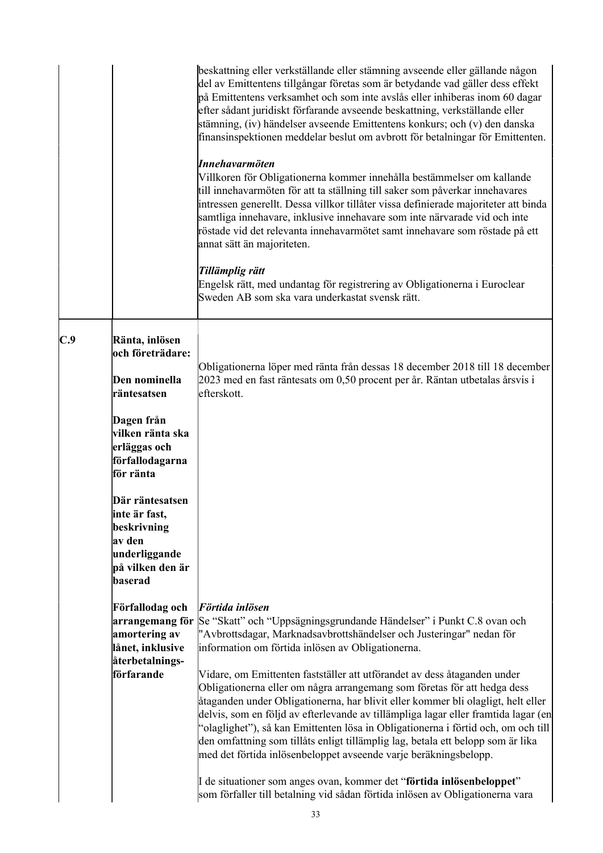|     |                                                                                                            | beskattning eller verkställande eller stämning avseende eller gällande någon<br>del av Emittentens tillgångar företas som är betydande vad gäller dess effekt<br>på Emittentens verksamhet och som inte avslås eller inhiberas inom 60 dagar<br>efter sådant juridiskt förfarande avseende beskattning, verkställande eller<br>stämning, (iv) händelser avseende Emittentens konkurs; och (v) den danska<br>finansinspektionen meddelar beslut om avbrott för betalningar för Emittenten.<br>Innehavarmöten<br>Villkoren för Obligationerna kommer innehålla bestämmelser om kallande<br>till innehavarmöten för att ta ställning till saker som påverkar innehavares<br>intressen generellt. Dessa villkor tillåter vissa definierade majoriteter att binda<br>samtliga innehavare, inklusive innehavare som inte närvarade vid och inte<br>röstade vid det relevanta innehavarmötet samt innehavare som röstade på ett<br>annat sätt än majoriteten.<br>Tillämplig rätt<br>Engelsk rätt, med undantag för registrering av Obligationerna i Euroclear<br>Sweden AB som ska vara underkastat svensk rätt. |
|-----|------------------------------------------------------------------------------------------------------------|-----------------------------------------------------------------------------------------------------------------------------------------------------------------------------------------------------------------------------------------------------------------------------------------------------------------------------------------------------------------------------------------------------------------------------------------------------------------------------------------------------------------------------------------------------------------------------------------------------------------------------------------------------------------------------------------------------------------------------------------------------------------------------------------------------------------------------------------------------------------------------------------------------------------------------------------------------------------------------------------------------------------------------------------------------------------------------------------------------------|
| C.9 | Ränta, inlösen<br>och företrädare:<br>Den nominella<br>räntesatsen<br>Dagen från<br> vilken ränta ska      | Obligationerna löper med ränta från dessas 18 december 2018 till 18 december<br>2023 med en fast räntesats om 0,50 procent per år. Räntan utbetalas årsvis i<br>efterskott.                                                                                                                                                                                                                                                                                                                                                                                                                                                                                                                                                                                                                                                                                                                                                                                                                                                                                                                               |
|     | erläggas och<br>förfallodagarna<br>för ränta                                                               |                                                                                                                                                                                                                                                                                                                                                                                                                                                                                                                                                                                                                                                                                                                                                                                                                                                                                                                                                                                                                                                                                                           |
|     | Där räntesatsen<br>linte är fast,<br>beskrivning<br>av den<br>underliggande<br>på vilken den är<br>baserad |                                                                                                                                                                                                                                                                                                                                                                                                                                                                                                                                                                                                                                                                                                                                                                                                                                                                                                                                                                                                                                                                                                           |
|     | Förfallodag och<br>arrangemang för<br>amortering av<br>lånet, inklusive<br>återbetalnings-<br>förfarande   | Förtida inlösen<br>Se "Skatt" och "Uppsägningsgrundande Händelser" i Punkt C.8 ovan och<br>"Avbrottsdagar, Marknadsavbrottshändelser och Justeringar" nedan för<br>information om förtida inlösen av Obligationerna.<br>Vidare, om Emittenten fastställer att utförandet av dess åtaganden under<br>Obligationerna eller om några arrangemang som företas för att hedga dess<br>åtaganden under Obligationerna, har blivit eller kommer bli olagligt, helt eller<br>delvis, som en följd av efterlevande av tillämpliga lagar eller framtida lagar (en<br>"olaglighet"), så kan Emittenten lösa in Obligationerna i förtid och, om och till<br>den omfattning som tillåts enligt tillämplig lag, betala ett belopp som är lika<br>med det förtida inlösenbeloppet avseende varje beräkningsbelopp.<br>I de situationer som anges ovan, kommer det "förtida inlösenbeloppet"<br>som förfaller till betalning vid sådan förtida inlösen av Obligationerna vara                                                                                                                                              |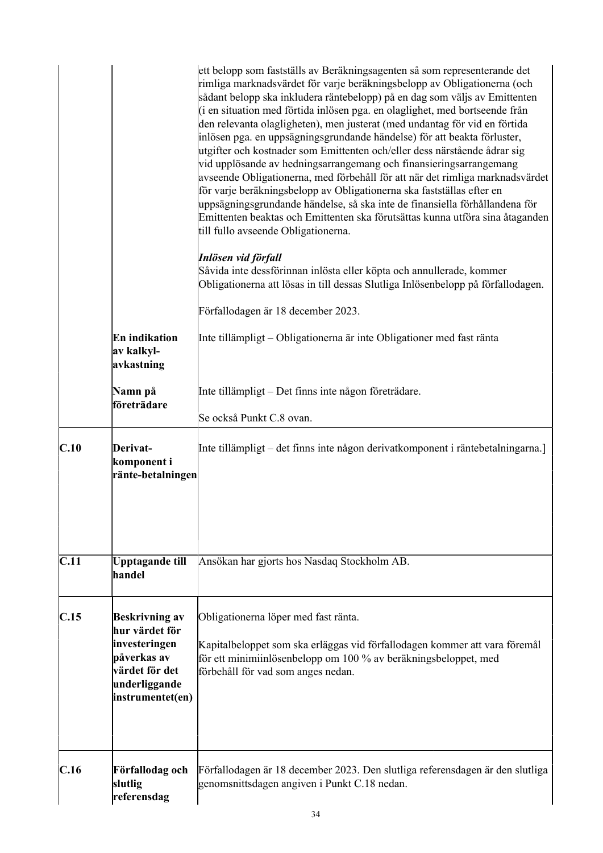|      |                                                                                                                                | ett belopp som fastställs av Beräkningsagenten så som representerande det<br>rimliga marknadsvärdet för varje beräkningsbelopp av Obligationerna (och<br>sådant belopp ska inkludera räntebelopp) på en dag som väljs av Emittenten<br>(i en situation med förtida inlösen pga. en olaglighet, med bortseende från<br>den relevanta olagligheten), men justerat (med undantag för vid en förtida<br>inlösen pga. en uppsägningsgrundande händelse) för att beakta förluster,<br>utgifter och kostnader som Emittenten och/eller dess närstående ådrar sig<br>vid upplösande av hedningsarrangemang och finansieringsarrangemang<br>avseende Obligationerna, med förbehåll för att när det rimliga marknadsvärdet<br>för varje beräkningsbelopp av Obligationerna ska fastställas efter en<br>uppsägningsgrundande händelse, så ska inte de finansiella förhållandena för<br>Emittenten beaktas och Emittenten ska förutsättas kunna utföra sina åtaganden<br>till fullo avseende Obligationerna. |
|------|--------------------------------------------------------------------------------------------------------------------------------|--------------------------------------------------------------------------------------------------------------------------------------------------------------------------------------------------------------------------------------------------------------------------------------------------------------------------------------------------------------------------------------------------------------------------------------------------------------------------------------------------------------------------------------------------------------------------------------------------------------------------------------------------------------------------------------------------------------------------------------------------------------------------------------------------------------------------------------------------------------------------------------------------------------------------------------------------------------------------------------------------|
|      |                                                                                                                                | Inlösen vid förfall<br>Såvida inte dessförinnan inlösta eller köpta och annullerade, kommer<br>Obligationerna att lösas in till dessas Slutliga Inlösenbelopp på förfallodagen.                                                                                                                                                                                                                                                                                                                                                                                                                                                                                                                                                                                                                                                                                                                                                                                                                  |
|      |                                                                                                                                | Förfallodagen är 18 december 2023.                                                                                                                                                                                                                                                                                                                                                                                                                                                                                                                                                                                                                                                                                                                                                                                                                                                                                                                                                               |
|      | En indikation<br>av kalkyl-<br>avkastning                                                                                      | Inte tillämpligt – Obligationerna är inte Obligationer med fast ränta                                                                                                                                                                                                                                                                                                                                                                                                                                                                                                                                                                                                                                                                                                                                                                                                                                                                                                                            |
|      | Namn på                                                                                                                        | Inte tillämpligt – Det finns inte någon företrädare.                                                                                                                                                                                                                                                                                                                                                                                                                                                                                                                                                                                                                                                                                                                                                                                                                                                                                                                                             |
|      | företrädare                                                                                                                    | Se också Punkt C.8 ovan.                                                                                                                                                                                                                                                                                                                                                                                                                                                                                                                                                                                                                                                                                                                                                                                                                                                                                                                                                                         |
| C.10 | Derivat-<br>komponent i<br>ränte-betalningen                                                                                   | Inte tillämpligt – det finns inte någon derivatkomponent i räntebetalningarna.]                                                                                                                                                                                                                                                                                                                                                                                                                                                                                                                                                                                                                                                                                                                                                                                                                                                                                                                  |
| C.11 | Upptagande till<br>handel                                                                                                      | Ansökan har gjorts hos Nasdaq Stockholm AB.                                                                                                                                                                                                                                                                                                                                                                                                                                                                                                                                                                                                                                                                                                                                                                                                                                                                                                                                                      |
| C.15 | <b>Beskrivning av</b><br>hur värdet för<br>investeringen<br>påverkas av<br>värdet för det<br>underliggande<br>instrumentet(en) | Obligationerna löper med fast ränta.<br>Kapitalbeloppet som ska erläggas vid förfallodagen kommer att vara föremål<br>för ett minimiinlösenbelopp om 100 % av beräkningsbeloppet, med<br>förbehåll för vad som anges nedan.                                                                                                                                                                                                                                                                                                                                                                                                                                                                                                                                                                                                                                                                                                                                                                      |
| C.16 | Förfallodag och<br>slutlig<br>referensdag                                                                                      | Förfallodagen är 18 december 2023. Den slutliga referensdagen är den slutliga<br>genomsnittsdagen angiven i Punkt C.18 nedan.                                                                                                                                                                                                                                                                                                                                                                                                                                                                                                                                                                                                                                                                                                                                                                                                                                                                    |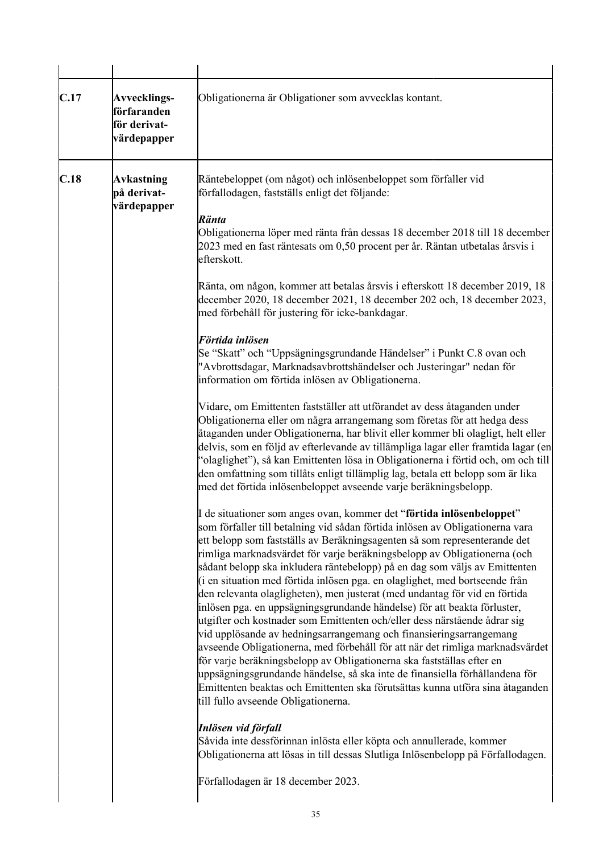| C.17 | <b>Avvecklings-</b><br>förfaranden<br>för derivat-<br>värdepapper | Obligationerna är Obligationer som avvecklas kontant.                                                                                                                                                                                                                                                                                                                                                                                                                                                                                                                                                                                                                                                                                                                                                                                                                                                                                                                                                                                                                                                                                                                                                                                                                                                                                                                                                                                                                                                                                                                                                                                                                                                                                                                                                                                                                                                                                                                                                                                                                                                                                                                                                                                                                                                                                                                                                                                                                                                                                                                                                                                                                           |
|------|-------------------------------------------------------------------|---------------------------------------------------------------------------------------------------------------------------------------------------------------------------------------------------------------------------------------------------------------------------------------------------------------------------------------------------------------------------------------------------------------------------------------------------------------------------------------------------------------------------------------------------------------------------------------------------------------------------------------------------------------------------------------------------------------------------------------------------------------------------------------------------------------------------------------------------------------------------------------------------------------------------------------------------------------------------------------------------------------------------------------------------------------------------------------------------------------------------------------------------------------------------------------------------------------------------------------------------------------------------------------------------------------------------------------------------------------------------------------------------------------------------------------------------------------------------------------------------------------------------------------------------------------------------------------------------------------------------------------------------------------------------------------------------------------------------------------------------------------------------------------------------------------------------------------------------------------------------------------------------------------------------------------------------------------------------------------------------------------------------------------------------------------------------------------------------------------------------------------------------------------------------------------------------------------------------------------------------------------------------------------------------------------------------------------------------------------------------------------------------------------------------------------------------------------------------------------------------------------------------------------------------------------------------------------------------------------------------------------------------------------------------------|
| C.18 | <b>Avkastning</b><br>på derivat-<br>värdepapper                   | Räntebeloppet (om något) och inlösenbeloppet som förfaller vid<br>förfallodagen, fastställs enligt det följande:<br>Ränta<br>Obligationerna löper med ränta från dessas 18 december 2018 till 18 december<br>2023 med en fast räntesats om 0,50 procent per år. Räntan utbetalas årsvis i<br>lefterskott.<br>Ränta, om någon, kommer att betalas årsvis i efterskott 18 december 2019, 18<br>december 2020, 18 december 2021, 18 december 202 och, 18 december 2023,<br>med förbehåll för justering för icke-bankdagar.<br> Förtida inlösen<br>Se "Skatt" och "Uppsägningsgrundande Händelser" i Punkt C.8 ovan och<br>"Avbrottsdagar, Marknadsavbrottshändelser och Justeringar" nedan för<br>information om förtida inlösen av Obligationerna.<br>Vidare, om Emittenten fastställer att utförandet av dess åtaganden under<br>Obligationerna eller om några arrangemang som företas för att hedga dess<br>åtaganden under Obligationerna, har blivit eller kommer bli olagligt, helt eller<br>delvis, som en följd av efterlevande av tillämpliga lagar eller framtida lagar (en<br>"olaglighet"), så kan Emittenten lösa in Obligationerna i förtid och, om och till<br>den omfattning som tillåts enligt tillämplig lag, betala ett belopp som är lika<br>med det förtida inlösenbeloppet avseende varje beräkningsbelopp.<br>I de situationer som anges ovan, kommer det "förtida inlösenbeloppet"<br>som förfaller till betalning vid sådan förtida inlösen av Obligationerna vara<br>ett belopp som fastställs av Beräkningsagenten så som representerande det<br>rimliga marknadsvärdet för varje beräkningsbelopp av Obligationerna (och<br>sådant belopp ska inkludera räntebelopp) på en dag som väljs av Emittenten<br>(i en situation med förtida inlösen pga. en olaglighet, med bortseende från<br>den relevanta olagligheten), men justerat (med undantag för vid en förtida<br>inlösen pga. en uppsägningsgrundande händelse) för att beakta förluster,<br>utgifter och kostnader som Emittenten och/eller dess närstående ådrar sig<br>vid upplösande av hedningsarrangemang och finansieringsarrangemang<br>avseende Obligationerna, med förbehåll för att när det rimliga marknadsvärdet<br>för varje beräkningsbelopp av Obligationerna ska fastställas efter en<br>uppsägningsgrundande händelse, så ska inte de finansiella förhållandena för<br>Emittenten beaktas och Emittenten ska förutsättas kunna utföra sina åtaganden<br>till fullo avseende Obligationerna.<br>Inlösen vid förfall<br>Såvida inte dessförinnan inlösta eller köpta och annullerade, kommer<br>Obligationerna att lösas in till dessas Slutliga Inlösenbelopp på Förfallodagen. |
|      |                                                                   | Förfallodagen är 18 december 2023.                                                                                                                                                                                                                                                                                                                                                                                                                                                                                                                                                                                                                                                                                                                                                                                                                                                                                                                                                                                                                                                                                                                                                                                                                                                                                                                                                                                                                                                                                                                                                                                                                                                                                                                                                                                                                                                                                                                                                                                                                                                                                                                                                                                                                                                                                                                                                                                                                                                                                                                                                                                                                                              |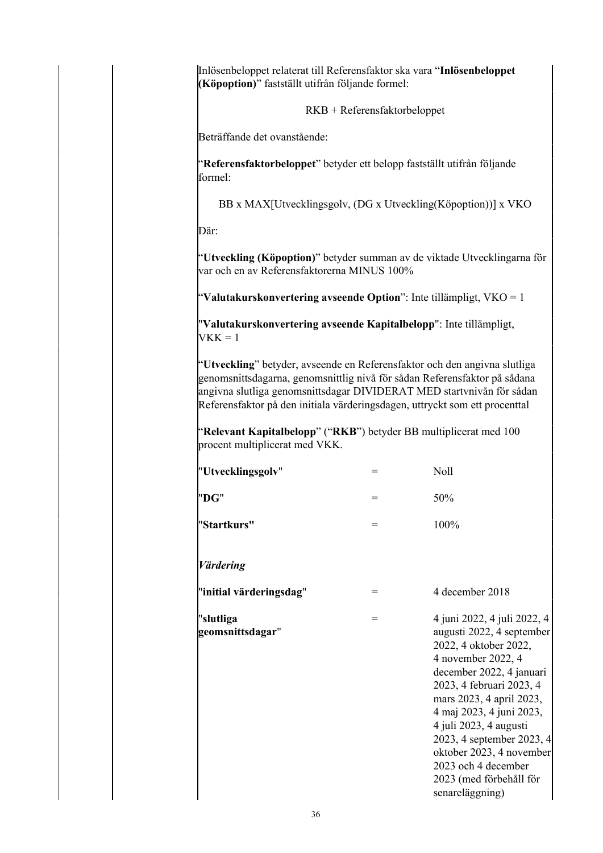Inlösenbeloppet relaterat till Referensfaktor ska vara "**Inlösenbeloppet (Köpoption)**" fastställt utifrån följande formel:

RKB + Referensfaktorbeloppet

Beträffande det ovanstående:

"**Referensfaktorbeloppet**" betyder ett belopp fastställt utifrån följande formel:

BB x MAX[Utvecklingsgolv, (DG x Utveckling(Köpoption))] x VKO

Där:

"**Utveckling (Köpoption)**" betyder summan av de viktade Utvecklingarna för var och en av Referensfaktorerna MINUS 100%

"**Valutakurskonvertering avseende Option**": Inte tillämpligt, VKO = 1

"**Valutakurskonvertering avseende Kapitalbelopp**": Inte tillämpligt,  $VKK = 1$ 

"**Utveckling**" betyder, avseende en Referensfaktor och den angivna slutliga genomsnittsdagarna, genomsnittlig nivå för sådan Referensfaktor på sådana angivna slutliga genomsnittsdagar DIVIDERAT MED startvnivån för sådan Referensfaktor på den initiala värderingsdagen, uttryckt som ett procenttal

"**Relevant Kapitalbelopp**" ("**RKB**") betyder BB multiplicerat med 100 procent multiplicerat med VKK.

| "Utvecklingsgolv"             | $=$ | Noll                                                                                                                                                                                                                                                                                                                                                                            |
|-------------------------------|-----|---------------------------------------------------------------------------------------------------------------------------------------------------------------------------------------------------------------------------------------------------------------------------------------------------------------------------------------------------------------------------------|
| "DG"                          | $=$ | 50%                                                                                                                                                                                                                                                                                                                                                                             |
| "Startkurs"                   | $=$ | 100%                                                                                                                                                                                                                                                                                                                                                                            |
| <b>Värdering</b>              |     |                                                                                                                                                                                                                                                                                                                                                                                 |
| "initial värderingsdag"       | $=$ | 4 december 2018                                                                                                                                                                                                                                                                                                                                                                 |
| "slutliga<br>geomsnittsdagar" | $=$ | 4 juni 2022, 4 juli 2022, 4<br>augusti 2022, 4 september<br>2022, 4 oktober 2022,<br>4 november 2022, 4<br>december 2022, 4 januari<br>2023, 4 februari 2023, 4<br>mars 2023, 4 april 2023,<br>4 maj 2023, 4 juni 2023,<br>4 juli 2023, 4 augusti<br>2023, 4 september 2023, 4<br>oktober 2023, 4 november<br>2023 och 4 december<br>2023 (med förbehåll för<br>senareläggning) |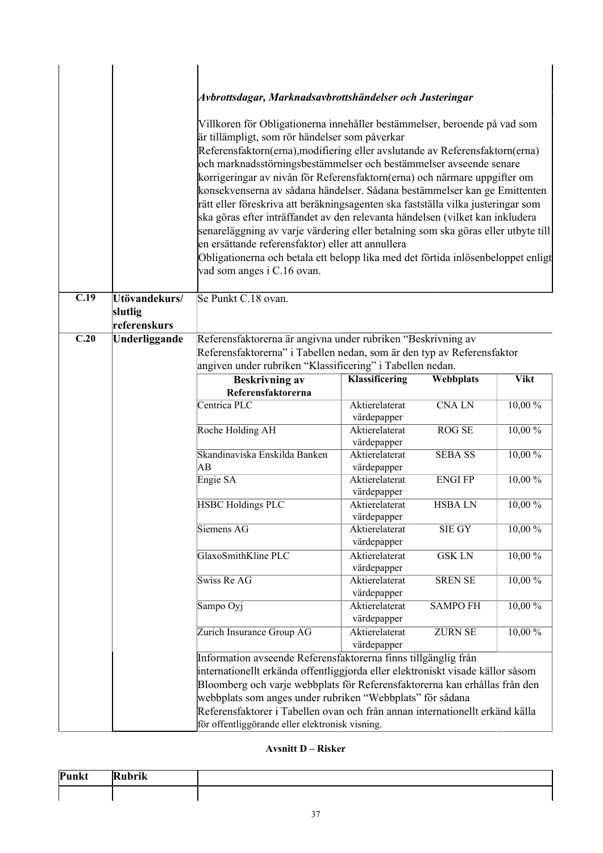|                   |                                          | Avbrottsdagar, Marknadsavbrottshändelser och Justeringar<br>Villkoren för Obligationerna innehåller bestämmelser, beroende på vad som<br>är tillämpligt, som rör händelser som påverkar<br>Referensfaktorn(erna), modifiering eller avslutande av Referensfaktorn(erna)<br>och marknadsstörningsbestämmelser och bestämmelser avseende senare<br>korrigeringar av nivån för Referensfaktorn(erna) och närmare uppgifter om<br>konsekvenserna av sådana händelser. Sådana bestämmelser kan ge Emittenten<br>rätt eller föreskriva att beräkningsagenten ska fastställa vilka justeringar som<br>ska göras efter inträffandet av den relevanta händelsen (vilket kan inkludera<br>senareläggning av varje värdering eller betalning som ska göras eller utbyte till<br>en ersättande referensfaktor) eller att annullera<br>Obligationerna och betala ett belopp lika med det förtida inlösenbeloppet enligt<br>vad som anges i C.16 ovan. |                               |                 |             |
|-------------------|------------------------------------------|------------------------------------------------------------------------------------------------------------------------------------------------------------------------------------------------------------------------------------------------------------------------------------------------------------------------------------------------------------------------------------------------------------------------------------------------------------------------------------------------------------------------------------------------------------------------------------------------------------------------------------------------------------------------------------------------------------------------------------------------------------------------------------------------------------------------------------------------------------------------------------------------------------------------------------------|-------------------------------|-----------------|-------------|
|                   |                                          |                                                                                                                                                                                                                                                                                                                                                                                                                                                                                                                                                                                                                                                                                                                                                                                                                                                                                                                                          |                               |                 |             |
| C.19              | Utövandekurs/<br>slutlig<br>referenskurs | Se Punkt C.18 ovan.                                                                                                                                                                                                                                                                                                                                                                                                                                                                                                                                                                                                                                                                                                                                                                                                                                                                                                                      |                               |                 |             |
| $\overline{C.20}$ | Underliggande                            | Referensfaktorerna är angivna under rubriken "Beskrivning av                                                                                                                                                                                                                                                                                                                                                                                                                                                                                                                                                                                                                                                                                                                                                                                                                                                                             |                               |                 |             |
|                   |                                          | Referensfaktorerna" i Tabellen nedan, som är den typ av Referensfaktor                                                                                                                                                                                                                                                                                                                                                                                                                                                                                                                                                                                                                                                                                                                                                                                                                                                                   |                               |                 |             |
|                   |                                          | angiven under rubriken "Klassificering" i Tabellen nedan.                                                                                                                                                                                                                                                                                                                                                                                                                                                                                                                                                                                                                                                                                                                                                                                                                                                                                |                               |                 |             |
|                   |                                          | <b>Beskrivning av</b>                                                                                                                                                                                                                                                                                                                                                                                                                                                                                                                                                                                                                                                                                                                                                                                                                                                                                                                    | Klassificering                | Webbplats       | <b>Vikt</b> |
|                   |                                          | Referensfaktorerna<br>Centrica PLC                                                                                                                                                                                                                                                                                                                                                                                                                                                                                                                                                                                                                                                                                                                                                                                                                                                                                                       | Aktierelaterat                | <b>CNALN</b>    | $10,00\%$   |
|                   |                                          |                                                                                                                                                                                                                                                                                                                                                                                                                                                                                                                                                                                                                                                                                                                                                                                                                                                                                                                                          | värdepapper                   |                 |             |
|                   |                                          | Roche Holding AH                                                                                                                                                                                                                                                                                                                                                                                                                                                                                                                                                                                                                                                                                                                                                                                                                                                                                                                         | Aktierelaterat<br>värdepapper | <b>ROG SE</b>   | 10,00 %     |
|                   |                                          | Skandinaviska Enskilda Banken<br>AB                                                                                                                                                                                                                                                                                                                                                                                                                                                                                                                                                                                                                                                                                                                                                                                                                                                                                                      | Aktierelaterat<br>värdepapper | <b>SEBA SS</b>  | 10,00%      |
|                   |                                          | Engie SA                                                                                                                                                                                                                                                                                                                                                                                                                                                                                                                                                                                                                                                                                                                                                                                                                                                                                                                                 | Aktierelaterat<br>värdepapper | <b>ENGI FP</b>  | 10,00 %     |
|                   |                                          | <b>HSBC Holdings PLC</b>                                                                                                                                                                                                                                                                                                                                                                                                                                                                                                                                                                                                                                                                                                                                                                                                                                                                                                                 | Aktierelaterat<br>värdepapper | <b>HSBALN</b>   | 10,00 %     |
|                   |                                          | Siemens AG                                                                                                                                                                                                                                                                                                                                                                                                                                                                                                                                                                                                                                                                                                                                                                                                                                                                                                                               | Aktierelaterat<br>värdepapper | SIE GY          | 10,00 %     |
|                   |                                          | GlaxoSmithKline PLC                                                                                                                                                                                                                                                                                                                                                                                                                                                                                                                                                                                                                                                                                                                                                                                                                                                                                                                      | Aktierelaterat<br>värdepapper | <b>GSK LN</b>   | $10,00\%$   |
|                   |                                          | <b>Swiss Re AG</b>                                                                                                                                                                                                                                                                                                                                                                                                                                                                                                                                                                                                                                                                                                                                                                                                                                                                                                                       | Aktierelaterat<br>värdepapper | <b>SREN SE</b>  | 10,00%      |
|                   |                                          | Sampo Oyj                                                                                                                                                                                                                                                                                                                                                                                                                                                                                                                                                                                                                                                                                                                                                                                                                                                                                                                                | Aktierelaterat<br>värdepapper | <b>SAMPO FH</b> | 10,00 %     |
|                   |                                          | Zurich Insurance Group AG                                                                                                                                                                                                                                                                                                                                                                                                                                                                                                                                                                                                                                                                                                                                                                                                                                                                                                                | Aktierelaterat<br>värdepapper | <b>ZURN SE</b>  | 10,00 %     |
|                   |                                          | Information avseende Referensfaktorerna finns tillgänglig från                                                                                                                                                                                                                                                                                                                                                                                                                                                                                                                                                                                                                                                                                                                                                                                                                                                                           |                               |                 |             |
|                   |                                          | internationellt erkända offentliggjorda eller elektroniskt visade källor såsom<br>Bloomberg och varje webbplats för Referensfaktorerna kan erhållas från den<br>webbplats som anges under rubriken "Webbplats" för sådana<br>Referensfaktorer i Tabellen ovan och från annan internationellt erkänd källa<br>för offentliggörande eller elektronisk visning.                                                                                                                                                                                                                                                                                                                                                                                                                                                                                                                                                                             |                               |                 |             |

# **Avsnitt D – Risker**

| Punkt | $\cdot$ .<br>m<br>.<br>m |  |
|-------|--------------------------|--|
|       |                          |  |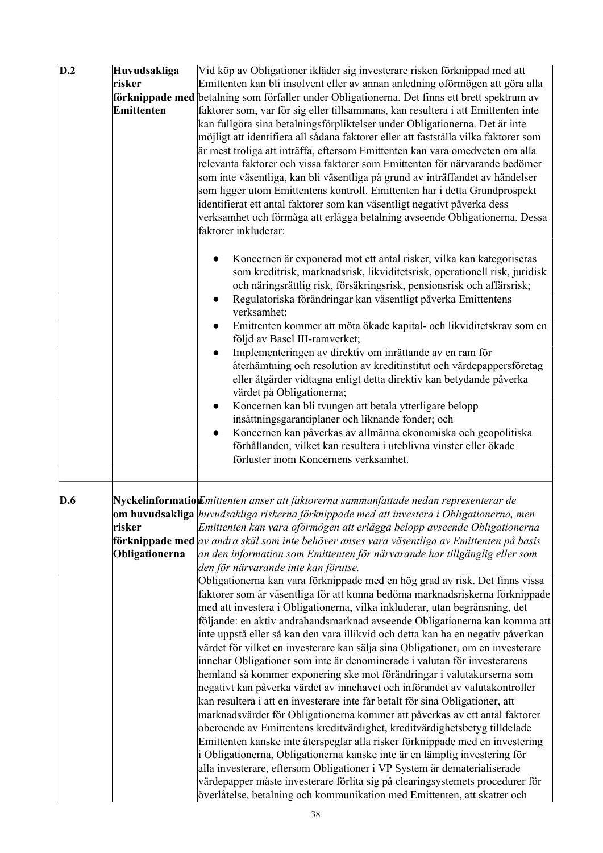| D.2 | Huvudsakliga<br>risker<br><b>Emittenten</b> | Vid köp av Obligationer ikläder sig investerare risken förknippad med att<br>Emittenten kan bli insolvent eller av annan anledning oförmögen att göra alla<br>förknippade med betalning som förfaller under Obligationerna. Det finns ett brett spektrum av<br>faktorer som, var för sig eller tillsammans, kan resultera i att Emittenten inte<br>kan fullgöra sina betalningsförpliktelser under Obligationerna. Det är inte<br>möjligt att identifiera all sådana faktorer eller att fastställa vilka faktorer som<br>är mest troliga att inträffa, eftersom Emittenten kan vara omedveten om alla<br>relevanta faktorer och vissa faktorer som Emittenten för närvarande bedömer<br>som inte väsentliga, kan bli väsentliga på grund av inträffandet av händelser<br>som ligger utom Emittentens kontroll. Emittenten har i detta Grundprospekt<br>identifierat ett antal faktorer som kan väsentligt negativt påverka dess<br>verksamhet och förmåga att erlägga betalning avseende Obligationerna. Dessa<br>faktorer inkluderar:                                                                                                                                                                                                                                                                                                                                                                                                                                                                                                                                                                                                                                                                                                                                                                                                                                                                 |
|-----|---------------------------------------------|--------------------------------------------------------------------------------------------------------------------------------------------------------------------------------------------------------------------------------------------------------------------------------------------------------------------------------------------------------------------------------------------------------------------------------------------------------------------------------------------------------------------------------------------------------------------------------------------------------------------------------------------------------------------------------------------------------------------------------------------------------------------------------------------------------------------------------------------------------------------------------------------------------------------------------------------------------------------------------------------------------------------------------------------------------------------------------------------------------------------------------------------------------------------------------------------------------------------------------------------------------------------------------------------------------------------------------------------------------------------------------------------------------------------------------------------------------------------------------------------------------------------------------------------------------------------------------------------------------------------------------------------------------------------------------------------------------------------------------------------------------------------------------------------------------------------------------------------------------------------------------------------------------|
|     |                                             | Koncernen är exponerad mot ett antal risker, vilka kan kategoriseras<br>som kreditrisk, marknadsrisk, likviditetsrisk, operationell risk, juridisk<br>och näringsrättlig risk, försäkringsrisk, pensionsrisk och affärsrisk;<br>Regulatoriska förändringar kan väsentligt påverka Emittentens<br>$\bullet$<br>verksamhet;<br>Emittenten kommer att möta ökade kapital- och likviditetskrav som en<br>$\bullet$<br>följd av Basel III-ramverket;<br>Implementeringen av direktiv om inrättande av en ram för<br>$\bullet$<br>återhämtning och resolution av kreditinstitut och värdepappersföretag<br>eller åtgärder vidtagna enligt detta direktiv kan betydande påverka<br>värdet på Obligationerna;<br>Koncernen kan bli tvungen att betala ytterligare belopp<br>$\bullet$<br>insättningsgarantiplaner och liknande fonder; och<br>Koncernen kan påverkas av allmänna ekonomiska och geopolitiska<br>förhållanden, vilket kan resultera i uteblivna vinster eller ökade<br>förluster inom Koncernens verksamhet.                                                                                                                                                                                                                                                                                                                                                                                                                                                                                                                                                                                                                                                                                                                                                                                                                                                                                    |
| D.6 | risker<br>Obligationerna                    | $Ny$ ckelinformatio $E$ mittenten anser att faktorerna sammanfattade nedan representerar de<br>om huvudsakliga <i>huvudsakliga riskerna förknippade med att investera i Obligationerna, men</i><br>Emittenten kan vara oförmögen att erlägga belopp avseende Obligationerna<br><b>förknippade med</b> av andra skäl som inte behöver anses vara väsentliga av Emittenten på basis<br>an den information som Emittenten för närvarande har tillgänglig eller som<br>den för närvarande inte kan förutse.<br>Obligationerna kan vara förknippade med en hög grad av risk. Det finns vissa<br>faktorer som är väsentliga för att kunna bedöma marknadsriskerna förknippade<br>med att investera i Obligationerna, vilka inkluderar, utan begränsning, det<br>följande: en aktiv andrahandsmarknad avseende Obligationerna kan komma att<br>inte uppstå eller så kan den vara illikvid och detta kan ha en negativ påverkan<br>värdet för vilket en investerare kan sälja sina Obligationer, om en investerare<br>innehar Obligationer som inte är denominerade i valutan för investerarens<br>hemland så kommer exponering ske mot förändringar i valutakurserna som<br>negativt kan påverka värdet av innehavet och införandet av valutakontroller<br>kan resultera i att en investerare inte får betalt för sina Obligationer, att<br>marknadsvärdet för Obligationerna kommer att påverkas av ett antal faktorer<br>oberoende av Emittentens kreditvärdighet, kreditvärdighetsbetyg tilldelade<br>Emittenten kanske inte återspeglar alla risker förknippade med en investering<br>i Obligationerna, Obligationerna kanske inte är en lämplig investering för<br>alla investerare, eftersom Obligationer i VP System är dematerialiserade<br>värdepapper måste investerare förlita sig på clearingsystemets procedurer för<br>överlåtelse, betalning och kommunikation med Emittenten, att skatter och |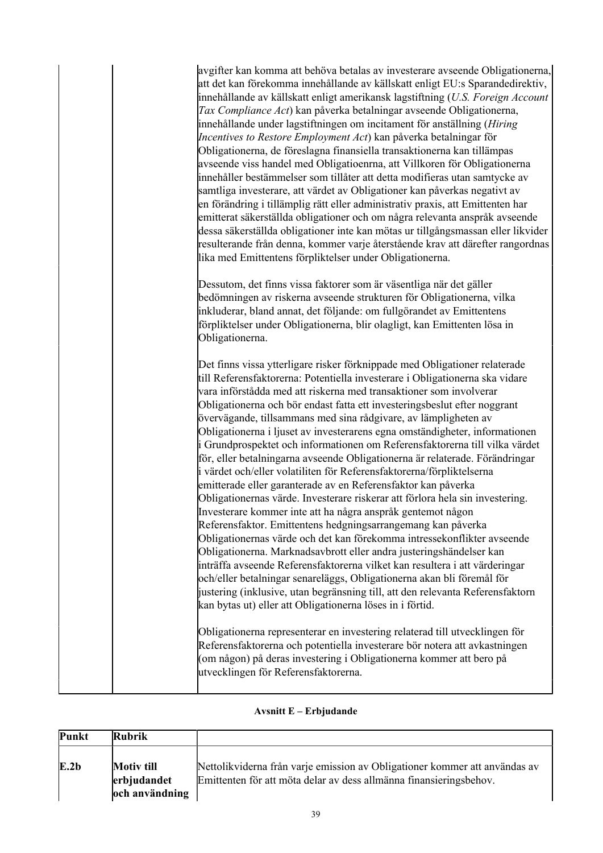| avgifter kan komma att behöva betalas av investerare avseende Obligationerna,<br>att det kan förekomma innehållande av källskatt enligt EU:s Sparandedirektiv,<br>innehållande av källskatt enligt amerikansk lagstiftning (U.S. Foreign Account<br><i>Tax Compliance Act</i> ) kan påverka betalningar avseende Obligationerna,<br>innehållande under lagstiftningen om incitament för anställning (Hiring<br>Incentives to Restore Employment Act) kan påverka betalningar för<br>Obligationerna, de föreslagna finansiella transaktionerna kan tillämpas<br>avseende viss handel med Obligatioenrna, att Villkoren för Obligationerna<br>innehåller bestämmelser som tillåter att detta modifieras utan samtycke av<br>samtliga investerare, att värdet av Obligationer kan påverkas negativt av<br>en förändring i tillämplig rätt eller administrativ praxis, att Emittenten har<br>emitterat säkerställda obligationer och om några relevanta anspråk avseende<br>dessa säkerställda obligationer inte kan mötas ur tillgångsmassan eller likvider<br>resulterande från denna, kommer varje återstående krav att därefter rangordnas<br>lika med Emittentens förpliktelser under Obligationerna.                                                                                                                                                                                                                                             |
|----------------------------------------------------------------------------------------------------------------------------------------------------------------------------------------------------------------------------------------------------------------------------------------------------------------------------------------------------------------------------------------------------------------------------------------------------------------------------------------------------------------------------------------------------------------------------------------------------------------------------------------------------------------------------------------------------------------------------------------------------------------------------------------------------------------------------------------------------------------------------------------------------------------------------------------------------------------------------------------------------------------------------------------------------------------------------------------------------------------------------------------------------------------------------------------------------------------------------------------------------------------------------------------------------------------------------------------------------------------------------------------------------------------------------------------------------|
| Dessutom, det finns vissa faktorer som är väsentliga när det gäller<br>bedömningen av riskerna avseende strukturen för Obligationerna, vilka<br>inkluderar, bland annat, det följande: om fullgörandet av Emittentens<br>förpliktelser under Obligationerna, blir olagligt, kan Emittenten lösa in<br>Obligationerna.                                                                                                                                                                                                                                                                                                                                                                                                                                                                                                                                                                                                                                                                                                                                                                                                                                                                                                                                                                                                                                                                                                                              |
| Det finns vissa ytterligare risker förknippade med Obligationer relaterade<br>till Referensfaktorerna: Potentiella investerare i Obligationerna ska vidare<br>vara införstådda med att riskerna med transaktioner som involverar<br>Obligationerna och bör endast fatta ett investeringsbeslut efter noggrant<br>övervägande, tillsammans med sina rådgivare, av lämpligheten av<br>Obligationerna i ljuset av investerarens egna omständigheter, informationen<br>i Grundprospektet och informationen om Referensfaktorerna till vilka värdet<br>för, eller betalningarna avseende Obligationerna är relaterade. Förändringar<br>i värdet och/eller volatiliten för Referensfaktorerna/förpliktelserna<br>emitterade eller garanterade av en Referensfaktor kan påverka<br>Obligationernas värde. Investerare riskerar att förlora hela sin investering.<br>Investerare kommer inte att ha några anspråk gentemot någon<br>Referensfaktor. Emittentens hedgningsarrangemang kan påverka<br>Obligationernas värde och det kan förekomma intressekonflikter avseende<br>Obligationerna. Marknadsavbrott eller andra justeringshändelser kan<br>inträffa avseende Referensfaktorerna vilket kan resultera i att värderingar<br>och/eller betalningar senareläggs, Obligationerna akan bli föremål för<br>justering (inklusive, utan begränsning till, att den relevanta Referensfaktorn<br>kan bytas ut) eller att Obligationerna löses in i förtid. |
| Obligationerna representerar en investering relaterad till utvecklingen för<br>Referensfaktorerna och potentiella investerare bör notera att avkastningen<br>(om någon) på deras investering i Obligationerna kommer att bero på<br>utvecklingen för Referensfaktorerna.                                                                                                                                                                                                                                                                                                                                                                                                                                                                                                                                                                                                                                                                                                                                                                                                                                                                                                                                                                                                                                                                                                                                                                           |

## **Avsnitt E – Erbjudande**

| Punkt | Rubrik                                             |                                                                                                                                                  |
|-------|----------------------------------------------------|--------------------------------------------------------------------------------------------------------------------------------------------------|
| E.2b  | <b>Motiv till</b><br>erbjudandet<br>och användning | Nettolikviderna från varje emission av Obligationer kommer att användas av<br>Emittenten för att möta delar av dess allmänna finansieringsbehov. |